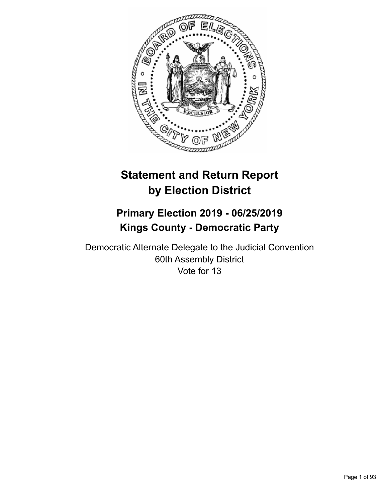

# **Statement and Return Report by Election District**

## **Primary Election 2019 - 06/25/2019 Kings County - Democratic Party**

Democratic Alternate Delegate to the Judicial Convention 60th Assembly District Vote for 13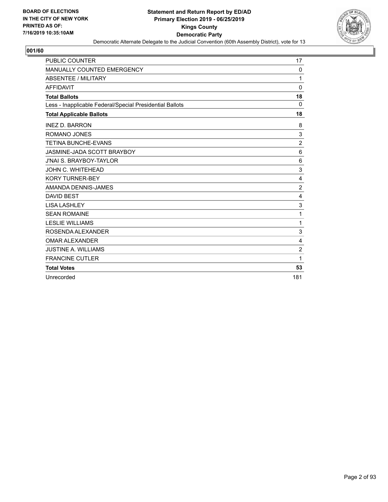

| <b>PUBLIC COUNTER</b>                                    | 17             |
|----------------------------------------------------------|----------------|
| <b>MANUALLY COUNTED EMERGENCY</b>                        | $\mathbf{0}$   |
| ABSENTEE / MILITARY                                      | 1              |
| <b>AFFIDAVIT</b>                                         | $\Omega$       |
| <b>Total Ballots</b>                                     | 18             |
| Less - Inapplicable Federal/Special Presidential Ballots | 0              |
| <b>Total Applicable Ballots</b>                          | 18             |
| <b>INEZ D. BARRON</b>                                    | 8              |
| <b>ROMANO JONES</b>                                      | $\sqrt{3}$     |
| <b>TETINA BUNCHE-EVANS</b>                               | $\overline{2}$ |
| JASMINE-JADA SCOTT BRAYBOY                               | 6              |
| <b>J'NAI S. BRAYBOY-TAYLOR</b>                           | 6              |
| JOHN C. WHITEHEAD                                        | 3              |
| <b>KORY TURNER-BEY</b>                                   | $\overline{4}$ |
| AMANDA DENNIS-JAMES                                      | $\overline{2}$ |
| <b>DAVID BEST</b>                                        | $\overline{4}$ |
| <b>LISA LASHLEY</b>                                      | 3              |
| <b>SEAN ROMAINE</b>                                      | 1              |
| <b>LESLIE WILLIAMS</b>                                   | 1              |
| ROSENDA ALEXANDER                                        | 3              |
| <b>OMAR ALEXANDER</b>                                    | 4              |
| <b>JUSTINE A. WILLIAMS</b>                               | $\overline{c}$ |
| <b>FRANCINE CUTLER</b>                                   | 1              |
| <b>Total Votes</b>                                       | 53             |
| Unrecorded                                               | 181            |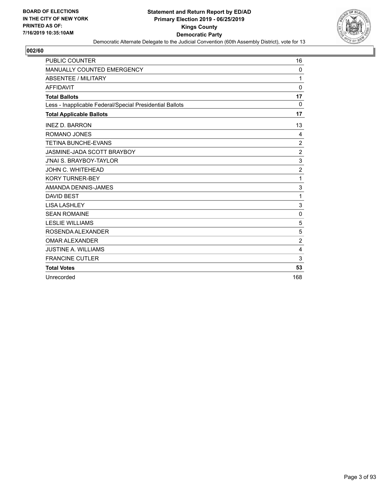

| <b>PUBLIC COUNTER</b>                                    | 16             |
|----------------------------------------------------------|----------------|
| <b>MANUALLY COUNTED EMERGENCY</b>                        | $\mathbf{0}$   |
| <b>ABSENTEE / MILITARY</b>                               | 1              |
| <b>AFFIDAVIT</b>                                         | $\Omega$       |
| <b>Total Ballots</b>                                     | 17             |
| Less - Inapplicable Federal/Special Presidential Ballots | 0              |
| <b>Total Applicable Ballots</b>                          | 17             |
| <b>INEZ D. BARRON</b>                                    | 13             |
| <b>ROMANO JONES</b>                                      | 4              |
| <b>TETINA BUNCHE-EVANS</b>                               | $\overline{2}$ |
| JASMINE-JADA SCOTT BRAYBOY                               | $\overline{2}$ |
| <b>J'NAI S. BRAYBOY-TAYLOR</b>                           | 3              |
| <b>JOHN C. WHITEHEAD</b>                                 | $\overline{2}$ |
| <b>KORY TURNER-BEY</b>                                   | 1              |
| AMANDA DENNIS-JAMES                                      | 3              |
| <b>DAVID BEST</b>                                        | 1              |
| <b>LISA LASHLEY</b>                                      | 3              |
| <b>SEAN ROMAINE</b>                                      | $\mathbf 0$    |
| <b>LESLIE WILLIAMS</b>                                   | 5              |
| ROSENDA ALEXANDER                                        | 5              |
| <b>OMAR ALEXANDER</b>                                    | $\overline{c}$ |
| <b>JUSTINE A. WILLIAMS</b>                               | 4              |
| <b>FRANCINE CUTLER</b>                                   | 3              |
| <b>Total Votes</b>                                       | 53             |
| Unrecorded                                               | 168            |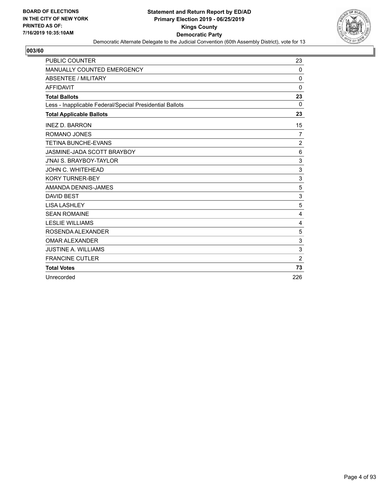

| <b>PUBLIC COUNTER</b>                                    | 23             |
|----------------------------------------------------------|----------------|
| MANUALLY COUNTED EMERGENCY                               | 0              |
| <b>ABSENTEE / MILITARY</b>                               | $\Omega$       |
| <b>AFFIDAVIT</b>                                         | $\Omega$       |
| <b>Total Ballots</b>                                     | 23             |
| Less - Inapplicable Federal/Special Presidential Ballots | 0              |
| <b>Total Applicable Ballots</b>                          | 23             |
| <b>INEZ D. BARRON</b>                                    | 15             |
| ROMANO JONES                                             | 7              |
| <b>TETINA BUNCHE-EVANS</b>                               | $\overline{c}$ |
| <b>JASMINE-JADA SCOTT BRAYBOY</b>                        | 6              |
| <b>J'NAI S. BRAYBOY-TAYLOR</b>                           | 3              |
| <b>JOHN C. WHITEHEAD</b>                                 | 3              |
| <b>KORY TURNER-BEY</b>                                   | 3              |
| AMANDA DENNIS-JAMES                                      | 5              |
| <b>DAVID BEST</b>                                        | 3              |
| <b>LISA LASHLEY</b>                                      | 5              |
| <b>SEAN ROMAINE</b>                                      | 4              |
| <b>LESLIE WILLIAMS</b>                                   | $\overline{4}$ |
| ROSENDA ALEXANDER                                        | 5              |
| <b>OMAR ALEXANDER</b>                                    | 3              |
| <b>JUSTINE A. WILLIAMS</b>                               | 3              |
| <b>FRANCINE CUTLER</b>                                   | $\overline{c}$ |
| <b>Total Votes</b>                                       | 73             |
| Unrecorded                                               | 226            |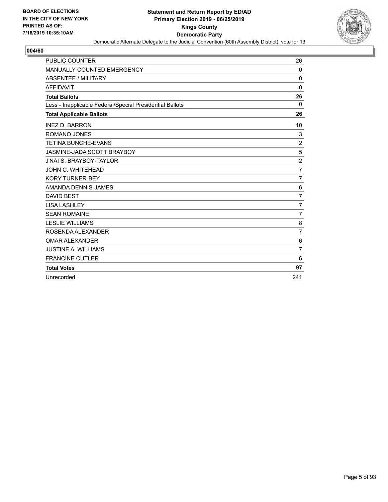

| <b>PUBLIC COUNTER</b>                                    | 26             |
|----------------------------------------------------------|----------------|
| <b>MANUALLY COUNTED EMERGENCY</b>                        | $\Omega$       |
| ABSENTEE / MILITARY                                      | $\mathbf 0$    |
| <b>AFFIDAVIT</b>                                         | $\Omega$       |
| <b>Total Ballots</b>                                     | 26             |
| Less - Inapplicable Federal/Special Presidential Ballots | $\Omega$       |
| <b>Total Applicable Ballots</b>                          | 26             |
| <b>INEZ D. BARRON</b>                                    | 10             |
| <b>ROMANO JONES</b>                                      | 3              |
| <b>TETINA BUNCHE-EVANS</b>                               | $\overline{2}$ |
| JASMINE-JADA SCOTT BRAYBOY                               | 5              |
| <b>J'NAI S. BRAYBOY-TAYLOR</b>                           | $\overline{c}$ |
| JOHN C. WHITEHEAD                                        | 7              |
| <b>KORY TURNER-BEY</b>                                   | 7              |
| AMANDA DENNIS-JAMES                                      | 6              |
| <b>DAVID BEST</b>                                        | $\overline{7}$ |
| <b>LISA LASHLEY</b>                                      | $\overline{7}$ |
| <b>SEAN ROMAINE</b>                                      | $\overline{7}$ |
| <b>LESLIE WILLIAMS</b>                                   | 8              |
| ROSENDA ALEXANDER                                        | $\overline{7}$ |
| <b>OMAR ALEXANDER</b>                                    | $\,6$          |
| <b>JUSTINE A. WILLIAMS</b>                               | $\overline{7}$ |
| <b>FRANCINE CUTLER</b>                                   | 6              |
| <b>Total Votes</b>                                       | 97             |
| Unrecorded                                               | 241            |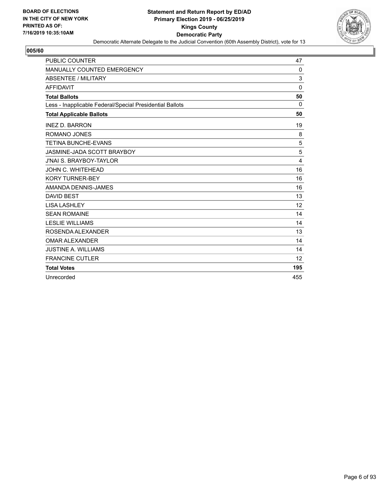

| <b>PUBLIC COUNTER</b>                                    | 47       |
|----------------------------------------------------------|----------|
| <b>MANUALLY COUNTED EMERGENCY</b>                        | $\Omega$ |
| <b>ABSENTEE / MILITARY</b>                               | 3        |
| <b>AFFIDAVIT</b>                                         | $\Omega$ |
| <b>Total Ballots</b>                                     | 50       |
| Less - Inapplicable Federal/Special Presidential Ballots | $\Omega$ |
| <b>Total Applicable Ballots</b>                          | 50       |
| <b>INEZ D. BARRON</b>                                    | 19       |
| ROMANO JONES                                             | 8        |
| <b>TETINA BUNCHE-EVANS</b>                               | 5        |
| JASMINE-JADA SCOTT BRAYBOY                               | 5        |
| <b>J'NAI S. BRAYBOY-TAYLOR</b>                           | 4        |
| JOHN C. WHITEHEAD                                        | 16       |
| <b>KORY TURNER-BEY</b>                                   | 16       |
| AMANDA DENNIS-JAMES                                      | 16       |
| <b>DAVID BEST</b>                                        | 13       |
| <b>LISA LASHLEY</b>                                      | 12       |
| <b>SEAN ROMAINE</b>                                      | 14       |
| <b>LESLIE WILLIAMS</b>                                   | 14       |
| ROSENDA ALEXANDER                                        | 13       |
| <b>OMAR ALEXANDER</b>                                    | 14       |
| <b>JUSTINE A. WILLIAMS</b>                               | 14       |
| <b>FRANCINE CUTLER</b>                                   | 12       |
| <b>Total Votes</b>                                       | 195      |
| Unrecorded                                               | 455      |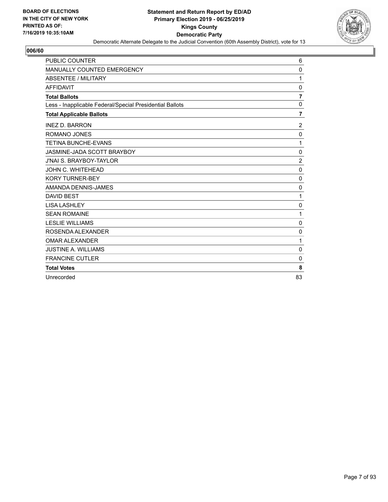

| <b>PUBLIC COUNTER</b>                                    | 6              |
|----------------------------------------------------------|----------------|
| MANUALLY COUNTED EMERGENCY                               | $\mathbf 0$    |
| <b>ABSENTEE / MILITARY</b>                               | 1              |
| <b>AFFIDAVIT</b>                                         | $\mathbf 0$    |
| <b>Total Ballots</b>                                     | $\overline{7}$ |
| Less - Inapplicable Federal/Special Presidential Ballots | 0              |
| <b>Total Applicable Ballots</b>                          | $\overline{7}$ |
| <b>INEZ D. BARRON</b>                                    | $\overline{2}$ |
| <b>ROMANO JONES</b>                                      | 0              |
| <b>TETINA BUNCHE-EVANS</b>                               | 1              |
| JASMINE-JADA SCOTT BRAYBOY                               | $\mathbf 0$    |
| <b>J'NAI S. BRAYBOY-TAYLOR</b>                           | $\overline{2}$ |
| JOHN C. WHITEHEAD                                        | $\mathbf 0$    |
| <b>KORY TURNER-BEY</b>                                   | $\mathbf 0$    |
| AMANDA DENNIS-JAMES                                      | 0              |
| <b>DAVID BEST</b>                                        | 1              |
| <b>LISA LASHLEY</b>                                      | 0              |
| <b>SEAN ROMAINE</b>                                      | 1              |
| <b>LESLIE WILLIAMS</b>                                   | $\mathbf 0$    |
| ROSENDA ALEXANDER                                        | $\mathbf 0$    |
| <b>OMAR ALEXANDER</b>                                    | 1              |
| <b>JUSTINE A. WILLIAMS</b>                               | 0              |
| <b>FRANCINE CUTLER</b>                                   | $\mathbf 0$    |
| <b>Total Votes</b>                                       | 8              |
| Unrecorded                                               | 83             |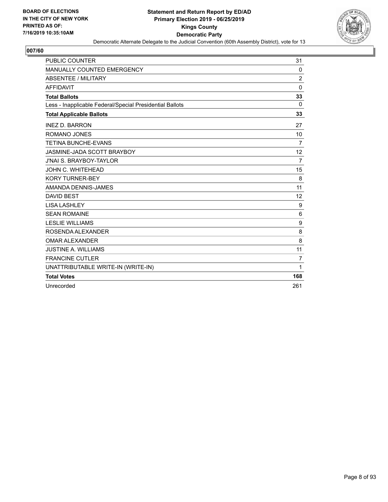

| <b>PUBLIC COUNTER</b>                                    | 31             |
|----------------------------------------------------------|----------------|
| <b>MANUALLY COUNTED EMERGENCY</b>                        | $\Omega$       |
| ABSENTEE / MILITARY                                      | 2              |
| <b>AFFIDAVIT</b>                                         | $\mathbf{0}$   |
| <b>Total Ballots</b>                                     | 33             |
| Less - Inapplicable Federal/Special Presidential Ballots | $\mathbf{0}$   |
| <b>Total Applicable Ballots</b>                          | 33             |
| <b>INEZ D. BARRON</b>                                    | 27             |
| ROMANO JONES                                             | 10             |
| <b>TETINA BUNCHE-EVANS</b>                               | 7              |
| JASMINE-JADA SCOTT BRAYBOY                               | 12             |
| <b>J'NAI S. BRAYBOY-TAYLOR</b>                           | $\overline{7}$ |
| JOHN C. WHITEHEAD                                        | 15             |
| <b>KORY TURNER-BEY</b>                                   | 8              |
| AMANDA DENNIS-JAMES                                      | 11             |
| <b>DAVID BEST</b>                                        | 12             |
| <b>LISA LASHLEY</b>                                      | 9              |
| <b>SEAN ROMAINE</b>                                      | 6              |
| <b>LESLIE WILLIAMS</b>                                   | 9              |
| ROSENDA ALEXANDER                                        | 8              |
| <b>OMAR ALEXANDER</b>                                    | 8              |
| <b>JUSTINE A. WILLIAMS</b>                               | 11             |
| <b>FRANCINE CUTLER</b>                                   | $\overline{7}$ |
| UNATTRIBUTABLE WRITE-IN (WRITE-IN)                       | 1              |
| <b>Total Votes</b>                                       | 168            |
| Unrecorded                                               | 261            |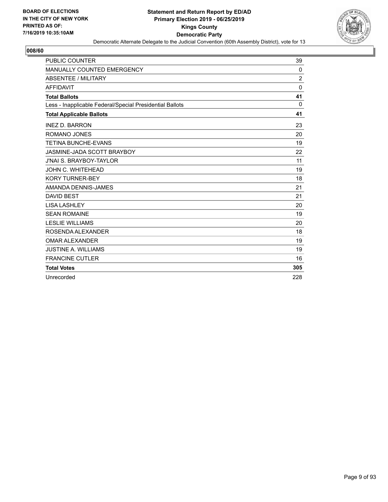

| <b>PUBLIC COUNTER</b>                                    | 39             |
|----------------------------------------------------------|----------------|
| <b>MANUALLY COUNTED EMERGENCY</b>                        | 0              |
| <b>ABSENTEE / MILITARY</b>                               | $\overline{2}$ |
| <b>AFFIDAVIT</b>                                         | $\mathbf{0}$   |
| <b>Total Ballots</b>                                     | 41             |
| Less - Inapplicable Federal/Special Presidential Ballots | 0              |
| <b>Total Applicable Ballots</b>                          | 41             |
| <b>INEZ D. BARRON</b>                                    | 23             |
| ROMANO JONES                                             | 20             |
| <b>TETINA BUNCHE-EVANS</b>                               | 19             |
| JASMINE-JADA SCOTT BRAYBOY                               | 22             |
| <b>J'NAI S. BRAYBOY-TAYLOR</b>                           | 11             |
| JOHN C. WHITEHEAD                                        | 19             |
| <b>KORY TURNER-BEY</b>                                   | 18             |
| AMANDA DENNIS-JAMES                                      | 21             |
| <b>DAVID BEST</b>                                        | 21             |
| <b>LISA LASHLEY</b>                                      | 20             |
| <b>SEAN ROMAINE</b>                                      | 19             |
| <b>LESLIE WILLIAMS</b>                                   | 20             |
| ROSENDA ALEXANDER                                        | 18             |
| <b>OMAR ALEXANDER</b>                                    | 19             |
| <b>JUSTINE A. WILLIAMS</b>                               | 19             |
| <b>FRANCINE CUTLER</b>                                   | 16             |
| <b>Total Votes</b>                                       | 305            |
| Unrecorded                                               | 228            |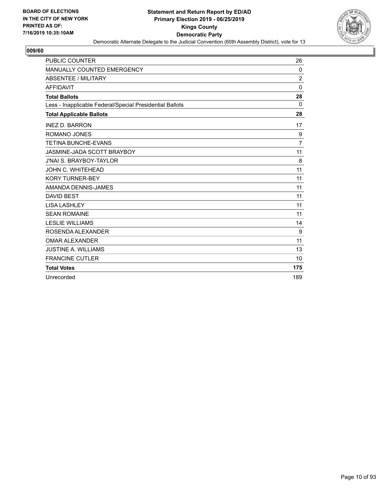

| <b>PUBLIC COUNTER</b>                                    | 26             |
|----------------------------------------------------------|----------------|
| <b>MANUALLY COUNTED EMERGENCY</b>                        | 0              |
| <b>ABSENTEE / MILITARY</b>                               | $\overline{2}$ |
| <b>AFFIDAVIT</b>                                         | $\mathbf{0}$   |
| <b>Total Ballots</b>                                     | 28             |
| Less - Inapplicable Federal/Special Presidential Ballots | $\Omega$       |
| <b>Total Applicable Ballots</b>                          | 28             |
| <b>INEZ D. BARRON</b>                                    | 17             |
| ROMANO JONES                                             | 9              |
| <b>TETINA BUNCHE-EVANS</b>                               | $\overline{7}$ |
| JASMINE-JADA SCOTT BRAYBOY                               | 11             |
| <b>J'NAI S. BRAYBOY-TAYLOR</b>                           | 8              |
| JOHN C. WHITEHEAD                                        | 11             |
| <b>KORY TURNER-BEY</b>                                   | 11             |
| AMANDA DENNIS-JAMES                                      | 11             |
| <b>DAVID BEST</b>                                        | 11             |
| <b>LISA LASHLEY</b>                                      | 11             |
| <b>SEAN ROMAINE</b>                                      | 11             |
| <b>LESLIE WILLIAMS</b>                                   | 14             |
| ROSENDA ALEXANDER                                        | 9              |
| <b>OMAR ALEXANDER</b>                                    | 11             |
| <b>JUSTINE A. WILLIAMS</b>                               | 13             |
| <b>FRANCINE CUTLER</b>                                   | 10             |
| <b>Total Votes</b>                                       | 175            |
| Unrecorded                                               | 189            |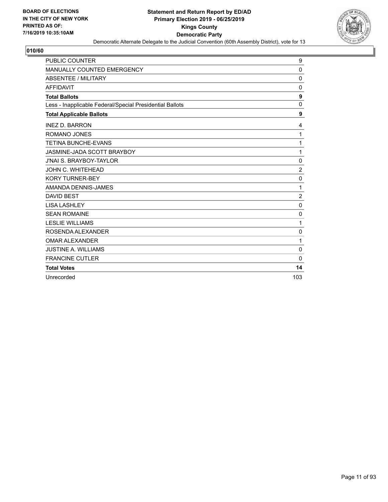

| <b>PUBLIC COUNTER</b>                                    | 9                |
|----------------------------------------------------------|------------------|
| MANUALLY COUNTED EMERGENCY                               | 0                |
| <b>ABSENTEE / MILITARY</b>                               | $\Omega$         |
| <b>AFFIDAVIT</b>                                         | 0                |
| <b>Total Ballots</b>                                     | 9                |
| Less - Inapplicable Federal/Special Presidential Ballots | $\mathbf 0$      |
| <b>Total Applicable Ballots</b>                          | 9                |
| <b>INEZ D. BARRON</b>                                    | 4                |
| ROMANO JONES                                             | 1                |
| <b>TETINA BUNCHE-EVANS</b>                               | 1                |
| JASMINE-JADA SCOTT BRAYBOY                               | 1                |
| <b>J'NAI S. BRAYBOY-TAYLOR</b>                           | $\mathbf 0$      |
| JOHN C. WHITEHEAD                                        | $\overline{c}$   |
| <b>KORY TURNER-BEY</b>                                   | $\mathbf 0$      |
| AMANDA DENNIS-JAMES                                      | 1                |
| <b>DAVID BEST</b>                                        | $\boldsymbol{2}$ |
| <b>LISA LASHLEY</b>                                      | $\mathbf 0$      |
| <b>SEAN ROMAINE</b>                                      | 0                |
| <b>LESLIE WILLIAMS</b>                                   | 1                |
| ROSENDA ALEXANDER                                        | 0                |
| <b>OMAR ALEXANDER</b>                                    | 1                |
| <b>JUSTINE A. WILLIAMS</b>                               | 0                |
| <b>FRANCINE CUTLER</b>                                   | $\Omega$         |
| <b>Total Votes</b>                                       | 14               |
| Unrecorded                                               | 103              |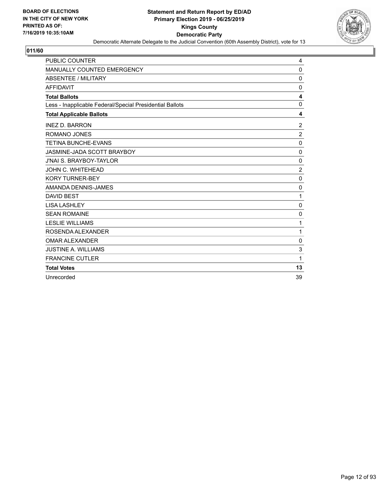

| <b>PUBLIC COUNTER</b>                                    | 4              |
|----------------------------------------------------------|----------------|
| MANUALLY COUNTED EMERGENCY                               | 0              |
| <b>ABSENTEE / MILITARY</b>                               | $\mathbf 0$    |
| <b>AFFIDAVIT</b>                                         | 0              |
| <b>Total Ballots</b>                                     | 4              |
| Less - Inapplicable Federal/Special Presidential Ballots | $\mathbf 0$    |
| <b>Total Applicable Ballots</b>                          | 4              |
| <b>INEZ D. BARRON</b>                                    | 2              |
| ROMANO JONES                                             | $\overline{2}$ |
| <b>TETINA BUNCHE-EVANS</b>                               | $\mathbf 0$    |
| JASMINE-JADA SCOTT BRAYBOY                               | $\mathbf 0$    |
| <b>J'NAI S. BRAYBOY-TAYLOR</b>                           | 0              |
| <b>JOHN C. WHITEHEAD</b>                                 | $\overline{2}$ |
| <b>KORY TURNER-BEY</b>                                   | $\mathbf 0$    |
| AMANDA DENNIS-JAMES                                      | 0              |
| <b>DAVID BEST</b>                                        | 1              |
| <b>LISA LASHLEY</b>                                      | $\mathbf 0$    |
| <b>SEAN ROMAINE</b>                                      | 0              |
| <b>LESLIE WILLIAMS</b>                                   | 1              |
| ROSENDA ALEXANDER                                        | 1              |
| <b>OMAR ALEXANDER</b>                                    | 0              |
| <b>JUSTINE A. WILLIAMS</b>                               | 3              |
| <b>FRANCINE CUTLER</b>                                   | 1              |
| <b>Total Votes</b>                                       | 13             |
| Unrecorded                                               | 39             |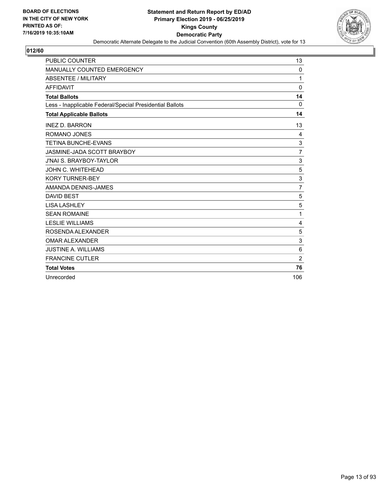

| PUBLIC COUNTER                                           | 13             |
|----------------------------------------------------------|----------------|
| MANUALLY COUNTED EMERGENCY                               | 0              |
| <b>ABSENTEE / MILITARY</b>                               | 1              |
| <b>AFFIDAVIT</b>                                         | $\Omega$       |
| <b>Total Ballots</b>                                     | 14             |
| Less - Inapplicable Federal/Special Presidential Ballots | 0              |
| <b>Total Applicable Ballots</b>                          | 14             |
| <b>INEZ D. BARRON</b>                                    | 13             |
| <b>ROMANO JONES</b>                                      | 4              |
| <b>TETINA BUNCHE-EVANS</b>                               | 3              |
| JASMINE-JADA SCOTT BRAYBOY                               | 7              |
| <b>J'NAI S. BRAYBOY-TAYLOR</b>                           | 3              |
| JOHN C. WHITEHEAD                                        | 5              |
| <b>KORY TURNER-BEY</b>                                   | 3              |
| AMANDA DENNIS-JAMES                                      | $\overline{7}$ |
| <b>DAVID BEST</b>                                        | 5              |
| <b>LISA LASHLEY</b>                                      | $\mathbf 5$    |
| <b>SEAN ROMAINE</b>                                      | 1              |
| <b>LESLIE WILLIAMS</b>                                   | $\overline{4}$ |
| ROSENDA ALEXANDER                                        | 5              |
| <b>OMAR ALEXANDER</b>                                    | 3              |
| <b>JUSTINE A. WILLIAMS</b>                               | 6              |
| <b>FRANCINE CUTLER</b>                                   | $\overline{c}$ |
| <b>Total Votes</b>                                       | 76             |
| Unrecorded                                               | 106            |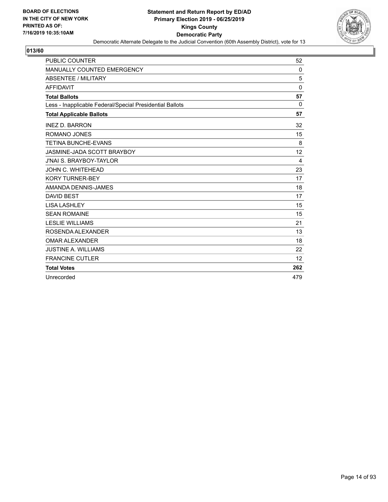

| <b>PUBLIC COUNTER</b>                                    | 52       |
|----------------------------------------------------------|----------|
| MANUALLY COUNTED EMERGENCY                               | 0        |
| <b>ABSENTEE / MILITARY</b>                               | 5        |
| <b>AFFIDAVIT</b>                                         | $\Omega$ |
| <b>Total Ballots</b>                                     | 57       |
| Less - Inapplicable Federal/Special Presidential Ballots | 0        |
| <b>Total Applicable Ballots</b>                          | 57       |
| <b>INEZ D. BARRON</b>                                    | 32       |
| ROMANO JONES                                             | 15       |
| <b>TETINA BUNCHE-EVANS</b>                               | 8        |
| JASMINE-JADA SCOTT BRAYBOY                               | 12       |
| <b>J'NAI S. BRAYBOY-TAYLOR</b>                           | 4        |
| <b>JOHN C. WHITEHEAD</b>                                 | 23       |
| <b>KORY TURNER-BEY</b>                                   | 17       |
| AMANDA DENNIS-JAMES                                      | 18       |
| <b>DAVID BEST</b>                                        | 17       |
| <b>LISA LASHLEY</b>                                      | 15       |
| <b>SEAN ROMAINE</b>                                      | 15       |
| <b>LESLIE WILLIAMS</b>                                   | 21       |
| ROSENDA ALEXANDER                                        | 13       |
| <b>OMAR ALEXANDER</b>                                    | 18       |
| <b>JUSTINE A. WILLIAMS</b>                               | 22       |
| <b>FRANCINE CUTLER</b>                                   | 12       |
| <b>Total Votes</b>                                       | 262      |
| Unrecorded                                               | 479      |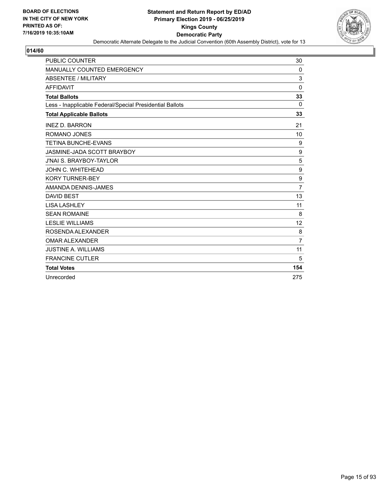

| <b>PUBLIC COUNTER</b>                                    | 30             |
|----------------------------------------------------------|----------------|
| MANUALLY COUNTED EMERGENCY                               | 0              |
| <b>ABSENTEE / MILITARY</b>                               | 3              |
| <b>AFFIDAVIT</b>                                         | $\mathbf{0}$   |
| <b>Total Ballots</b>                                     | 33             |
| Less - Inapplicable Federal/Special Presidential Ballots | 0              |
| <b>Total Applicable Ballots</b>                          | 33             |
| <b>INEZ D. BARRON</b>                                    | 21             |
| ROMANO JONES                                             | 10             |
| <b>TETINA BUNCHE-EVANS</b>                               | 9              |
| JASMINE-JADA SCOTT BRAYBOY                               | 9              |
| <b>J'NAI S. BRAYBOY-TAYLOR</b>                           | 5              |
| JOHN C. WHITEHEAD                                        | 9              |
| <b>KORY TURNER-BEY</b>                                   | 9              |
| AMANDA DENNIS-JAMES                                      | $\overline{7}$ |
| <b>DAVID BEST</b>                                        | 13             |
| <b>LISA LASHLEY</b>                                      | 11             |
| <b>SEAN ROMAINE</b>                                      | 8              |
| <b>LESLIE WILLIAMS</b>                                   | 12             |
| ROSENDA ALEXANDER                                        | 8              |
| <b>OMAR ALEXANDER</b>                                    | $\overline{7}$ |
| <b>JUSTINE A. WILLIAMS</b>                               | 11             |
| <b>FRANCINE CUTLER</b>                                   | 5              |
| <b>Total Votes</b>                                       | 154            |
| Unrecorded                                               | 275            |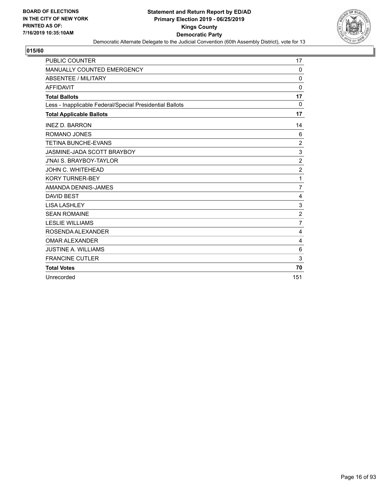

| <b>PUBLIC COUNTER</b>                                    | 17               |
|----------------------------------------------------------|------------------|
| MANUALLY COUNTED EMERGENCY                               | $\Omega$         |
| <b>ABSENTEE / MILITARY</b>                               | $\Omega$         |
| <b>AFFIDAVIT</b>                                         | $\Omega$         |
| <b>Total Ballots</b>                                     | 17               |
| Less - Inapplicable Federal/Special Presidential Ballots | 0                |
| <b>Total Applicable Ballots</b>                          | 17               |
| <b>INEZ D. BARRON</b>                                    | 14               |
| ROMANO JONES                                             | 6                |
| <b>TETINA BUNCHE-EVANS</b>                               | 2                |
| JASMINE-JADA SCOTT BRAYBOY                               | 3                |
| <b>J'NAI S. BRAYBOY-TAYLOR</b>                           | $\overline{c}$   |
| <b>JOHN C. WHITEHEAD</b>                                 | $\boldsymbol{2}$ |
| <b>KORY TURNER-BEY</b>                                   | 1                |
| AMANDA DENNIS-JAMES                                      | $\overline{7}$   |
| <b>DAVID BEST</b>                                        | 4                |
| <b>LISA LASHLEY</b>                                      | 3                |
| <b>SEAN ROMAINE</b>                                      | $\overline{2}$   |
| <b>LESLIE WILLIAMS</b>                                   | $\overline{7}$   |
| ROSENDA ALEXANDER                                        | 4                |
| <b>OMAR ALEXANDER</b>                                    | 4                |
| <b>JUSTINE A. WILLIAMS</b>                               | 6                |
| <b>FRANCINE CUTLER</b>                                   | 3                |
| <b>Total Votes</b>                                       | 70               |
| Unrecorded                                               | 151              |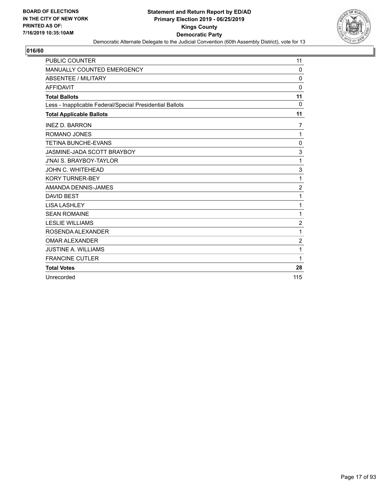

| <b>PUBLIC COUNTER</b>                                    | 11               |
|----------------------------------------------------------|------------------|
| MANUALLY COUNTED EMERGENCY                               | $\Omega$         |
| ABSENTEE / MILITARY                                      | $\Omega$         |
| <b>AFFIDAVIT</b>                                         | $\Omega$         |
| <b>Total Ballots</b>                                     | 11               |
| Less - Inapplicable Federal/Special Presidential Ballots | 0                |
| <b>Total Applicable Ballots</b>                          | 11               |
| <b>INEZ D. BARRON</b>                                    | 7                |
| <b>ROMANO JONES</b>                                      | 1                |
| <b>TETINA BUNCHE-EVANS</b>                               | 0                |
| JASMINE-JADA SCOTT BRAYBOY                               | 3                |
| <b>J'NAI S. BRAYBOY-TAYLOR</b>                           | 1                |
| JOHN C. WHITEHEAD                                        | 3                |
| <b>KORY TURNER-BEY</b>                                   | 1                |
| AMANDA DENNIS-JAMES                                      | $\boldsymbol{2}$ |
| <b>DAVID BEST</b>                                        | 1                |
| <b>LISA LASHLEY</b>                                      | 1                |
| <b>SEAN ROMAINE</b>                                      | 1                |
| <b>LESLIE WILLIAMS</b>                                   | $\overline{2}$   |
| ROSENDA ALEXANDER                                        | 1                |
| <b>OMAR ALEXANDER</b>                                    | $\overline{2}$   |
| <b>JUSTINE A. WILLIAMS</b>                               | 1                |
| <b>FRANCINE CUTLER</b>                                   | 1                |
| <b>Total Votes</b>                                       | 28               |
| Unrecorded                                               | 115              |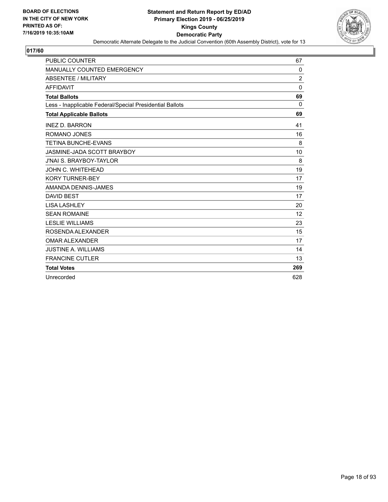

| <b>PUBLIC COUNTER</b>                                    | 67             |
|----------------------------------------------------------|----------------|
| MANUALLY COUNTED EMERGENCY                               | 0              |
| <b>ABSENTEE / MILITARY</b>                               | $\overline{c}$ |
| <b>AFFIDAVIT</b>                                         | $\Omega$       |
| <b>Total Ballots</b>                                     | 69             |
| Less - Inapplicable Federal/Special Presidential Ballots | 0              |
| <b>Total Applicable Ballots</b>                          | 69             |
| <b>INEZ D. BARRON</b>                                    | 41             |
| ROMANO JONES                                             | 16             |
| <b>TETINA BUNCHE-EVANS</b>                               | 8              |
| JASMINE-JADA SCOTT BRAYBOY                               | 10             |
| <b>J'NAI S. BRAYBOY-TAYLOR</b>                           | 8              |
| JOHN C. WHITEHEAD                                        | 19             |
| <b>KORY TURNER-BEY</b>                                   | 17             |
| AMANDA DENNIS-JAMES                                      | 19             |
| <b>DAVID BEST</b>                                        | 17             |
| <b>LISA LASHLEY</b>                                      | 20             |
| <b>SEAN ROMAINE</b>                                      | 12             |
| <b>LESLIE WILLIAMS</b>                                   | 23             |
| ROSENDA ALEXANDER                                        | 15             |
| <b>OMAR ALEXANDER</b>                                    | 17             |
| <b>JUSTINE A. WILLIAMS</b>                               | 14             |
| <b>FRANCINE CUTLER</b>                                   | 13             |
| <b>Total Votes</b>                                       | 269            |
| Unrecorded                                               | 628            |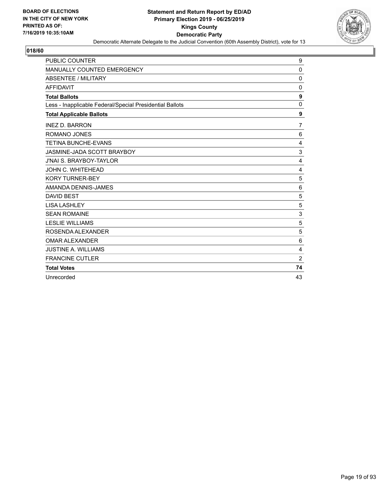

| PUBLIC COUNTER                                           | 9              |
|----------------------------------------------------------|----------------|
| MANUALLY COUNTED EMERGENCY                               | 0              |
| <b>ABSENTEE / MILITARY</b>                               | $\Omega$       |
| <b>AFFIDAVIT</b>                                         | 0              |
| <b>Total Ballots</b>                                     | 9              |
| Less - Inapplicable Federal/Special Presidential Ballots | $\mathbf 0$    |
| <b>Total Applicable Ballots</b>                          | 9              |
| <b>INEZ D. BARRON</b>                                    | $\overline{7}$ |
| <b>ROMANO JONES</b>                                      | 6              |
| <b>TETINA BUNCHE-EVANS</b>                               | 4              |
| JASMINE-JADA SCOTT BRAYBOY                               | 3              |
| <b>J'NAI S. BRAYBOY-TAYLOR</b>                           | 4              |
| JOHN C. WHITEHEAD                                        | 4              |
| <b>KORY TURNER-BEY</b>                                   | 5              |
| AMANDA DENNIS-JAMES                                      | 6              |
| <b>DAVID BEST</b>                                        | 5              |
| <b>LISA LASHLEY</b>                                      | 5              |
| <b>SEAN ROMAINE</b>                                      | 3              |
| <b>LESLIE WILLIAMS</b>                                   | 5              |
| ROSENDA ALEXANDER                                        | 5              |
| <b>OMAR ALEXANDER</b>                                    | 6              |
| <b>JUSTINE A. WILLIAMS</b>                               | 4              |
| <b>FRANCINE CUTLER</b>                                   | $\overline{c}$ |
| <b>Total Votes</b>                                       | 74             |
| Unrecorded                                               | 43             |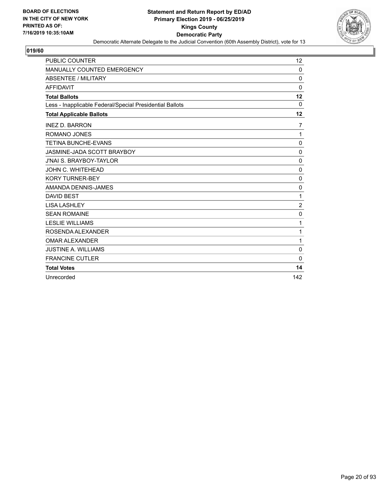

| <b>PUBLIC COUNTER</b>                                    | 12               |
|----------------------------------------------------------|------------------|
| <b>MANUALLY COUNTED EMERGENCY</b>                        | $\Omega$         |
| <b>ABSENTEE / MILITARY</b>                               | $\mathbf 0$      |
| <b>AFFIDAVIT</b>                                         | $\Omega$         |
| <b>Total Ballots</b>                                     | 12               |
| Less - Inapplicable Federal/Special Presidential Ballots | 0                |
| <b>Total Applicable Ballots</b>                          | 12               |
| <b>INEZ D. BARRON</b>                                    | $\overline{7}$   |
| <b>ROMANO JONES</b>                                      | 1                |
| <b>TETINA BUNCHE-EVANS</b>                               | 0                |
| JASMINE-JADA SCOTT BRAYBOY                               | 0                |
| <b>J'NAI S. BRAYBOY-TAYLOR</b>                           | 0                |
| JOHN C. WHITEHEAD                                        | $\mathbf 0$      |
| <b>KORY TURNER-BEY</b>                                   | $\mathbf 0$      |
| AMANDA DENNIS-JAMES                                      | $\mathbf 0$      |
| <b>DAVID BEST</b>                                        | 1                |
| <b>LISA LASHLEY</b>                                      | $\boldsymbol{2}$ |
| <b>SEAN ROMAINE</b>                                      | $\mathbf 0$      |
| <b>LESLIE WILLIAMS</b>                                   | 1                |
| ROSENDA ALEXANDER                                        | 1                |
| <b>OMAR ALEXANDER</b>                                    | 1                |
| <b>JUSTINE A. WILLIAMS</b>                               | 0                |
| <b>FRANCINE CUTLER</b>                                   | $\Omega$         |
| <b>Total Votes</b>                                       | 14               |
| Unrecorded                                               | 142              |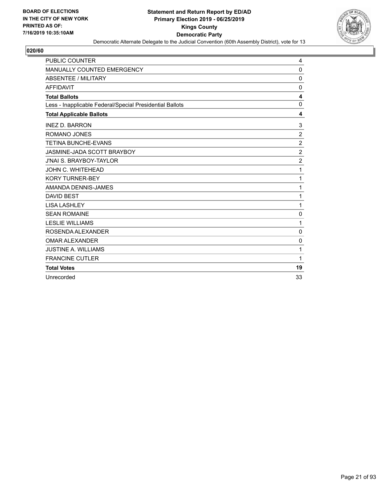

| <b>PUBLIC COUNTER</b>                                    | 4                |
|----------------------------------------------------------|------------------|
| MANUALLY COUNTED EMERGENCY                               | 0                |
| <b>ABSENTEE / MILITARY</b>                               | $\mathbf{0}$     |
| <b>AFFIDAVIT</b>                                         | $\mathbf{0}$     |
| <b>Total Ballots</b>                                     | 4                |
| Less - Inapplicable Federal/Special Presidential Ballots | $\mathbf 0$      |
| <b>Total Applicable Ballots</b>                          | 4                |
| <b>INEZ D. BARRON</b>                                    | 3                |
| <b>ROMANO JONES</b>                                      | $\overline{2}$   |
| <b>TETINA BUNCHE-EVANS</b>                               | $\overline{c}$   |
| JASMINE-JADA SCOTT BRAYBOY                               | $\boldsymbol{2}$ |
| <b>J'NAI S. BRAYBOY-TAYLOR</b>                           | $\overline{c}$   |
| JOHN C. WHITEHEAD                                        | 1                |
| <b>KORY TURNER-BEY</b>                                   | 1                |
| AMANDA DENNIS-JAMES                                      | 1                |
| <b>DAVID BEST</b>                                        | 1                |
| <b>LISA LASHLEY</b>                                      | 1                |
| <b>SEAN ROMAINE</b>                                      | $\mathbf 0$      |
| <b>LESLIE WILLIAMS</b>                                   | 1                |
| ROSENDA ALEXANDER                                        | 0                |
| <b>OMAR ALEXANDER</b>                                    | $\mathbf 0$      |
| <b>JUSTINE A. WILLIAMS</b>                               | 1                |
| <b>FRANCINE CUTLER</b>                                   | 1                |
| <b>Total Votes</b>                                       | 19               |
| Unrecorded                                               | 33               |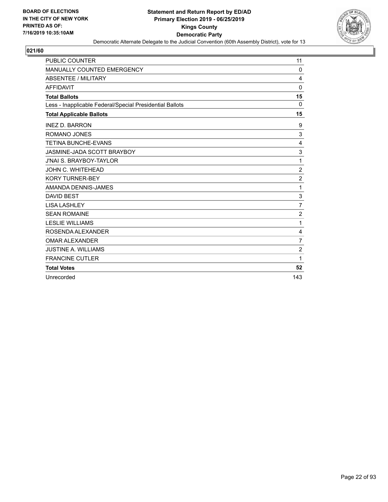

| <b>PUBLIC COUNTER</b>                                    | 11             |
|----------------------------------------------------------|----------------|
| MANUALLY COUNTED EMERGENCY                               | $\Omega$       |
| ABSENTEE / MILITARY                                      | 4              |
| <b>AFFIDAVIT</b>                                         | $\Omega$       |
| <b>Total Ballots</b>                                     | 15             |
| Less - Inapplicable Federal/Special Presidential Ballots | 0              |
| <b>Total Applicable Ballots</b>                          | 15             |
| <b>INEZ D. BARRON</b>                                    | 9              |
| ROMANO JONES                                             | 3              |
| <b>TETINA BUNCHE-EVANS</b>                               | 4              |
| JASMINE-JADA SCOTT BRAYBOY                               | 3              |
| <b>J'NAI S. BRAYBOY-TAYLOR</b>                           | 1              |
| JOHN C. WHITEHEAD                                        | $\sqrt{2}$     |
| <b>KORY TURNER-BEY</b>                                   | $\overline{c}$ |
| AMANDA DENNIS-JAMES                                      | 1              |
| <b>DAVID BEST</b>                                        | 3              |
| <b>LISA LASHLEY</b>                                      | $\overline{7}$ |
| <b>SEAN ROMAINE</b>                                      | $\overline{2}$ |
| <b>LESLIE WILLIAMS</b>                                   | 1              |
| ROSENDA ALEXANDER                                        | 4              |
| <b>OMAR ALEXANDER</b>                                    | $\overline{7}$ |
| <b>JUSTINE A. WILLIAMS</b>                               | $\overline{c}$ |
| <b>FRANCINE CUTLER</b>                                   | 1              |
| <b>Total Votes</b>                                       | 52             |
| Unrecorded                                               | 143            |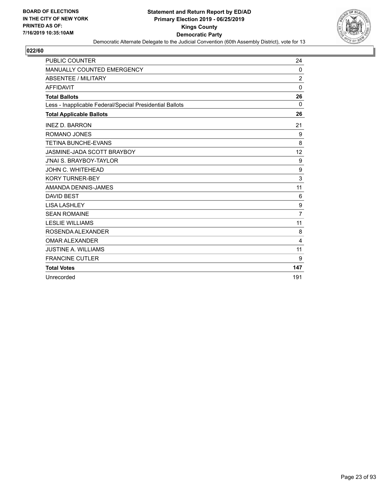

| <b>PUBLIC COUNTER</b>                                    | 24             |
|----------------------------------------------------------|----------------|
| <b>MANUALLY COUNTED EMERGENCY</b>                        | 0              |
| <b>ABSENTEE / MILITARY</b>                               | $\overline{2}$ |
| <b>AFFIDAVIT</b>                                         | $\mathbf{0}$   |
| <b>Total Ballots</b>                                     | 26             |
| Less - Inapplicable Federal/Special Presidential Ballots | $\Omega$       |
| <b>Total Applicable Ballots</b>                          | 26             |
| <b>INEZ D. BARRON</b>                                    | 21             |
| ROMANO JONES                                             | 9              |
| <b>TETINA BUNCHE-EVANS</b>                               | 8              |
| JASMINE-JADA SCOTT BRAYBOY                               | 12             |
| <b>J'NAI S. BRAYBOY-TAYLOR</b>                           | 9              |
| <b>JOHN C. WHITEHEAD</b>                                 | 9              |
| <b>KORY TURNER-BEY</b>                                   | 3              |
| AMANDA DENNIS-JAMES                                      | 11             |
| <b>DAVID BEST</b>                                        | 6              |
| <b>LISA LASHLEY</b>                                      | 9              |
| <b>SEAN ROMAINE</b>                                      | $\overline{7}$ |
| <b>LESLIE WILLIAMS</b>                                   | 11             |
| ROSENDA ALEXANDER                                        | 8              |
| <b>OMAR ALEXANDER</b>                                    | 4              |
| <b>JUSTINE A. WILLIAMS</b>                               | 11             |
| <b>FRANCINE CUTLER</b>                                   | 9              |
| <b>Total Votes</b>                                       | 147            |
| Unrecorded                                               | 191            |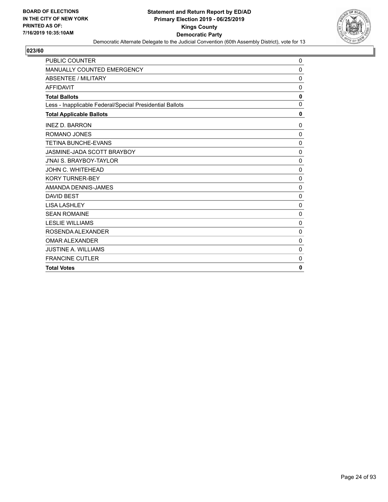

| <b>PUBLIC COUNTER</b>                                    | 0            |
|----------------------------------------------------------|--------------|
| MANUALLY COUNTED EMERGENCY                               | $\mathbf 0$  |
| <b>ABSENTEE / MILITARY</b>                               | 0            |
| <b>AFFIDAVIT</b>                                         | $\mathbf{0}$ |
| <b>Total Ballots</b>                                     | $\mathbf 0$  |
| Less - Inapplicable Federal/Special Presidential Ballots | $\mathbf 0$  |
| <b>Total Applicable Ballots</b>                          | $\mathbf 0$  |
| <b>INEZ D. BARRON</b>                                    | $\mathbf 0$  |
| <b>ROMANO JONES</b>                                      | 0            |
| <b>TETINA BUNCHE-EVANS</b>                               | 0            |
| JASMINE-JADA SCOTT BRAYBOY                               | $\mathbf 0$  |
| <b>J'NAI S. BRAYBOY-TAYLOR</b>                           | $\Omega$     |
| JOHN C. WHITEHEAD                                        | $\mathbf 0$  |
| <b>KORY TURNER-BEY</b>                                   | $\mathbf 0$  |
| AMANDA DENNIS-JAMES                                      | 0            |
| <b>DAVID BEST</b>                                        | 0            |
| <b>LISA LASHLEY</b>                                      | $\mathbf 0$  |
| <b>SEAN ROMAINE</b>                                      | $\mathbf 0$  |
| <b>LESLIE WILLIAMS</b>                                   | $\mathbf 0$  |
| ROSENDA ALEXANDER                                        | $\mathbf 0$  |
| <b>OMAR ALEXANDER</b>                                    | 0            |
| <b>JUSTINE A. WILLIAMS</b>                               | $\mathbf 0$  |
| <b>FRANCINE CUTLER</b>                                   | 0            |
| <b>Total Votes</b>                                       | 0            |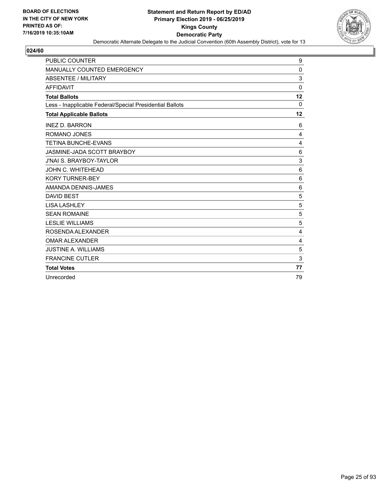

| <b>PUBLIC COUNTER</b>                                    | 9              |
|----------------------------------------------------------|----------------|
| <b>MANUALLY COUNTED EMERGENCY</b>                        | $\mathbf 0$    |
| <b>ABSENTEE / MILITARY</b>                               | 3              |
| <b>AFFIDAVIT</b>                                         | $\Omega$       |
| <b>Total Ballots</b>                                     | 12             |
| Less - Inapplicable Federal/Special Presidential Ballots | 0              |
| <b>Total Applicable Ballots</b>                          | 12             |
| <b>INEZ D. BARRON</b>                                    | 6              |
| <b>ROMANO JONES</b>                                      | 4              |
| <b>TETINA BUNCHE-EVANS</b>                               | $\overline{4}$ |
| JASMINE-JADA SCOTT BRAYBOY                               | 6              |
| <b>J'NAI S. BRAYBOY-TAYLOR</b>                           | 3              |
| JOHN C. WHITEHEAD                                        | 6              |
| <b>KORY TURNER-BEY</b>                                   | 6              |
| AMANDA DENNIS-JAMES                                      | 6              |
| <b>DAVID BEST</b>                                        | 5              |
| <b>LISA LASHLEY</b>                                      | 5              |
| <b>SEAN ROMAINE</b>                                      | 5              |
| <b>LESLIE WILLIAMS</b>                                   | 5              |
| ROSENDA ALEXANDER                                        | 4              |
| <b>OMAR ALEXANDER</b>                                    | 4              |
| <b>JUSTINE A. WILLIAMS</b>                               | 5              |
| <b>FRANCINE CUTLER</b>                                   | 3              |
| <b>Total Votes</b>                                       | 77             |
| Unrecorded                                               | 79             |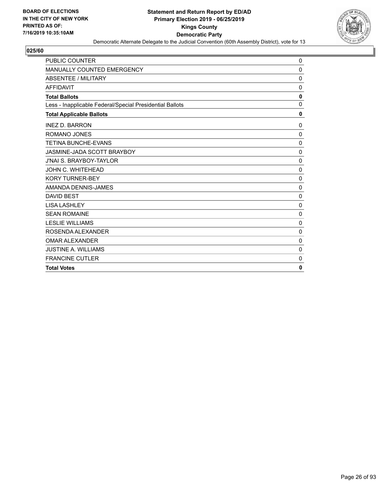

| <b>PUBLIC COUNTER</b>                                    | 0            |
|----------------------------------------------------------|--------------|
| <b>MANUALLY COUNTED EMERGENCY</b>                        | $\mathbf{0}$ |
| <b>ABSENTEE / MILITARY</b>                               | $\mathbf 0$  |
| <b>AFFIDAVIT</b>                                         | $\mathbf 0$  |
| <b>Total Ballots</b>                                     | $\mathbf 0$  |
| Less - Inapplicable Federal/Special Presidential Ballots | 0            |
| <b>Total Applicable Ballots</b>                          | 0            |
| <b>INEZ D. BARRON</b>                                    | $\mathbf 0$  |
| <b>ROMANO JONES</b>                                      | 0            |
| <b>TETINA BUNCHE-EVANS</b>                               | $\mathbf 0$  |
| <b>JASMINE-JADA SCOTT BRAYBOY</b>                        | 0            |
| <b>J'NAI S. BRAYBOY-TAYLOR</b>                           | 0            |
| JOHN C. WHITEHEAD                                        | $\mathbf 0$  |
| <b>KORY TURNER-BEY</b>                                   | 0            |
| AMANDA DENNIS-JAMES                                      | $\mathbf 0$  |
| <b>DAVID BEST</b>                                        | 0            |
| <b>LISA LASHLEY</b>                                      | $\mathbf 0$  |
| <b>SEAN ROMAINE</b>                                      | $\mathbf 0$  |
| <b>LESLIE WILLIAMS</b>                                   | $\mathbf 0$  |
| ROSENDA ALEXANDER                                        | $\mathbf 0$  |
| <b>OMAR ALEXANDER</b>                                    | $\mathbf 0$  |
| <b>JUSTINE A. WILLIAMS</b>                               | $\mathbf 0$  |
| <b>FRANCINE CUTLER</b>                                   | 0            |
| <b>Total Votes</b>                                       | 0            |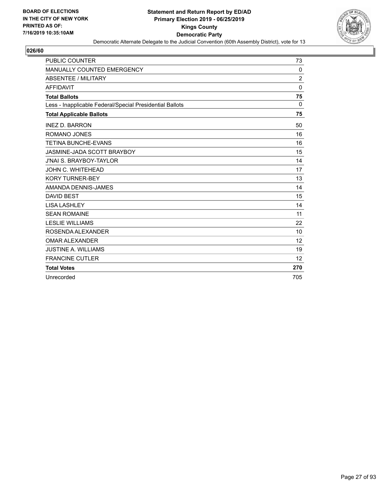

| <b>PUBLIC COUNTER</b>                                    | 73             |
|----------------------------------------------------------|----------------|
| <b>MANUALLY COUNTED EMERGENCY</b>                        | 0              |
| ABSENTEE / MILITARY                                      | $\overline{2}$ |
| <b>AFFIDAVIT</b>                                         | $\Omega$       |
| <b>Total Ballots</b>                                     | 75             |
| Less - Inapplicable Federal/Special Presidential Ballots | 0              |
| <b>Total Applicable Ballots</b>                          | 75             |
| <b>INEZ D. BARRON</b>                                    | 50             |
| ROMANO JONES                                             | 16             |
| <b>TETINA BUNCHE-EVANS</b>                               | 16             |
| JASMINE-JADA SCOTT BRAYBOY                               | 15             |
| <b>J'NAI S. BRAYBOY-TAYLOR</b>                           | 14             |
| JOHN C. WHITEHEAD                                        | 17             |
| <b>KORY TURNER-BEY</b>                                   | 13             |
| AMANDA DENNIS-JAMES                                      | 14             |
| <b>DAVID BEST</b>                                        | 15             |
| <b>LISA LASHLEY</b>                                      | 14             |
| <b>SEAN ROMAINE</b>                                      | 11             |
| <b>LESLIE WILLIAMS</b>                                   | 22             |
| ROSENDA ALEXANDER                                        | 10             |
| <b>OMAR ALEXANDER</b>                                    | 12             |
| <b>JUSTINE A. WILLIAMS</b>                               | 19             |
| <b>FRANCINE CUTLER</b>                                   | 12             |
| <b>Total Votes</b>                                       | 270            |
| Unrecorded                                               | 705            |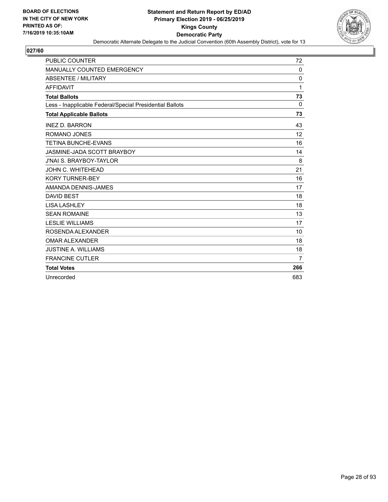

| <b>PUBLIC COUNTER</b>                                    | 72             |
|----------------------------------------------------------|----------------|
| MANUALLY COUNTED EMERGENCY                               | 0              |
| ABSENTEE / MILITARY                                      | 0              |
| <b>AFFIDAVIT</b>                                         | 1              |
| <b>Total Ballots</b>                                     | 73             |
| Less - Inapplicable Federal/Special Presidential Ballots | $\Omega$       |
| <b>Total Applicable Ballots</b>                          | 73             |
| <b>INEZ D. BARRON</b>                                    | 43             |
| ROMANO JONES                                             | 12             |
| <b>TETINA BUNCHE-EVANS</b>                               | 16             |
| JASMINE-JADA SCOTT BRAYBOY                               | 14             |
| <b>J'NAI S. BRAYBOY-TAYLOR</b>                           | 8              |
| JOHN C. WHITEHEAD                                        | 21             |
| <b>KORY TURNER-BEY</b>                                   | 16             |
| AMANDA DENNIS-JAMES                                      | 17             |
| <b>DAVID BEST</b>                                        | 18             |
| <b>LISA LASHLEY</b>                                      | 18             |
| <b>SEAN ROMAINE</b>                                      | 13             |
| <b>LESLIE WILLIAMS</b>                                   | 17             |
| ROSENDA ALEXANDER                                        | 10             |
| <b>OMAR ALEXANDER</b>                                    | 18             |
| <b>JUSTINE A. WILLIAMS</b>                               | 18             |
| <b>FRANCINE CUTLER</b>                                   | $\overline{7}$ |
| <b>Total Votes</b>                                       | 266            |
| Unrecorded                                               | 683            |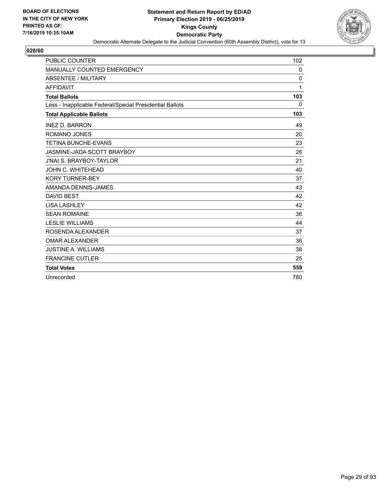

| <b>PUBLIC COUNTER</b>                                    | 102          |
|----------------------------------------------------------|--------------|
| MANUALLY COUNTED EMERGENCY                               | 0            |
| <b>ABSENTEE / MILITARY</b>                               | 0            |
| <b>AFFIDAVIT</b>                                         | 1            |
| <b>Total Ballots</b>                                     | 103          |
| Less - Inapplicable Federal/Special Presidential Ballots | $\mathbf{0}$ |
| <b>Total Applicable Ballots</b>                          | 103          |
| <b>INEZ D. BARRON</b>                                    | 49           |
| ROMANO JONES                                             | 20           |
| <b>TETINA BUNCHE-EVANS</b>                               | 23           |
| JASMINE-JADA SCOTT BRAYBOY                               | 26           |
| J'NAI S. BRAYBOY-TAYLOR                                  | 21           |
| JOHN C. WHITEHEAD                                        | 40           |
| <b>KORY TURNER-BEY</b>                                   | 37           |
| AMANDA DENNIS-JAMES                                      | 43           |
| <b>DAVID BEST</b>                                        | 42           |
| <b>LISA LASHLEY</b>                                      | 42           |
| <b>SEAN ROMAINE</b>                                      | 36           |
| <b>LESLIE WILLIAMS</b>                                   | 44           |
| ROSENDA ALEXANDER                                        | 37           |
| <b>OMAR ALEXANDER</b>                                    | 36           |
| <b>JUSTINE A. WILLIAMS</b>                               | 38           |
| <b>FRANCINE CUTLER</b>                                   | 25           |
| <b>Total Votes</b>                                       | 559          |
| Unrecorded                                               | 780          |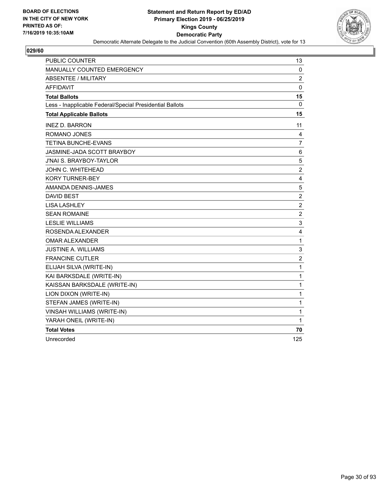

| PUBLIC COUNTER                                           | 13                      |
|----------------------------------------------------------|-------------------------|
| MANUALLY COUNTED EMERGENCY                               | 0                       |
| <b>ABSENTEE / MILITARY</b>                               | 2                       |
| <b>AFFIDAVIT</b>                                         | $\mathbf 0$             |
| <b>Total Ballots</b>                                     | 15                      |
| Less - Inapplicable Federal/Special Presidential Ballots | 0                       |
| <b>Total Applicable Ballots</b>                          | 15                      |
| <b>INEZ D. BARRON</b>                                    | 11                      |
| ROMANO JONES                                             | 4                       |
| <b>TETINA BUNCHE-EVANS</b>                               | 7                       |
| JASMINE-JADA SCOTT BRAYBOY                               | 6                       |
| J'NAI S. BRAYBOY-TAYLOR                                  | 5                       |
| JOHN C. WHITEHEAD                                        | $\overline{c}$          |
| <b>KORY TURNER-BEY</b>                                   | $\overline{4}$          |
| AMANDA DENNIS-JAMES                                      | 5                       |
| <b>DAVID BEST</b>                                        | $\boldsymbol{2}$        |
| <b>LISA LASHLEY</b>                                      | $\overline{2}$          |
| <b>SEAN ROMAINE</b>                                      | $\overline{c}$          |
| <b>LESLIE WILLIAMS</b>                                   | 3                       |
| ROSENDA ALEXANDER                                        | 4                       |
| OMAR ALEXANDER                                           | $\mathbf{1}$            |
| <b>JUSTINE A. WILLIAMS</b>                               | 3                       |
| <b>FRANCINE CUTLER</b>                                   | $\overline{\mathbf{c}}$ |
| ELIJAH SILVA (WRITE-IN)                                  | $\mathbf{1}$            |
| KAI BARKSDALE (WRITE-IN)                                 | $\mathbf{1}$            |
| KAISSAN BARKSDALE (WRITE-IN)                             | 1                       |
| LION DIXON (WRITE-IN)                                    | $\mathbf{1}$            |
| STEFAN JAMES (WRITE-IN)                                  | 1                       |
| VINSAH WILLIAMS (WRITE-IN)                               | 1                       |
| YARAH ONEIL (WRITE-IN)                                   | 1                       |
| <b>Total Votes</b>                                       | 70                      |
| Unrecorded                                               | 125                     |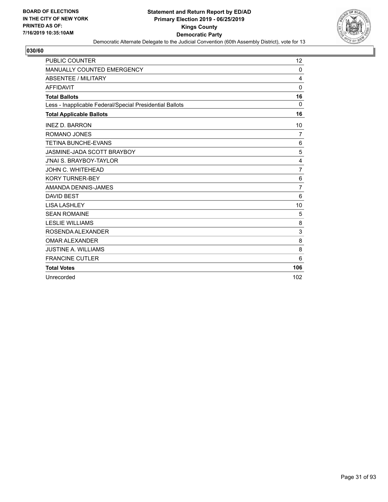

| <b>PUBLIC COUNTER</b>                                    | 12             |
|----------------------------------------------------------|----------------|
| <b>MANUALLY COUNTED EMERGENCY</b>                        | $\Omega$       |
| ABSENTEE / MILITARY                                      | 4              |
| <b>AFFIDAVIT</b>                                         | $\Omega$       |
| <b>Total Ballots</b>                                     | 16             |
| Less - Inapplicable Federal/Special Presidential Ballots | 0              |
| <b>Total Applicable Ballots</b>                          | 16             |
| <b>INEZ D. BARRON</b>                                    | 10             |
| <b>ROMANO JONES</b>                                      | 7              |
| <b>TETINA BUNCHE-EVANS</b>                               | 6              |
| JASMINE-JADA SCOTT BRAYBOY                               | 5              |
| <b>J'NAI S. BRAYBOY-TAYLOR</b>                           | 4              |
| JOHN C. WHITEHEAD                                        | $\overline{7}$ |
| <b>KORY TURNER-BEY</b>                                   | 6              |
| AMANDA DENNIS-JAMES                                      | $\overline{7}$ |
| <b>DAVID BEST</b>                                        | 6              |
| <b>LISA LASHLEY</b>                                      | 10             |
| <b>SEAN ROMAINE</b>                                      | 5              |
| <b>LESLIE WILLIAMS</b>                                   | 8              |
| ROSENDA ALEXANDER                                        | 3              |
| <b>OMAR ALEXANDER</b>                                    | 8              |
| <b>JUSTINE A. WILLIAMS</b>                               | 8              |
| <b>FRANCINE CUTLER</b>                                   | 6              |
| <b>Total Votes</b>                                       | 106            |
| Unrecorded                                               | 102            |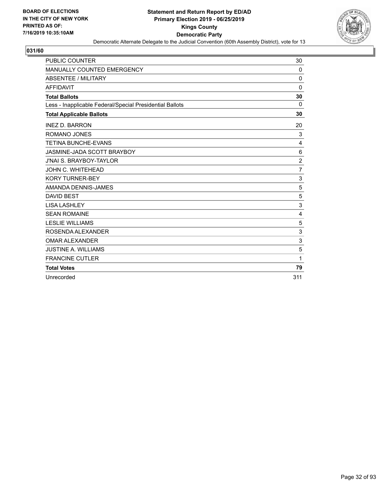

| <b>PUBLIC COUNTER</b>                                    | 30             |
|----------------------------------------------------------|----------------|
| <b>MANUALLY COUNTED EMERGENCY</b>                        | $\Omega$       |
| ABSENTEE / MILITARY                                      | $\mathbf 0$    |
| <b>AFFIDAVIT</b>                                         | $\Omega$       |
| <b>Total Ballots</b>                                     | 30             |
| Less - Inapplicable Federal/Special Presidential Ballots | $\Omega$       |
| <b>Total Applicable Ballots</b>                          | 30             |
| <b>INEZ D. BARRON</b>                                    | 20             |
| <b>ROMANO JONES</b>                                      | 3              |
| <b>TETINA BUNCHE-EVANS</b>                               | $\overline{4}$ |
| JASMINE-JADA SCOTT BRAYBOY                               | 6              |
| <b>J'NAI S. BRAYBOY-TAYLOR</b>                           | $\overline{c}$ |
| JOHN C. WHITEHEAD                                        | $\overline{7}$ |
| <b>KORY TURNER-BEY</b>                                   | 3              |
| AMANDA DENNIS-JAMES                                      | 5              |
| <b>DAVID BEST</b>                                        | 5              |
| <b>LISA LASHLEY</b>                                      | 3              |
| <b>SEAN ROMAINE</b>                                      | $\overline{4}$ |
| <b>LESLIE WILLIAMS</b>                                   | 5              |
| ROSENDA ALEXANDER                                        | 3              |
| <b>OMAR ALEXANDER</b>                                    | 3              |
| <b>JUSTINE A. WILLIAMS</b>                               | 5              |
| <b>FRANCINE CUTLER</b>                                   | 1              |
| <b>Total Votes</b>                                       | 79             |
| Unrecorded                                               | 311            |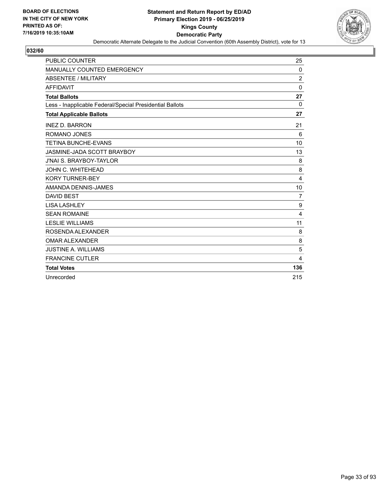

| <b>PUBLIC COUNTER</b>                                    | 25             |
|----------------------------------------------------------|----------------|
| <b>MANUALLY COUNTED EMERGENCY</b>                        | 0              |
| ABSENTEE / MILITARY                                      | $\overline{2}$ |
| <b>AFFIDAVIT</b>                                         | $\mathbf{0}$   |
| <b>Total Ballots</b>                                     | 27             |
| Less - Inapplicable Federal/Special Presidential Ballots | 0              |
| <b>Total Applicable Ballots</b>                          | 27             |
| <b>INEZ D. BARRON</b>                                    | 21             |
| <b>ROMANO JONES</b>                                      | 6              |
| <b>TETINA BUNCHE-EVANS</b>                               | 10             |
| JASMINE-JADA SCOTT BRAYBOY                               | 13             |
| <b>J'NAI S. BRAYBOY-TAYLOR</b>                           | 8              |
| <b>JOHN C. WHITEHEAD</b>                                 | 8              |
| <b>KORY TURNER-BEY</b>                                   | 4              |
| AMANDA DENNIS-JAMES                                      | 10             |
| <b>DAVID BEST</b>                                        | $\overline{7}$ |
| <b>LISA LASHLEY</b>                                      | 9              |
| <b>SEAN ROMAINE</b>                                      | 4              |
| <b>LESLIE WILLIAMS</b>                                   | 11             |
| ROSENDA ALEXANDER                                        | 8              |
| <b>OMAR ALEXANDER</b>                                    | 8              |
| <b>JUSTINE A. WILLIAMS</b>                               | 5              |
| <b>FRANCINE CUTLER</b>                                   | 4              |
| <b>Total Votes</b>                                       | 136            |
| Unrecorded                                               | 215            |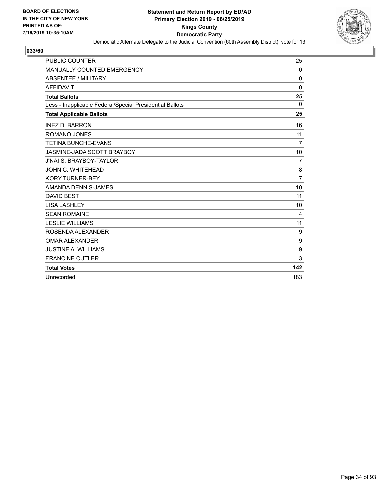

| <b>PUBLIC COUNTER</b>                                    | 25             |
|----------------------------------------------------------|----------------|
| <b>MANUALLY COUNTED EMERGENCY</b>                        | 0              |
| ABSENTEE / MILITARY                                      | $\mathbf 0$    |
| <b>AFFIDAVIT</b>                                         | $\mathbf{0}$   |
| <b>Total Ballots</b>                                     | 25             |
| Less - Inapplicable Federal/Special Presidential Ballots | 0              |
| <b>Total Applicable Ballots</b>                          | 25             |
| <b>INEZ D. BARRON</b>                                    | 16             |
| <b>ROMANO JONES</b>                                      | 11             |
| <b>TETINA BUNCHE-EVANS</b>                               | 7              |
| JASMINE-JADA SCOTT BRAYBOY                               | 10             |
| <b>J'NAI S. BRAYBOY-TAYLOR</b>                           | 7              |
| JOHN C. WHITEHEAD                                        | 8              |
| <b>KORY TURNER-BEY</b>                                   | $\overline{7}$ |
| AMANDA DENNIS-JAMES                                      | 10             |
| <b>DAVID BEST</b>                                        | 11             |
| <b>LISA LASHLEY</b>                                      | 10             |
| <b>SEAN ROMAINE</b>                                      | 4              |
| <b>LESLIE WILLIAMS</b>                                   | 11             |
| ROSENDA ALEXANDER                                        | 9              |
| <b>OMAR ALEXANDER</b>                                    | 9              |
| <b>JUSTINE A. WILLIAMS</b>                               | 9              |
| <b>FRANCINE CUTLER</b>                                   | 3              |
| <b>Total Votes</b>                                       | 142            |
| Unrecorded                                               | 183            |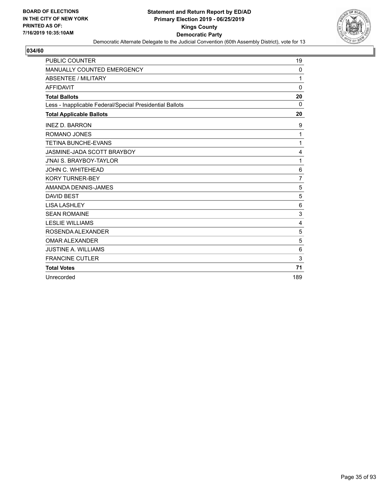

| <b>PUBLIC COUNTER</b>                                    | 19             |
|----------------------------------------------------------|----------------|
| MANUALLY COUNTED EMERGENCY                               | 0              |
| ABSENTEE / MILITARY                                      | 1              |
| <b>AFFIDAVIT</b>                                         | $\Omega$       |
| <b>Total Ballots</b>                                     | 20             |
| Less - Inapplicable Federal/Special Presidential Ballots | 0              |
| <b>Total Applicable Ballots</b>                          | 20             |
| <b>INEZ D. BARRON</b>                                    | 9              |
| ROMANO JONES                                             | 1              |
| <b>TETINA BUNCHE-EVANS</b>                               | 1              |
| JASMINE-JADA SCOTT BRAYBOY                               | 4              |
| <b>J'NAI S. BRAYBOY-TAYLOR</b>                           | 1              |
| <b>JOHN C. WHITEHEAD</b>                                 | $\,6$          |
| <b>KORY TURNER-BEY</b>                                   | $\overline{7}$ |
| AMANDA DENNIS-JAMES                                      | 5              |
| <b>DAVID BEST</b>                                        | 5              |
| <b>LISA LASHLEY</b>                                      | 6              |
| <b>SEAN ROMAINE</b>                                      | 3              |
| <b>LESLIE WILLIAMS</b>                                   | $\overline{4}$ |
| ROSENDA ALEXANDER                                        | 5              |
| <b>OMAR ALEXANDER</b>                                    | 5              |
| <b>JUSTINE A. WILLIAMS</b>                               | 6              |
| <b>FRANCINE CUTLER</b>                                   | 3              |
| <b>Total Votes</b>                                       | 71             |
| Unrecorded                                               | 189            |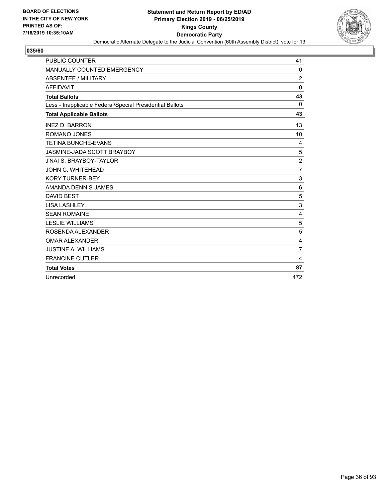

| <b>PUBLIC COUNTER</b>                                    | 41             |
|----------------------------------------------------------|----------------|
| <b>MANUALLY COUNTED EMERGENCY</b>                        | $\Omega$       |
| ABSENTEE / MILITARY                                      | $\overline{2}$ |
| <b>AFFIDAVIT</b>                                         | $\Omega$       |
| <b>Total Ballots</b>                                     | 43             |
| Less - Inapplicable Federal/Special Presidential Ballots | $\Omega$       |
| <b>Total Applicable Ballots</b>                          | 43             |
| <b>INEZ D. BARRON</b>                                    | 13             |
| <b>ROMANO JONES</b>                                      | 10             |
| <b>TETINA BUNCHE-EVANS</b>                               | 4              |
| JASMINE-JADA SCOTT BRAYBOY                               | 5              |
| <b>J'NAI S. BRAYBOY-TAYLOR</b>                           | $\overline{c}$ |
| JOHN C. WHITEHEAD                                        | $\overline{7}$ |
| <b>KORY TURNER-BEY</b>                                   | 3              |
| AMANDA DENNIS-JAMES                                      | 6              |
| <b>DAVID BEST</b>                                        | 5              |
| <b>LISA LASHLEY</b>                                      | 3              |
| <b>SEAN ROMAINE</b>                                      | $\overline{4}$ |
| <b>LESLIE WILLIAMS</b>                                   | 5              |
| ROSENDA ALEXANDER                                        | 5              |
| <b>OMAR ALEXANDER</b>                                    | 4              |
| <b>JUSTINE A. WILLIAMS</b>                               | $\overline{7}$ |
| <b>FRANCINE CUTLER</b>                                   | 4              |
| <b>Total Votes</b>                                       | 87             |
| Unrecorded                                               | 472            |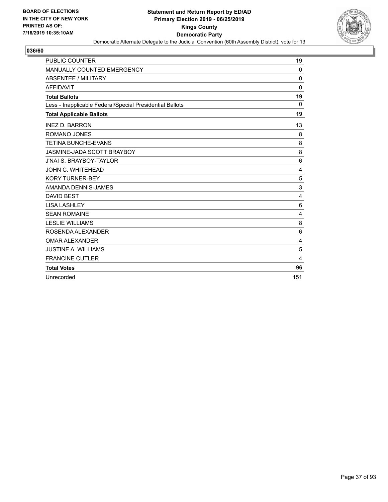

| <b>PUBLIC COUNTER</b>                                    | 19             |
|----------------------------------------------------------|----------------|
| <b>MANUALLY COUNTED EMERGENCY</b>                        | $\Omega$       |
| <b>ABSENTEE / MILITARY</b>                               | $\mathbf 0$    |
| <b>AFFIDAVIT</b>                                         | $\Omega$       |
| <b>Total Ballots</b>                                     | 19             |
| Less - Inapplicable Federal/Special Presidential Ballots | 0              |
| <b>Total Applicable Ballots</b>                          | 19             |
| <b>INEZ D. BARRON</b>                                    | 13             |
| <b>ROMANO JONES</b>                                      | 8              |
| <b>TETINA BUNCHE-EVANS</b>                               | 8              |
| JASMINE-JADA SCOTT BRAYBOY                               | 8              |
| <b>J'NAI S. BRAYBOY-TAYLOR</b>                           | 6              |
| JOHN C. WHITEHEAD                                        | 4              |
| <b>KORY TURNER-BEY</b>                                   | 5              |
| AMANDA DENNIS-JAMES                                      | 3              |
| <b>DAVID BEST</b>                                        | $\overline{4}$ |
| <b>LISA LASHLEY</b>                                      | 6              |
| <b>SEAN ROMAINE</b>                                      | $\overline{4}$ |
| <b>LESLIE WILLIAMS</b>                                   | 8              |
| ROSENDA ALEXANDER                                        | 6              |
| <b>OMAR ALEXANDER</b>                                    | 4              |
| <b>JUSTINE A. WILLIAMS</b>                               | 5              |
| <b>FRANCINE CUTLER</b>                                   | 4              |
| <b>Total Votes</b>                                       | 96             |
| Unrecorded                                               | 151            |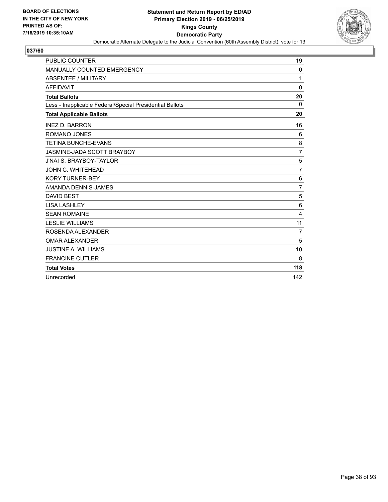

| <b>PUBLIC COUNTER</b>                                    | 19              |
|----------------------------------------------------------|-----------------|
| <b>MANUALLY COUNTED EMERGENCY</b>                        | $\mathbf{0}$    |
| ABSENTEE / MILITARY                                      | 1               |
| <b>AFFIDAVIT</b>                                         | $\Omega$        |
| <b>Total Ballots</b>                                     | 20              |
| Less - Inapplicable Federal/Special Presidential Ballots | $\Omega$        |
| <b>Total Applicable Ballots</b>                          | 20              |
| <b>INEZ D. BARRON</b>                                    | 16              |
| <b>ROMANO JONES</b>                                      | 6               |
| <b>TETINA BUNCHE-EVANS</b>                               | 8               |
| JASMINE-JADA SCOTT BRAYBOY                               | $\overline{7}$  |
| <b>J'NAI S. BRAYBOY-TAYLOR</b>                           | 5               |
| JOHN C. WHITEHEAD                                        | 7               |
| <b>KORY TURNER-BEY</b>                                   | 6               |
| AMANDA DENNIS-JAMES                                      | $\overline{7}$  |
| <b>DAVID BEST</b>                                        | 5               |
| <b>LISA LASHLEY</b>                                      | $6\phantom{1}6$ |
| <b>SEAN ROMAINE</b>                                      | $\overline{4}$  |
| <b>LESLIE WILLIAMS</b>                                   | 11              |
| ROSENDA ALEXANDER                                        | $\overline{7}$  |
| <b>OMAR ALEXANDER</b>                                    | 5               |
| <b>JUSTINE A. WILLIAMS</b>                               | 10              |
| <b>FRANCINE CUTLER</b>                                   | 8               |
| <b>Total Votes</b>                                       | 118             |
| Unrecorded                                               | 142             |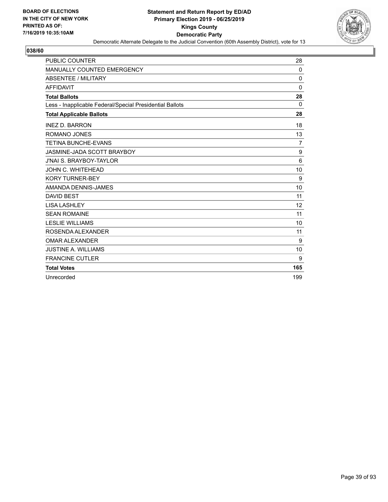

| <b>PUBLIC COUNTER</b>                                    | 28           |
|----------------------------------------------------------|--------------|
| <b>MANUALLY COUNTED EMERGENCY</b>                        | 0            |
| <b>ABSENTEE / MILITARY</b>                               | $\mathbf 0$  |
| <b>AFFIDAVIT</b>                                         | $\mathbf{0}$ |
| <b>Total Ballots</b>                                     | 28           |
| Less - Inapplicable Federal/Special Presidential Ballots | $\Omega$     |
| <b>Total Applicable Ballots</b>                          | 28           |
| <b>INEZ D. BARRON</b>                                    | 18           |
| ROMANO JONES                                             | 13           |
| <b>TETINA BUNCHE-EVANS</b>                               | 7            |
| JASMINE-JADA SCOTT BRAYBOY                               | 9            |
| <b>J'NAI S. BRAYBOY-TAYLOR</b>                           | 6            |
| JOHN C. WHITEHEAD                                        | 10           |
| <b>KORY TURNER-BEY</b>                                   | 9            |
| AMANDA DENNIS-JAMES                                      | 10           |
| <b>DAVID BEST</b>                                        | 11           |
| <b>LISA LASHLEY</b>                                      | 12           |
| <b>SEAN ROMAINE</b>                                      | 11           |
| <b>LESLIE WILLIAMS</b>                                   | 10           |
| ROSENDA ALEXANDER                                        | 11           |
| <b>OMAR ALEXANDER</b>                                    | 9            |
| <b>JUSTINE A. WILLIAMS</b>                               | 10           |
| <b>FRANCINE CUTLER</b>                                   | 9            |
| <b>Total Votes</b>                                       | 165          |
| Unrecorded                                               | 199          |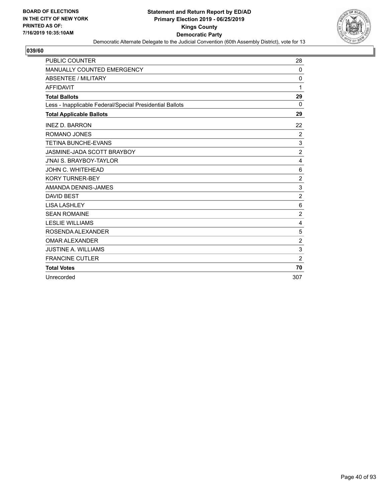

| <b>PUBLIC COUNTER</b>                                    | 28             |
|----------------------------------------------------------|----------------|
| <b>MANUALLY COUNTED EMERGENCY</b>                        | $\Omega$       |
| ABSENTEE / MILITARY                                      | $\mathbf 0$    |
| <b>AFFIDAVIT</b>                                         | 1              |
| <b>Total Ballots</b>                                     | 29             |
| Less - Inapplicable Federal/Special Presidential Ballots | $\Omega$       |
| <b>Total Applicable Ballots</b>                          | 29             |
| <b>INEZ D. BARRON</b>                                    | 22             |
| <b>ROMANO JONES</b>                                      | $\overline{c}$ |
| <b>TETINA BUNCHE-EVANS</b>                               | 3              |
| JASMINE-JADA SCOTT BRAYBOY                               | $\overline{2}$ |
| <b>J'NAI S. BRAYBOY-TAYLOR</b>                           | 4              |
| JOHN C. WHITEHEAD                                        | 6              |
| <b>KORY TURNER-BEY</b>                                   | $\overline{2}$ |
| AMANDA DENNIS-JAMES                                      | 3              |
| <b>DAVID BEST</b>                                        | $\overline{2}$ |
| <b>LISA LASHLEY</b>                                      | $\,6$          |
| <b>SEAN ROMAINE</b>                                      | $\overline{2}$ |
| <b>LESLIE WILLIAMS</b>                                   | $\overline{4}$ |
| ROSENDA ALEXANDER                                        | 5              |
| <b>OMAR ALEXANDER</b>                                    | $\overline{c}$ |
| <b>JUSTINE A. WILLIAMS</b>                               | 3              |
| <b>FRANCINE CUTLER</b>                                   | $\overline{2}$ |
| <b>Total Votes</b>                                       | 70             |
| Unrecorded                                               | 307            |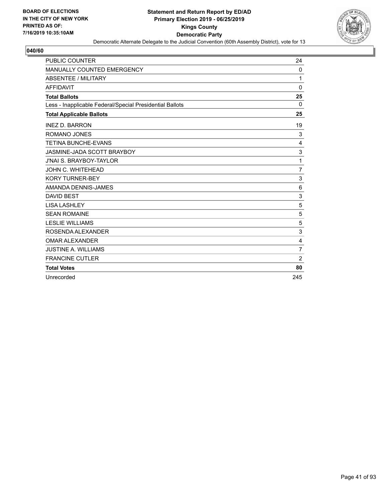

| <b>PUBLIC COUNTER</b>                                    | 24             |
|----------------------------------------------------------|----------------|
| <b>MANUALLY COUNTED EMERGENCY</b>                        | $\mathbf{0}$   |
| ABSENTEE / MILITARY                                      | 1              |
| <b>AFFIDAVIT</b>                                         | $\Omega$       |
| <b>Total Ballots</b>                                     | 25             |
| Less - Inapplicable Federal/Special Presidential Ballots | $\Omega$       |
| <b>Total Applicable Ballots</b>                          | 25             |
| <b>INEZ D. BARRON</b>                                    | 19             |
| <b>ROMANO JONES</b>                                      | 3              |
| <b>TETINA BUNCHE-EVANS</b>                               | 4              |
| JASMINE-JADA SCOTT BRAYBOY                               | 3              |
| <b>J'NAI S. BRAYBOY-TAYLOR</b>                           | 1              |
| JOHN C. WHITEHEAD                                        | $\overline{7}$ |
| <b>KORY TURNER-BEY</b>                                   | 3              |
| AMANDA DENNIS-JAMES                                      | 6              |
| <b>DAVID BEST</b>                                        | 3              |
| <b>LISA LASHLEY</b>                                      | 5              |
| <b>SEAN ROMAINE</b>                                      | 5              |
| <b>LESLIE WILLIAMS</b>                                   | 5              |
| ROSENDA ALEXANDER                                        | 3              |
| <b>OMAR ALEXANDER</b>                                    | 4              |
| <b>JUSTINE A. WILLIAMS</b>                               | $\overline{7}$ |
| <b>FRANCINE CUTLER</b>                                   | $\overline{2}$ |
| <b>Total Votes</b>                                       | 80             |
| Unrecorded                                               | 245            |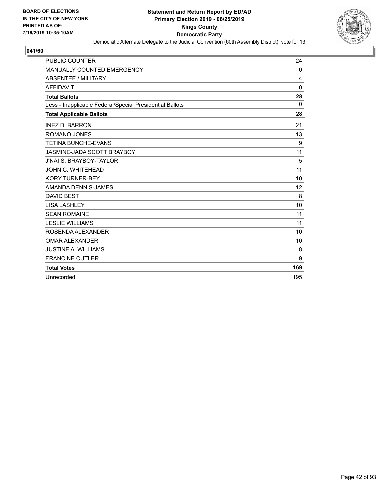

| <b>PUBLIC COUNTER</b>                                    | 24  |
|----------------------------------------------------------|-----|
| <b>MANUALLY COUNTED EMERGENCY</b>                        | 0   |
| <b>ABSENTEE / MILITARY</b>                               | 4   |
| <b>AFFIDAVIT</b>                                         | 0   |
| <b>Total Ballots</b>                                     | 28  |
| Less - Inapplicable Federal/Special Presidential Ballots | 0   |
| <b>Total Applicable Ballots</b>                          | 28  |
| <b>INEZ D. BARRON</b>                                    | 21  |
| ROMANO JONES                                             | 13  |
| <b>TETINA BUNCHE-EVANS</b>                               | 9   |
| JASMINE-JADA SCOTT BRAYBOY                               | 11  |
| <b>J'NAI S. BRAYBOY-TAYLOR</b>                           | 5   |
| JOHN C. WHITEHEAD                                        | 11  |
| <b>KORY TURNER-BEY</b>                                   | 10  |
| AMANDA DENNIS-JAMES                                      | 12  |
| <b>DAVID BEST</b>                                        | 8   |
| <b>LISA LASHLEY</b>                                      | 10  |
| <b>SEAN ROMAINE</b>                                      | 11  |
| <b>LESLIE WILLIAMS</b>                                   | 11  |
| ROSENDA ALEXANDER                                        | 10  |
| <b>OMAR ALEXANDER</b>                                    | 10  |
| <b>JUSTINE A. WILLIAMS</b>                               | 8   |
| <b>FRANCINE CUTLER</b>                                   | 9   |
| <b>Total Votes</b>                                       | 169 |
| Unrecorded                                               | 195 |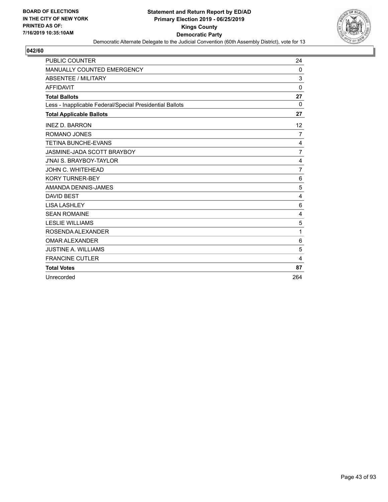

| <b>PUBLIC COUNTER</b>                                    | 24             |
|----------------------------------------------------------|----------------|
| <b>MANUALLY COUNTED EMERGENCY</b>                        | $\Omega$       |
| ABSENTEE / MILITARY                                      | 3              |
| <b>AFFIDAVIT</b>                                         | $\Omega$       |
| <b>Total Ballots</b>                                     | 27             |
| Less - Inapplicable Federal/Special Presidential Ballots | $\Omega$       |
| <b>Total Applicable Ballots</b>                          | 27             |
| <b>INEZ D. BARRON</b>                                    | 12             |
| <b>ROMANO JONES</b>                                      | 7              |
| <b>TETINA BUNCHE-EVANS</b>                               | 4              |
| JASMINE-JADA SCOTT BRAYBOY                               | $\overline{7}$ |
| <b>J'NAI S. BRAYBOY-TAYLOR</b>                           | 4              |
| JOHN C. WHITEHEAD                                        | $\overline{7}$ |
| <b>KORY TURNER-BEY</b>                                   | 6              |
| AMANDA DENNIS-JAMES                                      | 5              |
| <b>DAVID BEST</b>                                        | $\overline{4}$ |
| <b>LISA LASHLEY</b>                                      | 6              |
| <b>SEAN ROMAINE</b>                                      | $\overline{4}$ |
| <b>LESLIE WILLIAMS</b>                                   | 5              |
| ROSENDA ALEXANDER                                        | 1              |
| <b>OMAR ALEXANDER</b>                                    | 6              |
| <b>JUSTINE A. WILLIAMS</b>                               | 5              |
| <b>FRANCINE CUTLER</b>                                   | 4              |
| <b>Total Votes</b>                                       | 87             |
| Unrecorded                                               | 264            |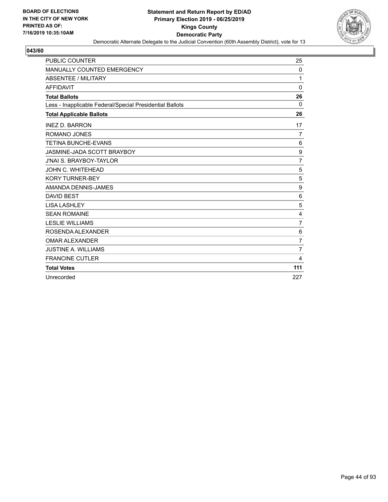

| <b>PUBLIC COUNTER</b>                                    | 25             |
|----------------------------------------------------------|----------------|
| <b>MANUALLY COUNTED EMERGENCY</b>                        | 0              |
| <b>ABSENTEE / MILITARY</b>                               | 1              |
| <b>AFFIDAVIT</b>                                         | $\Omega$       |
| <b>Total Ballots</b>                                     | 26             |
| Less - Inapplicable Federal/Special Presidential Ballots | 0              |
| <b>Total Applicable Ballots</b>                          | 26             |
| <b>INEZ D. BARRON</b>                                    | 17             |
| <b>ROMANO JONES</b>                                      | 7              |
| <b>TETINA BUNCHE-EVANS</b>                               | 6              |
| JASMINE-JADA SCOTT BRAYBOY                               | 9              |
| <b>J'NAI S. BRAYBOY-TAYLOR</b>                           | $\overline{7}$ |
| JOHN C. WHITEHEAD                                        | 5              |
| <b>KORY TURNER-BEY</b>                                   | 5              |
| AMANDA DENNIS-JAMES                                      | 9              |
| <b>DAVID BEST</b>                                        | 6              |
| <b>LISA LASHLEY</b>                                      | 5              |
| <b>SEAN ROMAINE</b>                                      | 4              |
| <b>LESLIE WILLIAMS</b>                                   | $\overline{7}$ |
| ROSENDA ALEXANDER                                        | 6              |
| <b>OMAR ALEXANDER</b>                                    | $\overline{7}$ |
| <b>JUSTINE A. WILLIAMS</b>                               | $\overline{7}$ |
| <b>FRANCINE CUTLER</b>                                   | 4              |
| <b>Total Votes</b>                                       | 111            |
| Unrecorded                                               | 227            |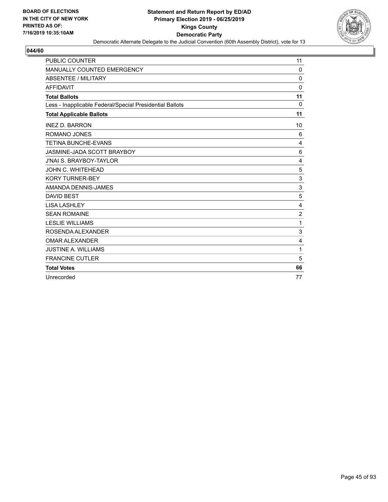

| <b>PUBLIC COUNTER</b>                                    | 11             |
|----------------------------------------------------------|----------------|
| MANUALLY COUNTED EMERGENCY                               | $\Omega$       |
| <b>ABSENTEE / MILITARY</b>                               | $\Omega$       |
| <b>AFFIDAVIT</b>                                         | $\Omega$       |
| <b>Total Ballots</b>                                     | 11             |
| Less - Inapplicable Federal/Special Presidential Ballots | 0              |
| <b>Total Applicable Ballots</b>                          | 11             |
| <b>INEZ D. BARRON</b>                                    | 10             |
| ROMANO JONES                                             | 6              |
| <b>TETINA BUNCHE-EVANS</b>                               | 4              |
| JASMINE-JADA SCOTT BRAYBOY                               | 6              |
| <b>J'NAI S. BRAYBOY-TAYLOR</b>                           | 4              |
| JOHN C. WHITEHEAD                                        | 5              |
| <b>KORY TURNER-BEY</b>                                   | 3              |
| AMANDA DENNIS-JAMES                                      | 3              |
| <b>DAVID BEST</b>                                        | 5              |
| <b>LISA LASHLEY</b>                                      | 4              |
| <b>SEAN ROMAINE</b>                                      | $\overline{2}$ |
| <b>LESLIE WILLIAMS</b>                                   | 1              |
| ROSENDA ALEXANDER                                        | 3              |
| <b>OMAR ALEXANDER</b>                                    | 4              |
| <b>JUSTINE A. WILLIAMS</b>                               | 1              |
| <b>FRANCINE CUTLER</b>                                   | 5              |
| <b>Total Votes</b>                                       | 66             |
| Unrecorded                                               | 77             |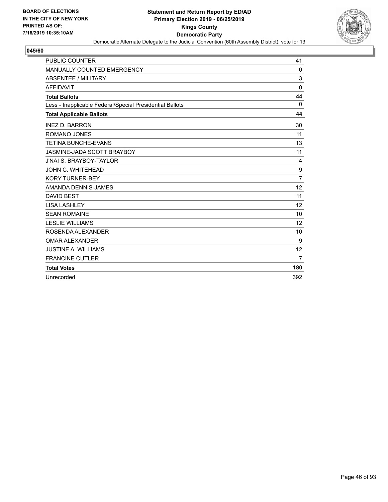

| <b>PUBLIC COUNTER</b>                                    | 41             |
|----------------------------------------------------------|----------------|
| <b>MANUALLY COUNTED EMERGENCY</b>                        | 0              |
| ABSENTEE / MILITARY                                      | 3              |
| <b>AFFIDAVIT</b>                                         | $\Omega$       |
| <b>Total Ballots</b>                                     | 44             |
| Less - Inapplicable Federal/Special Presidential Ballots | $\Omega$       |
| <b>Total Applicable Ballots</b>                          | 44             |
| <b>INEZ D. BARRON</b>                                    | 30             |
| ROMANO JONES                                             | 11             |
| <b>TETINA BUNCHE-EVANS</b>                               | 13             |
| JASMINE-JADA SCOTT BRAYBOY                               | 11             |
| <b>J'NAI S. BRAYBOY-TAYLOR</b>                           | 4              |
| JOHN C. WHITEHEAD                                        | 9              |
| <b>KORY TURNER-BEY</b>                                   | $\overline{7}$ |
| AMANDA DENNIS-JAMES                                      | 12             |
| <b>DAVID BEST</b>                                        | 11             |
| <b>LISA LASHLEY</b>                                      | 12             |
| <b>SEAN ROMAINE</b>                                      | 10             |
| <b>LESLIE WILLIAMS</b>                                   | 12             |
| ROSENDA ALEXANDER                                        | 10             |
| <b>OMAR ALEXANDER</b>                                    | 9              |
| <b>JUSTINE A. WILLIAMS</b>                               | 12             |
| <b>FRANCINE CUTLER</b>                                   | $\overline{7}$ |
| <b>Total Votes</b>                                       | 180            |
| Unrecorded                                               | 392            |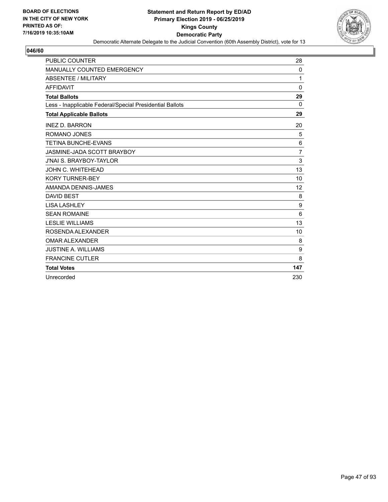

| <b>PUBLIC COUNTER</b>                                    | 28             |
|----------------------------------------------------------|----------------|
| <b>MANUALLY COUNTED EMERGENCY</b>                        | 0              |
| ABSENTEE / MILITARY                                      | 1              |
| <b>AFFIDAVIT</b>                                         | $\mathbf 0$    |
| <b>Total Ballots</b>                                     | 29             |
| Less - Inapplicable Federal/Special Presidential Ballots | $\Omega$       |
| <b>Total Applicable Ballots</b>                          | 29             |
| <b>INEZ D. BARRON</b>                                    | 20             |
| <b>ROMANO JONES</b>                                      | 5              |
| <b>TETINA BUNCHE-EVANS</b>                               | 6              |
| JASMINE-JADA SCOTT BRAYBOY                               | $\overline{7}$ |
| <b>J'NAI S. BRAYBOY-TAYLOR</b>                           | 3              |
| JOHN C. WHITEHEAD                                        | 13             |
| <b>KORY TURNER-BEY</b>                                   | 10             |
| AMANDA DENNIS-JAMES                                      | 12             |
| <b>DAVID BEST</b>                                        | 8              |
| <b>LISA LASHLEY</b>                                      | 9              |
| <b>SEAN ROMAINE</b>                                      | 6              |
| <b>LESLIE WILLIAMS</b>                                   | 13             |
| ROSENDA ALEXANDER                                        | 10             |
| <b>OMAR ALEXANDER</b>                                    | 8              |
| <b>JUSTINE A. WILLIAMS</b>                               | 9              |
| <b>FRANCINE CUTLER</b>                                   | 8              |
| <b>Total Votes</b>                                       | 147            |
| Unrecorded                                               | 230            |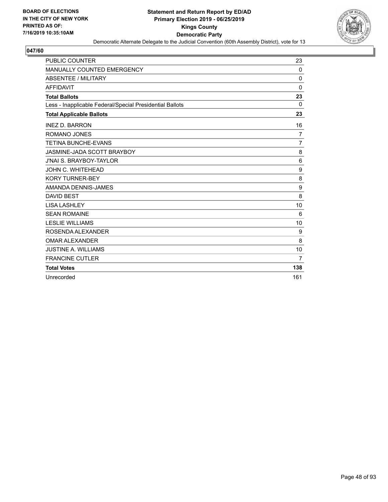

| <b>PUBLIC COUNTER</b>                                    | 23             |
|----------------------------------------------------------|----------------|
| MANUALLY COUNTED EMERGENCY                               | $\mathbf{0}$   |
| ABSENTEE / MILITARY                                      | 0              |
| <b>AFFIDAVIT</b>                                         | 0              |
| <b>Total Ballots</b>                                     | 23             |
| Less - Inapplicable Federal/Special Presidential Ballots | $\Omega$       |
| <b>Total Applicable Ballots</b>                          | 23             |
| <b>INEZ D. BARRON</b>                                    | 16             |
| ROMANO JONES                                             | $\overline{7}$ |
| <b>TETINA BUNCHE-EVANS</b>                               | $\overline{7}$ |
| JASMINE-JADA SCOTT BRAYBOY                               | 8              |
| <b>J'NAI S. BRAYBOY-TAYLOR</b>                           | 6              |
| JOHN C. WHITEHEAD                                        | 9              |
| <b>KORY TURNER-BEY</b>                                   | 8              |
| AMANDA DENNIS-JAMES                                      | 9              |
| <b>DAVID BEST</b>                                        | 8              |
| <b>LISA LASHLEY</b>                                      | 10             |
| <b>SEAN ROMAINE</b>                                      | 6              |
| <b>LESLIE WILLIAMS</b>                                   | 10             |
| ROSENDA ALEXANDER                                        | 9              |
| <b>OMAR ALEXANDER</b>                                    | 8              |
| <b>JUSTINE A. WILLIAMS</b>                               | 10             |
| <b>FRANCINE CUTLER</b>                                   | $\overline{7}$ |
| <b>Total Votes</b>                                       | 138            |
| Unrecorded                                               | 161            |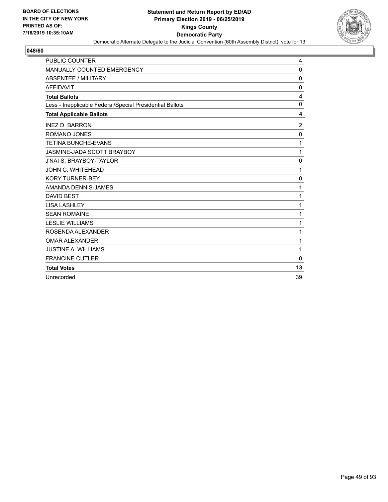

| <b>PUBLIC COUNTER</b>                                    | 4              |
|----------------------------------------------------------|----------------|
| MANUALLY COUNTED EMERGENCY                               | $\mathbf 0$    |
| <b>ABSENTEE / MILITARY</b>                               | $\Omega$       |
| <b>AFFIDAVIT</b>                                         | $\Omega$       |
| <b>Total Ballots</b>                                     | 4              |
| Less - Inapplicable Federal/Special Presidential Ballots | 0              |
| <b>Total Applicable Ballots</b>                          | 4              |
| <b>INEZ D. BARRON</b>                                    | $\overline{2}$ |
| ROMANO JONES                                             | 0              |
| <b>TETINA BUNCHE-EVANS</b>                               | 1              |
| JASMINE-JADA SCOTT BRAYBOY                               | 1              |
| <b>J'NAI S. BRAYBOY-TAYLOR</b>                           | $\mathbf 0$    |
| JOHN C. WHITEHEAD                                        | 1              |
| <b>KORY TURNER-BEY</b>                                   | $\mathbf 0$    |
| AMANDA DENNIS-JAMES                                      | 1              |
| <b>DAVID BEST</b>                                        | 1              |
| <b>LISA LASHLEY</b>                                      | 1              |
| <b>SEAN ROMAINE</b>                                      | 1              |
| <b>LESLIE WILLIAMS</b>                                   | 1              |
| ROSENDA ALEXANDER                                        | 1              |
| <b>OMAR ALEXANDER</b>                                    | 1              |
| <b>JUSTINE A. WILLIAMS</b>                               | 1              |
| <b>FRANCINE CUTLER</b>                                   | $\Omega$       |
| <b>Total Votes</b>                                       | 13             |
| Unrecorded                                               | 39             |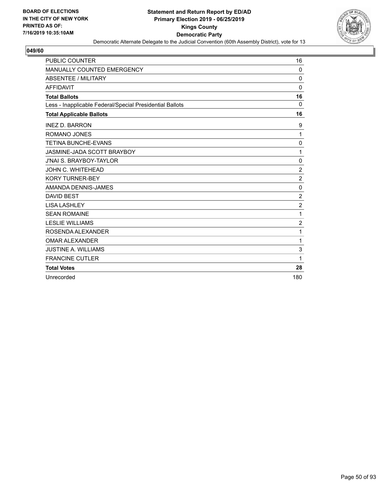

| <b>PUBLIC COUNTER</b>                                    | 16               |
|----------------------------------------------------------|------------------|
| <b>MANUALLY COUNTED EMERGENCY</b>                        | $\Omega$         |
| ABSENTEE / MILITARY                                      | $\mathbf 0$      |
| <b>AFFIDAVIT</b>                                         | $\Omega$         |
| <b>Total Ballots</b>                                     | 16               |
| Less - Inapplicable Federal/Special Presidential Ballots | 0                |
| <b>Total Applicable Ballots</b>                          | 16               |
| <b>INEZ D. BARRON</b>                                    | 9                |
| <b>ROMANO JONES</b>                                      | 1                |
| <b>TETINA BUNCHE-EVANS</b>                               | 0                |
| JASMINE-JADA SCOTT BRAYBOY                               | 1                |
| <b>J'NAI S. BRAYBOY-TAYLOR</b>                           | 0                |
| <b>JOHN C. WHITEHEAD</b>                                 | $\overline{2}$   |
| <b>KORY TURNER-BEY</b>                                   | $\overline{2}$   |
| AMANDA DENNIS-JAMES                                      | $\mathbf 0$      |
| <b>DAVID BEST</b>                                        | $\overline{c}$   |
| <b>LISA LASHLEY</b>                                      | $\boldsymbol{2}$ |
| <b>SEAN ROMAINE</b>                                      | 1                |
| <b>LESLIE WILLIAMS</b>                                   | $\overline{c}$   |
| ROSENDA ALEXANDER                                        | 1                |
| <b>OMAR ALEXANDER</b>                                    | 1                |
| <b>JUSTINE A. WILLIAMS</b>                               | 3                |
| <b>FRANCINE CUTLER</b>                                   | 1                |
| <b>Total Votes</b>                                       | 28               |
| Unrecorded                                               | 180              |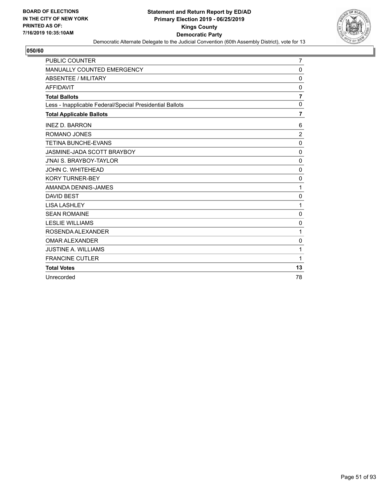

| <b>PUBLIC COUNTER</b>                                    | $\overline{7}$ |
|----------------------------------------------------------|----------------|
| <b>MANUALLY COUNTED EMERGENCY</b>                        | $\Omega$       |
| <b>ABSENTEE / MILITARY</b>                               | $\mathbf 0$    |
| <b>AFFIDAVIT</b>                                         | 0              |
| <b>Total Ballots</b>                                     | $\overline{7}$ |
| Less - Inapplicable Federal/Special Presidential Ballots | $\mathbf 0$    |
| <b>Total Applicable Ballots</b>                          | 7              |
| <b>INEZ D. BARRON</b>                                    | 6              |
| <b>ROMANO JONES</b>                                      | $\overline{2}$ |
| <b>TETINA BUNCHE-EVANS</b>                               | $\mathbf 0$    |
| JASMINE-JADA SCOTT BRAYBOY                               | 0              |
| <b>J'NAI S. BRAYBOY-TAYLOR</b>                           | 0              |
| JOHN C. WHITEHEAD                                        | $\mathbf 0$    |
| <b>KORY TURNER-BEY</b>                                   | $\mathbf 0$    |
| AMANDA DENNIS-JAMES                                      | 1              |
| <b>DAVID BEST</b>                                        | 0              |
| <b>LISA LASHLEY</b>                                      | 1              |
| <b>SEAN ROMAINE</b>                                      | $\mathbf 0$    |
| <b>LESLIE WILLIAMS</b>                                   | 0              |
| ROSENDA ALEXANDER                                        | 1              |
| <b>OMAR ALEXANDER</b>                                    | $\mathbf 0$    |
| <b>JUSTINE A. WILLIAMS</b>                               | 1              |
| <b>FRANCINE CUTLER</b>                                   | 1              |
| <b>Total Votes</b>                                       | 13             |
| Unrecorded                                               | 78             |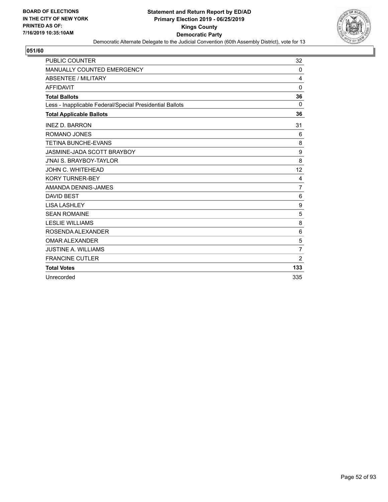

| <b>PUBLIC COUNTER</b>                                    | 32             |
|----------------------------------------------------------|----------------|
| <b>MANUALLY COUNTED EMERGENCY</b>                        | 0              |
| ABSENTEE / MILITARY                                      | 4              |
| <b>AFFIDAVIT</b>                                         | 0              |
| <b>Total Ballots</b>                                     | 36             |
| Less - Inapplicable Federal/Special Presidential Ballots | $\Omega$       |
| <b>Total Applicable Ballots</b>                          | 36             |
| <b>INEZ D. BARRON</b>                                    | 31             |
| <b>ROMANO JONES</b>                                      | 6              |
| <b>TETINA BUNCHE-EVANS</b>                               | 8              |
| JASMINE-JADA SCOTT BRAYBOY                               | 9              |
| <b>J'NAI S. BRAYBOY-TAYLOR</b>                           | 8              |
| JOHN C. WHITEHEAD                                        | 12             |
| <b>KORY TURNER-BEY</b>                                   | 4              |
| AMANDA DENNIS-JAMES                                      | $\overline{7}$ |
| <b>DAVID BEST</b>                                        | 6              |
| <b>LISA LASHLEY</b>                                      | 9              |
| <b>SEAN ROMAINE</b>                                      | 5              |
| <b>LESLIE WILLIAMS</b>                                   | 8              |
| ROSENDA ALEXANDER                                        | 6              |
| <b>OMAR ALEXANDER</b>                                    | 5              |
| <b>JUSTINE A. WILLIAMS</b>                               | $\overline{7}$ |
| <b>FRANCINE CUTLER</b>                                   | $\overline{2}$ |
| <b>Total Votes</b>                                       | 133            |
| Unrecorded                                               | 335            |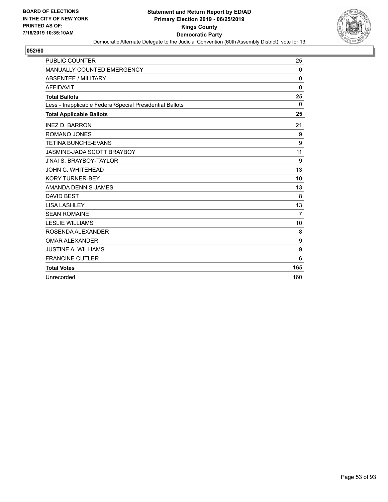

| <b>PUBLIC COUNTER</b>                                    | 25             |
|----------------------------------------------------------|----------------|
| MANUALLY COUNTED EMERGENCY                               | $\mathbf{0}$   |
| ABSENTEE / MILITARY                                      | 0              |
| <b>AFFIDAVIT</b>                                         | 0              |
| <b>Total Ballots</b>                                     | 25             |
| Less - Inapplicable Federal/Special Presidential Ballots | $\Omega$       |
| <b>Total Applicable Ballots</b>                          | 25             |
| <b>INEZ D. BARRON</b>                                    | 21             |
| ROMANO JONES                                             | 9              |
| <b>TETINA BUNCHE-EVANS</b>                               | 9              |
| JASMINE-JADA SCOTT BRAYBOY                               | 11             |
| <b>J'NAI S. BRAYBOY-TAYLOR</b>                           | 9              |
| JOHN C. WHITEHEAD                                        | 13             |
| <b>KORY TURNER-BEY</b>                                   | 10             |
| AMANDA DENNIS-JAMES                                      | 13             |
| <b>DAVID BEST</b>                                        | 8              |
| <b>LISA LASHLEY</b>                                      | 13             |
| <b>SEAN ROMAINE</b>                                      | $\overline{7}$ |
| <b>LESLIE WILLIAMS</b>                                   | 10             |
| ROSENDA ALEXANDER                                        | 8              |
| <b>OMAR ALEXANDER</b>                                    | 9              |
| <b>JUSTINE A. WILLIAMS</b>                               | 9              |
| <b>FRANCINE CUTLER</b>                                   | 6              |
| <b>Total Votes</b>                                       | 165            |
| Unrecorded                                               | 160            |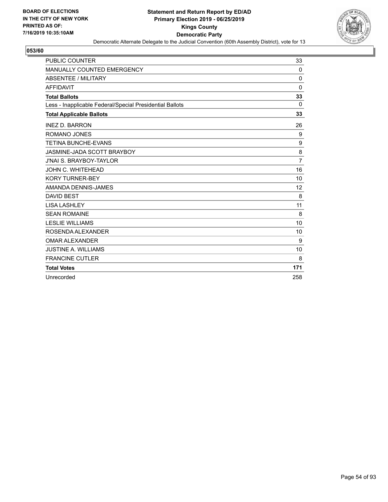

| <b>PUBLIC COUNTER</b>                                    | 33             |
|----------------------------------------------------------|----------------|
| <b>MANUALLY COUNTED EMERGENCY</b>                        | 0              |
| ABSENTEE / MILITARY                                      | $\mathbf 0$    |
| <b>AFFIDAVIT</b>                                         | $\mathbf{0}$   |
| <b>Total Ballots</b>                                     | 33             |
| Less - Inapplicable Federal/Special Presidential Ballots | 0              |
| <b>Total Applicable Ballots</b>                          | 33             |
| <b>INEZ D. BARRON</b>                                    | 26             |
| ROMANO JONES                                             | 9              |
| <b>TETINA BUNCHE-EVANS</b>                               | 9              |
| JASMINE-JADA SCOTT BRAYBOY                               | 8              |
| <b>J'NAI S. BRAYBOY-TAYLOR</b>                           | $\overline{7}$ |
| JOHN C. WHITEHEAD                                        | 16             |
| <b>KORY TURNER-BEY</b>                                   | 10             |
| AMANDA DENNIS-JAMES                                      | 12             |
| <b>DAVID BEST</b>                                        | 8              |
| <b>LISA LASHLEY</b>                                      | 11             |
| <b>SEAN ROMAINE</b>                                      | 8              |
| <b>LESLIE WILLIAMS</b>                                   | 10             |
| ROSENDA ALEXANDER                                        | 10             |
| <b>OMAR ALEXANDER</b>                                    | 9              |
| <b>JUSTINE A. WILLIAMS</b>                               | 10             |
| <b>FRANCINE CUTLER</b>                                   | 8              |
| <b>Total Votes</b>                                       | 171            |
| Unrecorded                                               | 258            |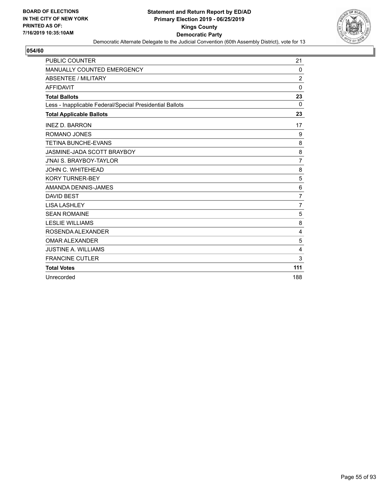

| <b>PUBLIC COUNTER</b>                                    | 21             |
|----------------------------------------------------------|----------------|
| <b>MANUALLY COUNTED EMERGENCY</b>                        | $\Omega$       |
| ABSENTEE / MILITARY                                      | $\overline{2}$ |
| <b>AFFIDAVIT</b>                                         | $\Omega$       |
| <b>Total Ballots</b>                                     | 23             |
| Less - Inapplicable Federal/Special Presidential Ballots | $\Omega$       |
| <b>Total Applicable Ballots</b>                          | 23             |
| <b>INEZ D. BARRON</b>                                    | 17             |
| <b>ROMANO JONES</b>                                      | 9              |
| <b>TETINA BUNCHE-EVANS</b>                               | 8              |
| JASMINE-JADA SCOTT BRAYBOY                               | 8              |
| <b>J'NAI S. BRAYBOY-TAYLOR</b>                           | 7              |
| JOHN C. WHITEHEAD                                        | 8              |
| <b>KORY TURNER-BEY</b>                                   | 5              |
| AMANDA DENNIS-JAMES                                      | 6              |
| <b>DAVID BEST</b>                                        | $\overline{7}$ |
| <b>LISA LASHLEY</b>                                      | $\overline{7}$ |
| <b>SEAN ROMAINE</b>                                      | 5              |
| <b>LESLIE WILLIAMS</b>                                   | 8              |
| ROSENDA ALEXANDER                                        | 4              |
| <b>OMAR ALEXANDER</b>                                    | 5              |
| <b>JUSTINE A. WILLIAMS</b>                               | 4              |
| <b>FRANCINE CUTLER</b>                                   | 3              |
| <b>Total Votes</b>                                       | 111            |
| Unrecorded                                               | 188            |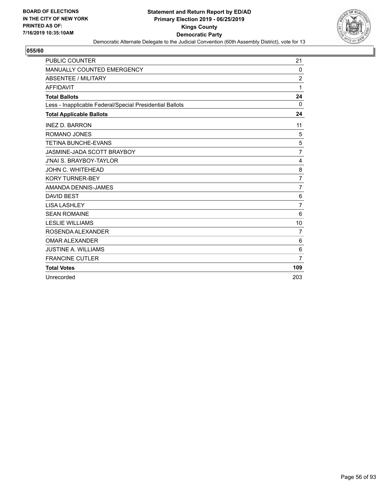

| <b>PUBLIC COUNTER</b>                                    | 21             |
|----------------------------------------------------------|----------------|
| MANUALLY COUNTED EMERGENCY                               | 0              |
| ABSENTEE / MILITARY                                      | $\overline{c}$ |
| <b>AFFIDAVIT</b>                                         | 1              |
| <b>Total Ballots</b>                                     | 24             |
| Less - Inapplicable Federal/Special Presidential Ballots | 0              |
| <b>Total Applicable Ballots</b>                          | 24             |
| <b>INEZ D. BARRON</b>                                    | 11             |
| ROMANO JONES                                             | 5              |
| <b>TETINA BUNCHE-EVANS</b>                               | 5              |
| JASMINE-JADA SCOTT BRAYBOY                               | $\overline{7}$ |
| <b>J'NAI S. BRAYBOY-TAYLOR</b>                           | 4              |
| JOHN C. WHITEHEAD                                        | 8              |
| <b>KORY TURNER-BEY</b>                                   | $\overline{7}$ |
| AMANDA DENNIS-JAMES                                      | $\overline{7}$ |
| <b>DAVID BEST</b>                                        | 6              |
| <b>LISA LASHLEY</b>                                      | $\overline{7}$ |
| <b>SEAN ROMAINE</b>                                      | 6              |
| <b>LESLIE WILLIAMS</b>                                   | 10             |
| ROSENDA ALEXANDER                                        | $\overline{7}$ |
| <b>OMAR ALEXANDER</b>                                    | 6              |
| <b>JUSTINE A. WILLIAMS</b>                               | 6              |
| <b>FRANCINE CUTLER</b>                                   | $\overline{7}$ |
| <b>Total Votes</b>                                       | 109            |
| Unrecorded                                               | 203            |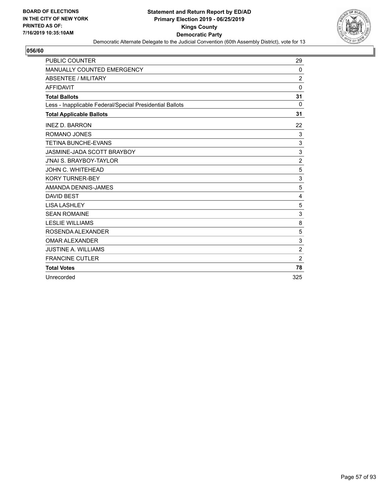

| <b>PUBLIC COUNTER</b>                                    | 29             |
|----------------------------------------------------------|----------------|
| <b>MANUALLY COUNTED EMERGENCY</b>                        | 0              |
| ABSENTEE / MILITARY                                      | $\overline{2}$ |
| <b>AFFIDAVIT</b>                                         | $\Omega$       |
| <b>Total Ballots</b>                                     | 31             |
| Less - Inapplicable Federal/Special Presidential Ballots | $\Omega$       |
| <b>Total Applicable Ballots</b>                          | 31             |
| <b>INEZ D. BARRON</b>                                    | 22             |
| <b>ROMANO JONES</b>                                      | $\mathsf 3$    |
| <b>TETINA BUNCHE-EVANS</b>                               | 3              |
| JASMINE-JADA SCOTT BRAYBOY                               | 3              |
| <b>J'NAI S. BRAYBOY-TAYLOR</b>                           | $\overline{2}$ |
| JOHN C. WHITEHEAD                                        | 5              |
| <b>KORY TURNER-BEY</b>                                   | 3              |
| AMANDA DENNIS-JAMES                                      | 5              |
| <b>DAVID BEST</b>                                        | $\overline{4}$ |
| <b>LISA LASHLEY</b>                                      | 5              |
| <b>SEAN ROMAINE</b>                                      | 3              |
| <b>LESLIE WILLIAMS</b>                                   | 8              |
| ROSENDA ALEXANDER                                        | 5              |
| <b>OMAR ALEXANDER</b>                                    | 3              |
| <b>JUSTINE A. WILLIAMS</b>                               | $\overline{c}$ |
| <b>FRANCINE CUTLER</b>                                   | $\overline{c}$ |
| <b>Total Votes</b>                                       | 78             |
| Unrecorded                                               | 325            |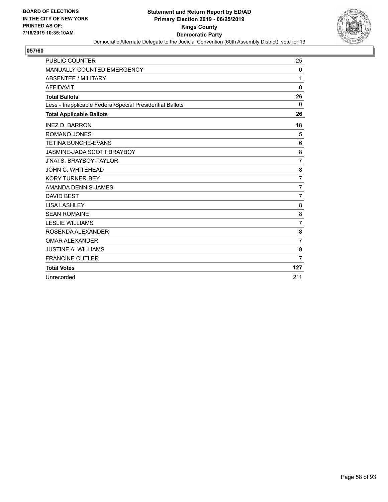

| <b>PUBLIC COUNTER</b>                                    | 25               |
|----------------------------------------------------------|------------------|
| MANUALLY COUNTED EMERGENCY                               | 0                |
| ABSENTEE / MILITARY                                      | 1                |
| <b>AFFIDAVIT</b>                                         | $\Omega$         |
| <b>Total Ballots</b>                                     | 26               |
| Less - Inapplicable Federal/Special Presidential Ballots | 0                |
| <b>Total Applicable Ballots</b>                          | 26               |
| <b>INEZ D. BARRON</b>                                    | 18               |
| ROMANO JONES                                             | 5                |
| <b>TETINA BUNCHE-EVANS</b>                               | 6                |
| JASMINE-JADA SCOTT BRAYBOY                               | 8                |
| <b>J'NAI S. BRAYBOY-TAYLOR</b>                           | $\overline{7}$   |
| JOHN C. WHITEHEAD                                        | 8                |
| <b>KORY TURNER-BEY</b>                                   | $\overline{7}$   |
| AMANDA DENNIS-JAMES                                      | $\overline{7}$   |
| <b>DAVID BEST</b>                                        | $\overline{7}$   |
| <b>LISA LASHLEY</b>                                      | 8                |
| <b>SEAN ROMAINE</b>                                      | 8                |
| <b>LESLIE WILLIAMS</b>                                   | $\overline{7}$   |
| ROSENDA ALEXANDER                                        | 8                |
| <b>OMAR ALEXANDER</b>                                    | $\overline{7}$   |
| <b>JUSTINE A. WILLIAMS</b>                               | $\boldsymbol{9}$ |
| <b>FRANCINE CUTLER</b>                                   | $\overline{7}$   |
| <b>Total Votes</b>                                       | 127              |
| Unrecorded                                               | 211              |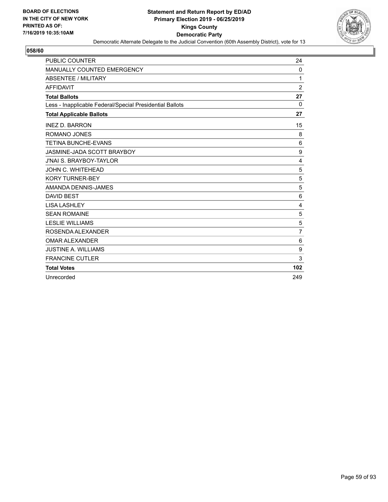

| <b>PUBLIC COUNTER</b>                                    | 24             |
|----------------------------------------------------------|----------------|
| MANUALLY COUNTED EMERGENCY                               | 0              |
| ABSENTEE / MILITARY                                      | 1              |
| <b>AFFIDAVIT</b>                                         | $\overline{2}$ |
| <b>Total Ballots</b>                                     | 27             |
| Less - Inapplicable Federal/Special Presidential Ballots | 0              |
| <b>Total Applicable Ballots</b>                          | 27             |
| <b>INEZ D. BARRON</b>                                    | 15             |
| ROMANO JONES                                             | 8              |
| <b>TETINA BUNCHE-EVANS</b>                               | 6              |
| JASMINE-JADA SCOTT BRAYBOY                               | 9              |
| <b>J'NAI S. BRAYBOY-TAYLOR</b>                           | 4              |
| JOHN C. WHITEHEAD                                        | 5              |
| <b>KORY TURNER-BEY</b>                                   | 5              |
| AMANDA DENNIS-JAMES                                      | 5              |
| <b>DAVID BEST</b>                                        | 6              |
| <b>LISA LASHLEY</b>                                      | 4              |
| <b>SEAN ROMAINE</b>                                      | 5              |
| <b>LESLIE WILLIAMS</b>                                   | 5              |
| ROSENDA ALEXANDER                                        | $\overline{7}$ |
| <b>OMAR ALEXANDER</b>                                    | 6              |
| <b>JUSTINE A. WILLIAMS</b>                               | 9              |
| <b>FRANCINE CUTLER</b>                                   | 3              |
| <b>Total Votes</b>                                       | 102            |
| Unrecorded                                               | 249            |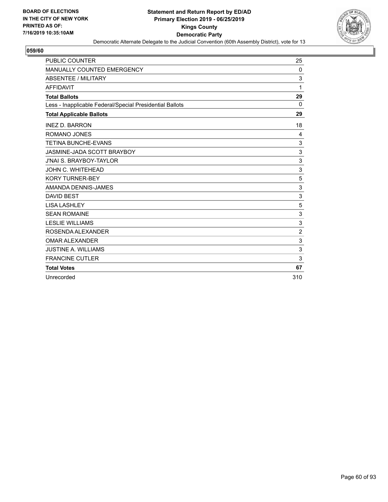

| <b>PUBLIC COUNTER</b>                                    | 25             |
|----------------------------------------------------------|----------------|
| <b>MANUALLY COUNTED EMERGENCY</b>                        | $\Omega$       |
| ABSENTEE / MILITARY                                      | 3              |
| <b>AFFIDAVIT</b>                                         | 1              |
| <b>Total Ballots</b>                                     | 29             |
| Less - Inapplicable Federal/Special Presidential Ballots | $\Omega$       |
| <b>Total Applicable Ballots</b>                          | 29             |
| <b>INEZ D. BARRON</b>                                    | 18             |
| <b>ROMANO JONES</b>                                      | 4              |
| <b>TETINA BUNCHE-EVANS</b>                               | 3              |
| JASMINE-JADA SCOTT BRAYBOY                               | $\sqrt{3}$     |
| <b>J'NAI S. BRAYBOY-TAYLOR</b>                           | 3              |
| JOHN C. WHITEHEAD                                        | 3              |
| <b>KORY TURNER-BEY</b>                                   | 5              |
| AMANDA DENNIS-JAMES                                      | 3              |
| <b>DAVID BEST</b>                                        | 3              |
| <b>LISA LASHLEY</b>                                      | 5              |
| <b>SEAN ROMAINE</b>                                      | 3              |
| <b>LESLIE WILLIAMS</b>                                   | 3              |
| ROSENDA ALEXANDER                                        | $\overline{c}$ |
| <b>OMAR ALEXANDER</b>                                    | 3              |
| <b>JUSTINE A. WILLIAMS</b>                               | 3              |
| <b>FRANCINE CUTLER</b>                                   | 3              |
| <b>Total Votes</b>                                       | 67             |
| Unrecorded                                               | 310            |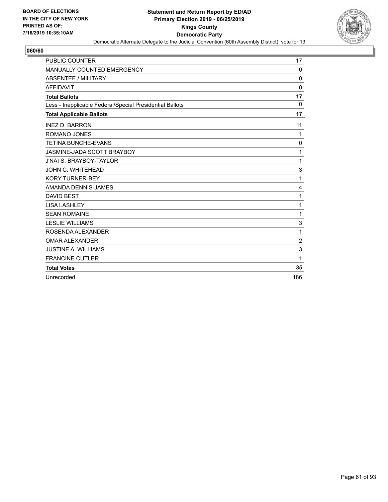

| <b>PUBLIC COUNTER</b>                                    | 17             |
|----------------------------------------------------------|----------------|
| <b>MANUALLY COUNTED EMERGENCY</b>                        | $\Omega$       |
| ABSENTEE / MILITARY                                      | $\mathbf 0$    |
| <b>AFFIDAVIT</b>                                         | $\Omega$       |
| <b>Total Ballots</b>                                     | 17             |
| Less - Inapplicable Federal/Special Presidential Ballots | 0              |
| <b>Total Applicable Ballots</b>                          | 17             |
| <b>INEZ D. BARRON</b>                                    | 11             |
| <b>ROMANO JONES</b>                                      | 1              |
| <b>TETINA BUNCHE-EVANS</b>                               | 0              |
| JASMINE-JADA SCOTT BRAYBOY                               | 1              |
| <b>J'NAI S. BRAYBOY-TAYLOR</b>                           | 1              |
| JOHN C. WHITEHEAD                                        | 3              |
| <b>KORY TURNER-BEY</b>                                   | 1              |
| AMANDA DENNIS-JAMES                                      | $\overline{4}$ |
| <b>DAVID BEST</b>                                        | 1              |
| <b>LISA LASHLEY</b>                                      | 1              |
| <b>SEAN ROMAINE</b>                                      | 1              |
| <b>LESLIE WILLIAMS</b>                                   | 3              |
| ROSENDA ALEXANDER                                        | 1              |
| <b>OMAR ALEXANDER</b>                                    | $\overline{c}$ |
| <b>JUSTINE A. WILLIAMS</b>                               | 3              |
| <b>FRANCINE CUTLER</b>                                   | 1              |
| <b>Total Votes</b>                                       | 35             |
| Unrecorded                                               | 186            |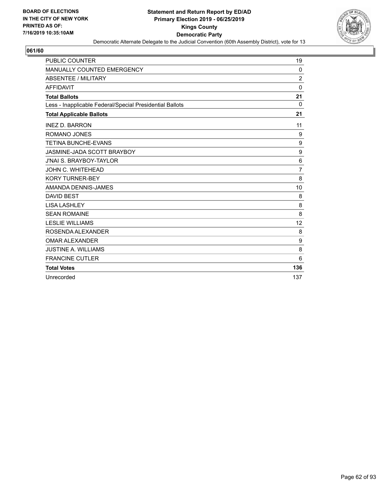

| <b>PUBLIC COUNTER</b>                                    | 19               |
|----------------------------------------------------------|------------------|
| <b>MANUALLY COUNTED EMERGENCY</b>                        | 0                |
| ABSENTEE / MILITARY                                      | $\overline{2}$   |
| <b>AFFIDAVIT</b>                                         | $\Omega$         |
| <b>Total Ballots</b>                                     | 21               |
| Less - Inapplicable Federal/Special Presidential Ballots | $\Omega$         |
| <b>Total Applicable Ballots</b>                          | 21               |
| <b>INEZ D. BARRON</b>                                    | 11               |
| <b>ROMANO JONES</b>                                      | 9                |
| <b>TETINA BUNCHE-EVANS</b>                               | 9                |
| JASMINE-JADA SCOTT BRAYBOY                               | $\boldsymbol{9}$ |
| <b>J'NAI S. BRAYBOY-TAYLOR</b>                           | 6                |
| JOHN C. WHITEHEAD                                        | $\overline{7}$   |
| <b>KORY TURNER-BEY</b>                                   | 8                |
| AMANDA DENNIS-JAMES                                      | 10               |
| <b>DAVID BEST</b>                                        | 8                |
| <b>LISA LASHLEY</b>                                      | 8                |
| <b>SEAN ROMAINE</b>                                      | 8                |
| <b>LESLIE WILLIAMS</b>                                   | 12               |
| ROSENDA ALEXANDER                                        | 8                |
| <b>OMAR ALEXANDER</b>                                    | 9                |
| <b>JUSTINE A. WILLIAMS</b>                               | 8                |
| <b>FRANCINE CUTLER</b>                                   | 6                |
| <b>Total Votes</b>                                       | 136              |
| Unrecorded                                               | 137              |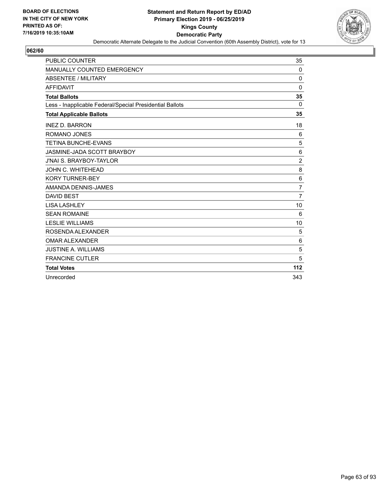

| <b>PUBLIC COUNTER</b>                                    | 35             |
|----------------------------------------------------------|----------------|
| <b>MANUALLY COUNTED EMERGENCY</b>                        | 0              |
| ABSENTEE / MILITARY                                      | $\mathbf 0$    |
| <b>AFFIDAVIT</b>                                         | $\Omega$       |
| <b>Total Ballots</b>                                     | 35             |
| Less - Inapplicable Federal/Special Presidential Ballots | $\Omega$       |
| <b>Total Applicable Ballots</b>                          | 35             |
| <b>INEZ D. BARRON</b>                                    | 18             |
| <b>ROMANO JONES</b>                                      | 6              |
| <b>TETINA BUNCHE-EVANS</b>                               | 5              |
| JASMINE-JADA SCOTT BRAYBOY                               | 6              |
| <b>J'NAI S. BRAYBOY-TAYLOR</b>                           | $\overline{c}$ |
| JOHN C. WHITEHEAD                                        | 8              |
| <b>KORY TURNER-BEY</b>                                   | 6              |
| AMANDA DENNIS-JAMES                                      | $\overline{7}$ |
| <b>DAVID BEST</b>                                        | $\overline{7}$ |
| <b>LISA LASHLEY</b>                                      | 10             |
| <b>SEAN ROMAINE</b>                                      | 6              |
| <b>LESLIE WILLIAMS</b>                                   | 10             |
| ROSENDA ALEXANDER                                        | 5              |
| <b>OMAR ALEXANDER</b>                                    | 6              |
| <b>JUSTINE A. WILLIAMS</b>                               | 5              |
| <b>FRANCINE CUTLER</b>                                   | 5              |
| <b>Total Votes</b>                                       | 112            |
| Unrecorded                                               | 343            |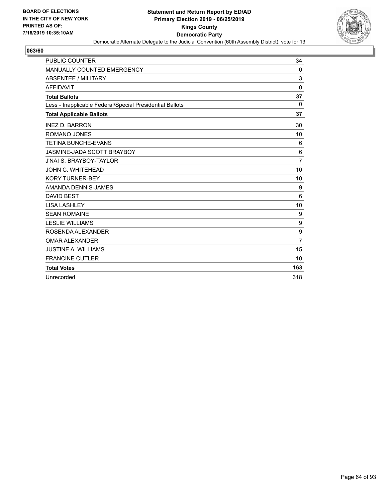

| <b>PUBLIC COUNTER</b>                                    | 34             |
|----------------------------------------------------------|----------------|
| MANUALLY COUNTED EMERGENCY                               | 0              |
| <b>ABSENTEE / MILITARY</b>                               | 3              |
| <b>AFFIDAVIT</b>                                         | $\mathbf{0}$   |
| <b>Total Ballots</b>                                     | 37             |
| Less - Inapplicable Federal/Special Presidential Ballots | 0              |
| <b>Total Applicable Ballots</b>                          | 37             |
| <b>INEZ D. BARRON</b>                                    | 30             |
| ROMANO JONES                                             | 10             |
| <b>TETINA BUNCHE-EVANS</b>                               | 6              |
| JASMINE-JADA SCOTT BRAYBOY                               | 6              |
| <b>J'NAI S. BRAYBOY-TAYLOR</b>                           | $\overline{7}$ |
| JOHN C. WHITEHEAD                                        | 10             |
| <b>KORY TURNER-BEY</b>                                   | 10             |
| AMANDA DENNIS-JAMES                                      | 9              |
| <b>DAVID BEST</b>                                        | 6              |
| <b>LISA LASHLEY</b>                                      | 10             |
| <b>SEAN ROMAINE</b>                                      | 9              |
| <b>LESLIE WILLIAMS</b>                                   | 9              |
| ROSENDA ALEXANDER                                        | 9              |
| <b>OMAR ALEXANDER</b>                                    | $\overline{7}$ |
| <b>JUSTINE A. WILLIAMS</b>                               | 15             |
| <b>FRANCINE CUTLER</b>                                   | 10             |
| <b>Total Votes</b>                                       | 163            |
| Unrecorded                                               | 318            |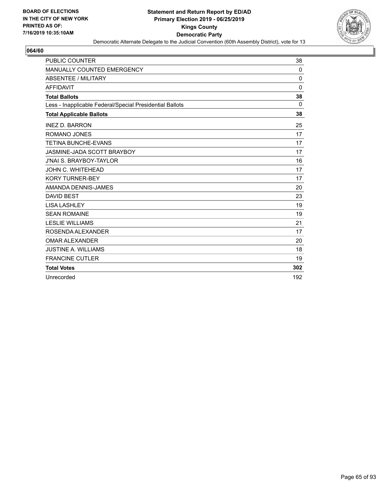

| <b>PUBLIC COUNTER</b>                                    | 38           |
|----------------------------------------------------------|--------------|
| <b>MANUALLY COUNTED EMERGENCY</b>                        | 0            |
| ABSENTEE / MILITARY                                      | $\mathbf 0$  |
| <b>AFFIDAVIT</b>                                         | $\mathbf{0}$ |
| <b>Total Ballots</b>                                     | 38           |
| Less - Inapplicable Federal/Special Presidential Ballots | 0            |
| <b>Total Applicable Ballots</b>                          | 38           |
| <b>INEZ D. BARRON</b>                                    | 25           |
| ROMANO JONES                                             | 17           |
| <b>TETINA BUNCHE-EVANS</b>                               | 17           |
| JASMINE-JADA SCOTT BRAYBOY                               | 17           |
| <b>J'NAI S. BRAYBOY-TAYLOR</b>                           | 16           |
| JOHN C. WHITEHEAD                                        | 17           |
| <b>KORY TURNER-BEY</b>                                   | 17           |
| AMANDA DENNIS-JAMES                                      | 20           |
| <b>DAVID BEST</b>                                        | 23           |
| <b>LISA LASHLEY</b>                                      | 19           |
| <b>SEAN ROMAINE</b>                                      | 19           |
| <b>LESLIE WILLIAMS</b>                                   | 21           |
| ROSENDA ALEXANDER                                        | 17           |
| <b>OMAR ALEXANDER</b>                                    | 20           |
| <b>JUSTINE A. WILLIAMS</b>                               | 18           |
| <b>FRANCINE CUTLER</b>                                   | 19           |
| <b>Total Votes</b>                                       | 302          |
| Unrecorded                                               | 192          |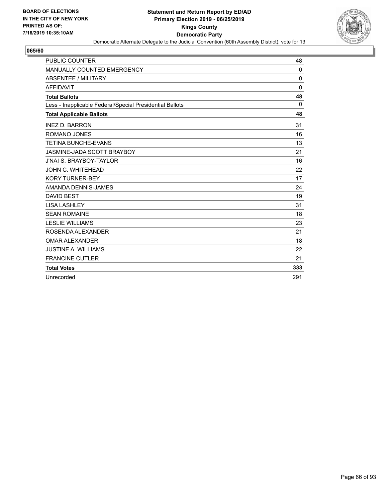

| <b>PUBLIC COUNTER</b>                                    | 48          |
|----------------------------------------------------------|-------------|
| <b>MANUALLY COUNTED EMERGENCY</b>                        | 0           |
| ABSENTEE / MILITARY                                      | $\mathbf 0$ |
| <b>AFFIDAVIT</b>                                         | $\Omega$    |
| <b>Total Ballots</b>                                     | 48          |
| Less - Inapplicable Federal/Special Presidential Ballots | $\Omega$    |
| <b>Total Applicable Ballots</b>                          | 48          |
| <b>INEZ D. BARRON</b>                                    | 31          |
| ROMANO JONES                                             | 16          |
| <b>TETINA BUNCHE-EVANS</b>                               | 13          |
| JASMINE-JADA SCOTT BRAYBOY                               | 21          |
| <b>J'NAI S. BRAYBOY-TAYLOR</b>                           | 16          |
| JOHN C. WHITEHEAD                                        | 22          |
| <b>KORY TURNER-BEY</b>                                   | 17          |
| AMANDA DENNIS-JAMES                                      | 24          |
| <b>DAVID BEST</b>                                        | 19          |
| <b>LISA LASHLEY</b>                                      | 31          |
| <b>SEAN ROMAINE</b>                                      | 18          |
| <b>LESLIE WILLIAMS</b>                                   | 23          |
| ROSENDA ALEXANDER                                        | 21          |
| <b>OMAR ALEXANDER</b>                                    | 18          |
| <b>JUSTINE A. WILLIAMS</b>                               | 22          |
| <b>FRANCINE CUTLER</b>                                   | 21          |
| <b>Total Votes</b>                                       | 333         |
| Unrecorded                                               | 291         |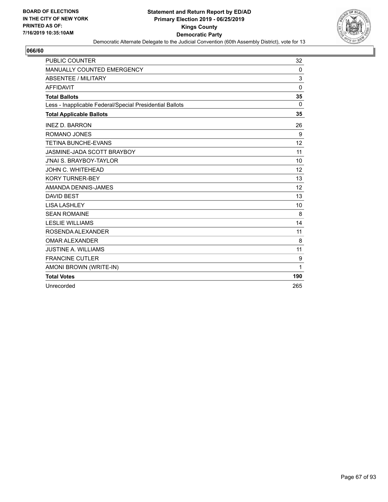

| <b>PUBLIC COUNTER</b>                                    | 32           |
|----------------------------------------------------------|--------------|
| <b>MANUALLY COUNTED EMERGENCY</b>                        | $\mathbf{0}$ |
| <b>ABSENTEE / MILITARY</b>                               | 3            |
| <b>AFFIDAVIT</b>                                         | $\mathbf{0}$ |
| <b>Total Ballots</b>                                     | 35           |
| Less - Inapplicable Federal/Special Presidential Ballots | $\mathbf{0}$ |
| <b>Total Applicable Ballots</b>                          | 35           |
| <b>INEZ D. BARRON</b>                                    | 26           |
| <b>ROMANO JONES</b>                                      | 9            |
| <b>TETINA BUNCHE-EVANS</b>                               | 12           |
| JASMINE-JADA SCOTT BRAYBOY                               | 11           |
| J'NAI S. BRAYBOY-TAYLOR                                  | 10           |
| JOHN C. WHITEHEAD                                        | 12           |
| <b>KORY TURNER-BEY</b>                                   | 13           |
| AMANDA DENNIS-JAMES                                      | 12           |
| <b>DAVID BEST</b>                                        | 13           |
| <b>LISA LASHLEY</b>                                      | 10           |
| <b>SEAN ROMAINE</b>                                      | 8            |
| <b>LESLIE WILLIAMS</b>                                   | 14           |
| ROSENDA ALEXANDER                                        | 11           |
| <b>OMAR ALEXANDER</b>                                    | 8            |
| <b>JUSTINE A. WILLIAMS</b>                               | 11           |
| <b>FRANCINE CUTLER</b>                                   | 9            |
| AMONI BROWN (WRITE-IN)                                   | 1            |
| <b>Total Votes</b>                                       | 190          |
| Unrecorded                                               | 265          |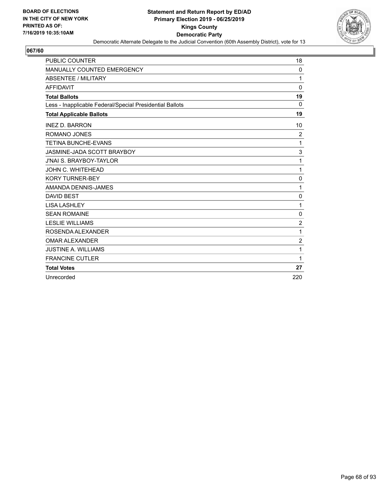

| <b>PUBLIC COUNTER</b>                                    | 18             |
|----------------------------------------------------------|----------------|
| MANUALLY COUNTED EMERGENCY                               | 0              |
| <b>ABSENTEE / MILITARY</b>                               | 1              |
| <b>AFFIDAVIT</b>                                         | $\Omega$       |
| <b>Total Ballots</b>                                     | 19             |
| Less - Inapplicable Federal/Special Presidential Ballots | 0              |
| <b>Total Applicable Ballots</b>                          | 19             |
| <b>INEZ D. BARRON</b>                                    | 10             |
| ROMANO JONES                                             | $\overline{c}$ |
| <b>TETINA BUNCHE-EVANS</b>                               | 1              |
| JASMINE-JADA SCOTT BRAYBOY                               | 3              |
| <b>J'NAI S. BRAYBOY-TAYLOR</b>                           | 1              |
| JOHN C. WHITEHEAD                                        | 1              |
| <b>KORY TURNER-BEY</b>                                   | 0              |
| AMANDA DENNIS-JAMES                                      | 1              |
| <b>DAVID BEST</b>                                        | 0              |
| <b>LISA LASHLEY</b>                                      | 1              |
| <b>SEAN ROMAINE</b>                                      | 0              |
| <b>LESLIE WILLIAMS</b>                                   | $\overline{2}$ |
| ROSENDA ALEXANDER                                        | 1              |
| <b>OMAR ALEXANDER</b>                                    | $\overline{2}$ |
| <b>JUSTINE A. WILLIAMS</b>                               | 1              |
| <b>FRANCINE CUTLER</b>                                   | 1              |
| <b>Total Votes</b>                                       | 27             |
| Unrecorded                                               | 220            |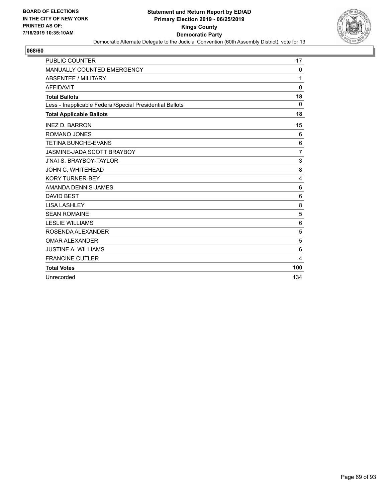

| <b>PUBLIC COUNTER</b>                                    | 17              |
|----------------------------------------------------------|-----------------|
| <b>MANUALLY COUNTED EMERGENCY</b>                        | $\mathbf{0}$    |
| ABSENTEE / MILITARY                                      | 1               |
| <b>AFFIDAVIT</b>                                         | $\Omega$        |
| <b>Total Ballots</b>                                     | 18              |
| Less - Inapplicable Federal/Special Presidential Ballots | 0               |
| <b>Total Applicable Ballots</b>                          | 18              |
| <b>INEZ D. BARRON</b>                                    | 15              |
| <b>ROMANO JONES</b>                                      | 6               |
| <b>TETINA BUNCHE-EVANS</b>                               | 6               |
| JASMINE-JADA SCOTT BRAYBOY                               | $\overline{7}$  |
| <b>J'NAI S. BRAYBOY-TAYLOR</b>                           | 3               |
| <b>JOHN C. WHITEHEAD</b>                                 | 8               |
| <b>KORY TURNER-BEY</b>                                   | $\overline{4}$  |
| AMANDA DENNIS-JAMES                                      | 6               |
| <b>DAVID BEST</b>                                        | 6               |
| <b>LISA LASHLEY</b>                                      | 8               |
| <b>SEAN ROMAINE</b>                                      | 5               |
| <b>LESLIE WILLIAMS</b>                                   | $6\phantom{1}6$ |
| ROSENDA ALEXANDER                                        | 5               |
| <b>OMAR ALEXANDER</b>                                    | 5               |
| <b>JUSTINE A. WILLIAMS</b>                               | 6               |
| <b>FRANCINE CUTLER</b>                                   | 4               |
| <b>Total Votes</b>                                       | 100             |
| Unrecorded                                               | 134             |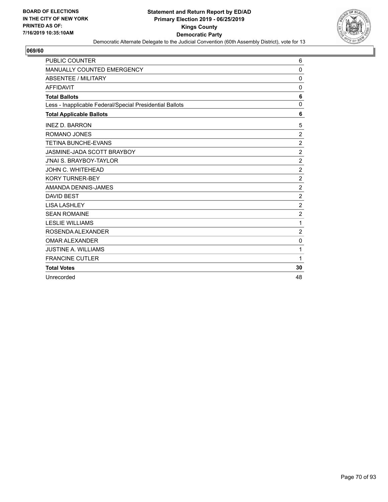

| <b>PUBLIC COUNTER</b>                                    | 6              |
|----------------------------------------------------------|----------------|
| MANUALLY COUNTED EMERGENCY                               | 0              |
| <b>ABSENTEE / MILITARY</b>                               | $\mathbf 0$    |
| <b>AFFIDAVIT</b>                                         | 0              |
| <b>Total Ballots</b>                                     | 6              |
| Less - Inapplicable Federal/Special Presidential Ballots | $\mathbf 0$    |
| <b>Total Applicable Ballots</b>                          | 6              |
| <b>INEZ D. BARRON</b>                                    | 5              |
| ROMANO JONES                                             | $\overline{c}$ |
| <b>TETINA BUNCHE-EVANS</b>                               | $\overline{2}$ |
| JASMINE-JADA SCOTT BRAYBOY                               | $\overline{c}$ |
| <b>J'NAI S. BRAYBOY-TAYLOR</b>                           | $\overline{c}$ |
| <b>JOHN C. WHITEHEAD</b>                                 | $\overline{c}$ |
| <b>KORY TURNER-BEY</b>                                   | $\sqrt{2}$     |
| AMANDA DENNIS-JAMES                                      | $\overline{c}$ |
| <b>DAVID BEST</b>                                        | $\overline{2}$ |
| <b>LISA LASHLEY</b>                                      | $\overline{2}$ |
| <b>SEAN ROMAINE</b>                                      | $\overline{2}$ |
| <b>LESLIE WILLIAMS</b>                                   | 1              |
| ROSENDA ALEXANDER                                        | $\overline{c}$ |
| <b>OMAR ALEXANDER</b>                                    | 0              |
| <b>JUSTINE A. WILLIAMS</b>                               | 1              |
| <b>FRANCINE CUTLER</b>                                   | 1              |
| <b>Total Votes</b>                                       | 30             |
| Unrecorded                                               | 48             |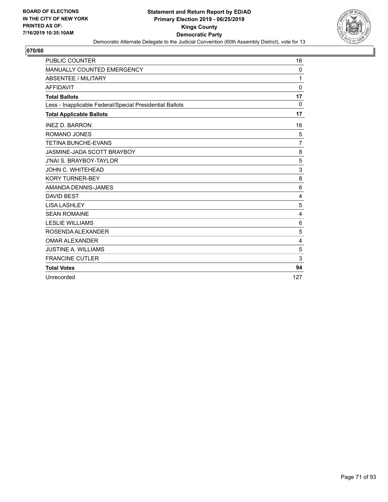

| <b>PUBLIC COUNTER</b>                                    | 16              |
|----------------------------------------------------------|-----------------|
| MANUALLY COUNTED EMERGENCY                               | 0               |
| ABSENTEE / MILITARY                                      | 1               |
| <b>AFFIDAVIT</b>                                         | $\Omega$        |
| <b>Total Ballots</b>                                     | 17              |
| Less - Inapplicable Federal/Special Presidential Ballots | 0               |
| <b>Total Applicable Ballots</b>                          | 17              |
| <b>INEZ D. BARRON</b>                                    | 16              |
| ROMANO JONES                                             | 5               |
| <b>TETINA BUNCHE-EVANS</b>                               | $\overline{7}$  |
| JASMINE-JADA SCOTT BRAYBOY                               | 8               |
| <b>J'NAI S. BRAYBOY-TAYLOR</b>                           | 5               |
| JOHN C. WHITEHEAD                                        | 3               |
| <b>KORY TURNER-BEY</b>                                   | 8               |
| AMANDA DENNIS-JAMES                                      | $6\phantom{1}6$ |
| <b>DAVID BEST</b>                                        | 4               |
| <b>LISA LASHLEY</b>                                      | 5               |
| <b>SEAN ROMAINE</b>                                      | 4               |
| <b>LESLIE WILLIAMS</b>                                   | 6               |
| ROSENDA ALEXANDER                                        | 5               |
| <b>OMAR ALEXANDER</b>                                    | 4               |
| <b>JUSTINE A. WILLIAMS</b>                               | 5               |
| <b>FRANCINE CUTLER</b>                                   | 3               |
| <b>Total Votes</b>                                       | 94              |
| Unrecorded                                               | 127             |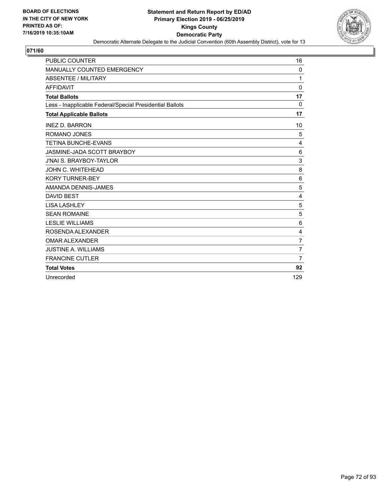

| <b>PUBLIC COUNTER</b>                                    | 16             |
|----------------------------------------------------------|----------------|
| MANUALLY COUNTED EMERGENCY                               | 0              |
| ABSENTEE / MILITARY                                      | 1              |
| <b>AFFIDAVIT</b>                                         | $\Omega$       |
| <b>Total Ballots</b>                                     | 17             |
| Less - Inapplicable Federal/Special Presidential Ballots | 0              |
| <b>Total Applicable Ballots</b>                          | 17             |
| <b>INEZ D. BARRON</b>                                    | 10             |
| ROMANO JONES                                             | 5              |
| <b>TETINA BUNCHE-EVANS</b>                               | $\overline{4}$ |
| JASMINE-JADA SCOTT BRAYBOY                               | 6              |
| <b>J'NAI S. BRAYBOY-TAYLOR</b>                           | 3              |
| JOHN C. WHITEHEAD                                        | 8              |
| <b>KORY TURNER-BEY</b>                                   | 6              |
| AMANDA DENNIS-JAMES                                      | 5              |
| <b>DAVID BEST</b>                                        | 4              |
| <b>LISA LASHLEY</b>                                      | 5              |
| <b>SEAN ROMAINE</b>                                      | 5              |
| <b>LESLIE WILLIAMS</b>                                   | 6              |
| ROSENDA ALEXANDER                                        | 4              |
| <b>OMAR ALEXANDER</b>                                    | $\overline{7}$ |
| <b>JUSTINE A. WILLIAMS</b>                               | $\overline{7}$ |
| <b>FRANCINE CUTLER</b>                                   | $\overline{7}$ |
| <b>Total Votes</b>                                       | 92             |
| Unrecorded                                               | 129            |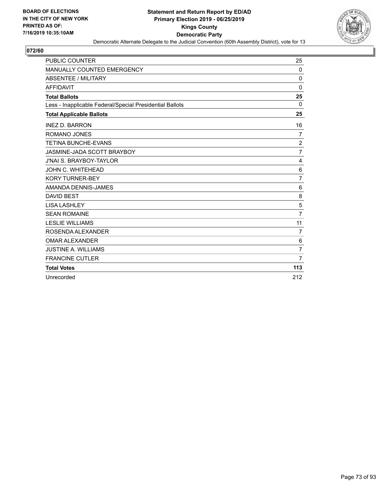

| <b>PUBLIC COUNTER</b>                                    | 25             |
|----------------------------------------------------------|----------------|
| MANUALLY COUNTED EMERGENCY                               | 0              |
| <b>ABSENTEE / MILITARY</b>                               | $\Omega$       |
| <b>AFFIDAVIT</b>                                         | $\Omega$       |
| <b>Total Ballots</b>                                     | 25             |
| Less - Inapplicable Federal/Special Presidential Ballots | 0              |
| <b>Total Applicable Ballots</b>                          | 25             |
| <b>INEZ D. BARRON</b>                                    | 16             |
| ROMANO JONES                                             | 7              |
| <b>TETINA BUNCHE-EVANS</b>                               | $\overline{c}$ |
| JASMINE-JADA SCOTT BRAYBOY                               | $\overline{7}$ |
| <b>J'NAI S. BRAYBOY-TAYLOR</b>                           | 4              |
| JOHN C. WHITEHEAD                                        | $\,6$          |
| <b>KORY TURNER-BEY</b>                                   | $\overline{7}$ |
| AMANDA DENNIS-JAMES                                      | 6              |
| <b>DAVID BEST</b>                                        | 8              |
| <b>LISA LASHLEY</b>                                      | 5              |
| <b>SEAN ROMAINE</b>                                      | $\overline{7}$ |
| <b>LESLIE WILLIAMS</b>                                   | 11             |
| ROSENDA ALEXANDER                                        | $\overline{7}$ |
| <b>OMAR ALEXANDER</b>                                    | 6              |
| <b>JUSTINE A. WILLIAMS</b>                               | $\overline{7}$ |
| <b>FRANCINE CUTLER</b>                                   | $\overline{7}$ |
| <b>Total Votes</b>                                       | 113            |
| Unrecorded                                               | 212            |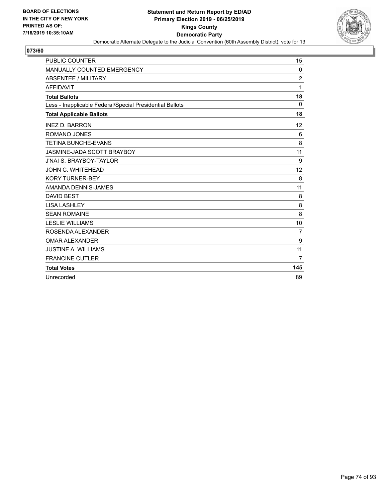

| <b>PUBLIC COUNTER</b>                                    | 15             |
|----------------------------------------------------------|----------------|
| MANUALLY COUNTED EMERGENCY                               | 0              |
| <b>ABSENTEE / MILITARY</b>                               | $\overline{c}$ |
| <b>AFFIDAVIT</b>                                         | 1              |
| <b>Total Ballots</b>                                     | 18             |
| Less - Inapplicable Federal/Special Presidential Ballots | 0              |
| <b>Total Applicable Ballots</b>                          | 18             |
| <b>INEZ D. BARRON</b>                                    | 12             |
| ROMANO JONES                                             | 6              |
| <b>TETINA BUNCHE-EVANS</b>                               | 8              |
| JASMINE-JADA SCOTT BRAYBOY                               | 11             |
| <b>J'NAI S. BRAYBOY-TAYLOR</b>                           | 9              |
| JOHN C. WHITEHEAD                                        | 12             |
| <b>KORY TURNER-BEY</b>                                   | 8              |
| AMANDA DENNIS-JAMES                                      | 11             |
| <b>DAVID BEST</b>                                        | 8              |
| <b>LISA LASHLEY</b>                                      | 8              |
| <b>SEAN ROMAINE</b>                                      | 8              |
| <b>LESLIE WILLIAMS</b>                                   | 10             |
| ROSENDA ALEXANDER                                        | $\overline{7}$ |
| <b>OMAR ALEXANDER</b>                                    | 9              |
| <b>JUSTINE A. WILLIAMS</b>                               | 11             |
| <b>FRANCINE CUTLER</b>                                   | $\overline{7}$ |
| <b>Total Votes</b>                                       | 145            |
| Unrecorded                                               | 89             |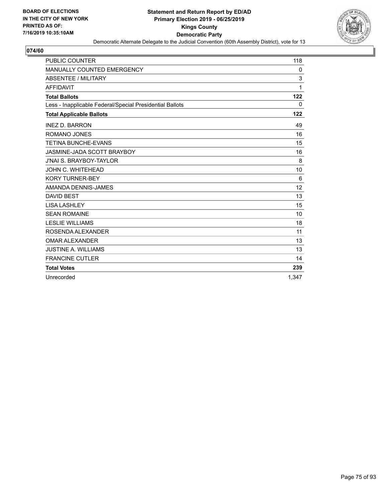

| <b>PUBLIC COUNTER</b>                                    | 118   |
|----------------------------------------------------------|-------|
| MANUALLY COUNTED EMERGENCY                               | 0     |
| <b>ABSENTEE / MILITARY</b>                               | 3     |
| <b>AFFIDAVIT</b>                                         | 1     |
| <b>Total Ballots</b>                                     | 122   |
| Less - Inapplicable Federal/Special Presidential Ballots | 0     |
| <b>Total Applicable Ballots</b>                          | 122   |
| <b>INEZ D. BARRON</b>                                    | 49    |
| ROMANO JONES                                             | 16    |
| <b>TETINA BUNCHE-EVANS</b>                               | 15    |
| JASMINE-JADA SCOTT BRAYBOY                               | 16    |
| <b>J'NAI S. BRAYBOY-TAYLOR</b>                           | 8     |
| <b>JOHN C. WHITEHEAD</b>                                 | 10    |
| <b>KORY TURNER-BEY</b>                                   | 6     |
| AMANDA DENNIS-JAMES                                      | 12    |
| <b>DAVID BEST</b>                                        | 13    |
| <b>LISA LASHLEY</b>                                      | 15    |
| <b>SEAN ROMAINE</b>                                      | 10    |
| <b>LESLIE WILLIAMS</b>                                   | 18    |
| ROSENDA ALEXANDER                                        | 11    |
| <b>OMAR ALEXANDER</b>                                    | 13    |
| <b>JUSTINE A. WILLIAMS</b>                               | 13    |
| <b>FRANCINE CUTLER</b>                                   | 14    |
| <b>Total Votes</b>                                       | 239   |
| Unrecorded                                               | 1.347 |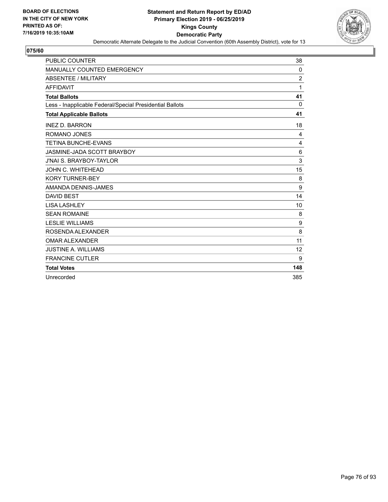

| <b>PUBLIC COUNTER</b>                                    | 38             |
|----------------------------------------------------------|----------------|
| <b>MANUALLY COUNTED EMERGENCY</b>                        | 0              |
| <b>ABSENTEE / MILITARY</b>                               | $\overline{2}$ |
| <b>AFFIDAVIT</b>                                         | 1              |
| <b>Total Ballots</b>                                     | 41             |
| Less - Inapplicable Federal/Special Presidential Ballots | 0              |
| <b>Total Applicable Ballots</b>                          | 41             |
| <b>INEZ D. BARRON</b>                                    | 18             |
| ROMANO JONES                                             | 4              |
| <b>TETINA BUNCHE-EVANS</b>                               | 4              |
| JASMINE-JADA SCOTT BRAYBOY                               | 6              |
| <b>J'NAI S. BRAYBOY-TAYLOR</b>                           | 3              |
| JOHN C. WHITEHEAD                                        | 15             |
| <b>KORY TURNER-BEY</b>                                   | 8              |
| AMANDA DENNIS-JAMES                                      | 9              |
| <b>DAVID BEST</b>                                        | 14             |
| <b>LISA LASHLEY</b>                                      | 10             |
| <b>SEAN ROMAINE</b>                                      | 8              |
| <b>LESLIE WILLIAMS</b>                                   | 9              |
| ROSENDA ALEXANDER                                        | 8              |
| <b>OMAR ALEXANDER</b>                                    | 11             |
| <b>JUSTINE A. WILLIAMS</b>                               | 12             |
| <b>FRANCINE CUTLER</b>                                   | 9              |
| <b>Total Votes</b>                                       | 148            |
| Unrecorded                                               | 385            |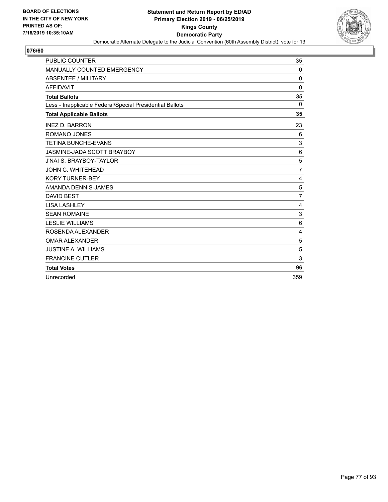

| <b>PUBLIC COUNTER</b>                                    | 35             |
|----------------------------------------------------------|----------------|
| MANUALLY COUNTED EMERGENCY                               | 0              |
| <b>ABSENTEE / MILITARY</b>                               | $\Omega$       |
| <b>AFFIDAVIT</b>                                         | $\Omega$       |
| <b>Total Ballots</b>                                     | 35             |
| Less - Inapplicable Federal/Special Presidential Ballots | 0              |
| <b>Total Applicable Ballots</b>                          | 35             |
| <b>INEZ D. BARRON</b>                                    | 23             |
| ROMANO JONES                                             | 6              |
| <b>TETINA BUNCHE-EVANS</b>                               | 3              |
| JASMINE-JADA SCOTT BRAYBOY                               | 6              |
| <b>J'NAI S. BRAYBOY-TAYLOR</b>                           | 5              |
| JOHN C. WHITEHEAD                                        | 7              |
| <b>KORY TURNER-BEY</b>                                   | 4              |
| AMANDA DENNIS-JAMES                                      | 5              |
| <b>DAVID BEST</b>                                        | $\overline{7}$ |
| <b>LISA LASHLEY</b>                                      | 4              |
| <b>SEAN ROMAINE</b>                                      | 3              |
| <b>LESLIE WILLIAMS</b>                                   | 6              |
| ROSENDA ALEXANDER                                        | 4              |
| <b>OMAR ALEXANDER</b>                                    | 5              |
| <b>JUSTINE A. WILLIAMS</b>                               | 5              |
| <b>FRANCINE CUTLER</b>                                   | 3              |
| <b>Total Votes</b>                                       | 96             |
| Unrecorded                                               | 359            |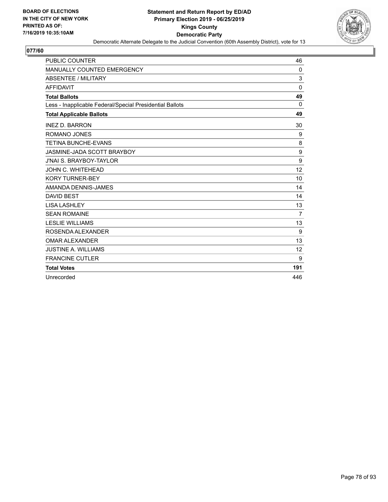

| <b>PUBLIC COUNTER</b>                                    | 46             |
|----------------------------------------------------------|----------------|
| <b>MANUALLY COUNTED EMERGENCY</b>                        | 0              |
| <b>ABSENTEE / MILITARY</b>                               | 3              |
| <b>AFFIDAVIT</b>                                         | $\Omega$       |
| <b>Total Ballots</b>                                     | 49             |
| Less - Inapplicable Federal/Special Presidential Ballots | $\Omega$       |
| <b>Total Applicable Ballots</b>                          | 49             |
| <b>INEZ D. BARRON</b>                                    | 30             |
| ROMANO JONES                                             | 9              |
| <b>TETINA BUNCHE-EVANS</b>                               | 8              |
| JASMINE-JADA SCOTT BRAYBOY                               | 9              |
| <b>J'NAI S. BRAYBOY-TAYLOR</b>                           | 9              |
| JOHN C. WHITEHEAD                                        | 12             |
| <b>KORY TURNER-BEY</b>                                   | 10             |
| AMANDA DENNIS-JAMES                                      | 14             |
| <b>DAVID BEST</b>                                        | 14             |
| <b>LISA LASHLEY</b>                                      | 13             |
| <b>SEAN ROMAINE</b>                                      | $\overline{7}$ |
| <b>LESLIE WILLIAMS</b>                                   | 13             |
| ROSENDA ALEXANDER                                        | 9              |
| <b>OMAR ALEXANDER</b>                                    | 13             |
| <b>JUSTINE A. WILLIAMS</b>                               | 12             |
| <b>FRANCINE CUTLER</b>                                   | 9              |
| <b>Total Votes</b>                                       | 191            |
| Unrecorded                                               | 446            |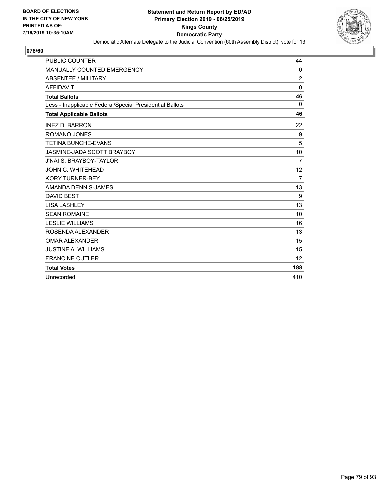

| <b>PUBLIC COUNTER</b>                                    | 44             |
|----------------------------------------------------------|----------------|
| <b>MANUALLY COUNTED EMERGENCY</b>                        | 0              |
| <b>ABSENTEE / MILITARY</b>                               | $\overline{2}$ |
| <b>AFFIDAVIT</b>                                         | $\Omega$       |
| <b>Total Ballots</b>                                     | 46             |
| Less - Inapplicable Federal/Special Presidential Ballots | $\Omega$       |
| <b>Total Applicable Ballots</b>                          | 46             |
| <b>INEZ D. BARRON</b>                                    | 22             |
| <b>ROMANO JONES</b>                                      | 9              |
| <b>TETINA BUNCHE-EVANS</b>                               | 5              |
| JASMINE-JADA SCOTT BRAYBOY                               | 10             |
| <b>J'NAI S. BRAYBOY-TAYLOR</b>                           | 7              |
| JOHN C. WHITEHEAD                                        | 12             |
| <b>KORY TURNER-BEY</b>                                   | $\overline{7}$ |
| AMANDA DENNIS-JAMES                                      | 13             |
| <b>DAVID BEST</b>                                        | 9              |
| <b>LISA LASHLEY</b>                                      | 13             |
| <b>SEAN ROMAINE</b>                                      | 10             |
| <b>LESLIE WILLIAMS</b>                                   | 16             |
| ROSENDA ALEXANDER                                        | 13             |
| <b>OMAR ALEXANDER</b>                                    | 15             |
| <b>JUSTINE A. WILLIAMS</b>                               | 15             |
| <b>FRANCINE CUTLER</b>                                   | 12             |
| <b>Total Votes</b>                                       | 188            |
| Unrecorded                                               | 410            |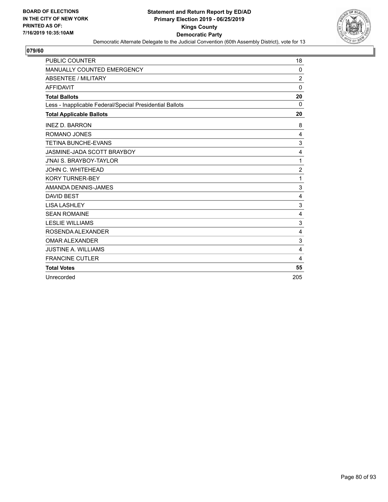

| <b>PUBLIC COUNTER</b>                                    | 18             |
|----------------------------------------------------------|----------------|
| <b>MANUALLY COUNTED EMERGENCY</b>                        | 0              |
| ABSENTEE / MILITARY                                      | $\overline{2}$ |
| <b>AFFIDAVIT</b>                                         | $\Omega$       |
| <b>Total Ballots</b>                                     | 20             |
| Less - Inapplicable Federal/Special Presidential Ballots | $\Omega$       |
| <b>Total Applicable Ballots</b>                          | 20             |
| <b>INEZ D. BARRON</b>                                    | 8              |
| <b>ROMANO JONES</b>                                      | 4              |
| <b>TETINA BUNCHE-EVANS</b>                               | 3              |
| JASMINE-JADA SCOTT BRAYBOY                               | 4              |
| <b>J'NAI S. BRAYBOY-TAYLOR</b>                           | 1              |
| JOHN C. WHITEHEAD                                        | $\overline{2}$ |
| <b>KORY TURNER-BEY</b>                                   | 1              |
| AMANDA DENNIS-JAMES                                      | 3              |
| <b>DAVID BEST</b>                                        | $\overline{4}$ |
| <b>LISA LASHLEY</b>                                      | 3              |
| <b>SEAN ROMAINE</b>                                      | $\overline{4}$ |
| <b>LESLIE WILLIAMS</b>                                   | 3              |
| ROSENDA ALEXANDER                                        | $\overline{4}$ |
| <b>OMAR ALEXANDER</b>                                    | 3              |
| <b>JUSTINE A. WILLIAMS</b>                               | 4              |
| <b>FRANCINE CUTLER</b>                                   | 4              |
| <b>Total Votes</b>                                       | 55             |
| Unrecorded                                               | 205            |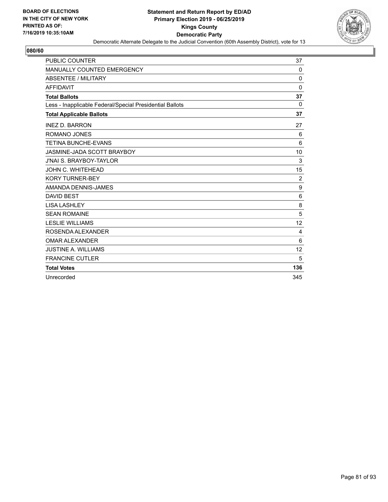

| <b>PUBLIC COUNTER</b>                                    | 37               |
|----------------------------------------------------------|------------------|
| MANUALLY COUNTED EMERGENCY                               | 0                |
| ABSENTEE / MILITARY                                      | $\Omega$         |
| <b>AFFIDAVIT</b>                                         | $\Omega$         |
| <b>Total Ballots</b>                                     | 37               |
| Less - Inapplicable Federal/Special Presidential Ballots | 0                |
| <b>Total Applicable Ballots</b>                          | 37               |
| <b>INEZ D. BARRON</b>                                    | 27               |
| ROMANO JONES                                             | 6                |
| <b>TETINA BUNCHE-EVANS</b>                               | 6                |
| JASMINE-JADA SCOTT BRAYBOY                               | 10               |
| <b>J'NAI S. BRAYBOY-TAYLOR</b>                           | 3                |
| JOHN C. WHITEHEAD                                        | 15               |
| <b>KORY TURNER-BEY</b>                                   | $\overline{c}$   |
| AMANDA DENNIS-JAMES                                      | $\boldsymbol{9}$ |
| <b>DAVID BEST</b>                                        | 6                |
| <b>LISA LASHLEY</b>                                      | 8                |
| <b>SEAN ROMAINE</b>                                      | 5                |
| <b>LESLIE WILLIAMS</b>                                   | 12               |
| ROSENDA ALEXANDER                                        | 4                |
| <b>OMAR ALEXANDER</b>                                    | 6                |
| <b>JUSTINE A. WILLIAMS</b>                               | 12               |
| <b>FRANCINE CUTLER</b>                                   | 5                |
| <b>Total Votes</b>                                       | 136              |
| Unrecorded                                               | 345              |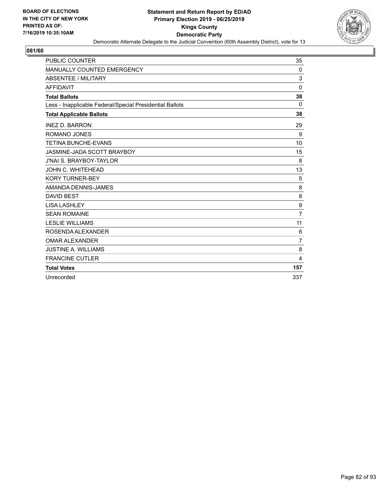

| <b>PUBLIC COUNTER</b>                                    | 35             |
|----------------------------------------------------------|----------------|
| <b>MANUALLY COUNTED EMERGENCY</b>                        | 0              |
| <b>ABSENTEE / MILITARY</b>                               | 3              |
| <b>AFFIDAVIT</b>                                         | $\mathbf{0}$   |
| <b>Total Ballots</b>                                     | 38             |
| Less - Inapplicable Federal/Special Presidential Ballots | 0              |
| <b>Total Applicable Ballots</b>                          | 38             |
| <b>INEZ D. BARRON</b>                                    | 29             |
| <b>ROMANO JONES</b>                                      | 9              |
| <b>TETINA BUNCHE-EVANS</b>                               | 10             |
| JASMINE-JADA SCOTT BRAYBOY                               | 15             |
| <b>J'NAI S. BRAYBOY-TAYLOR</b>                           | 8              |
| JOHN C. WHITEHEAD                                        | 13             |
| <b>KORY TURNER-BEY</b>                                   | 5              |
| AMANDA DENNIS-JAMES                                      | 8              |
| <b>DAVID BEST</b>                                        | 8              |
| <b>LISA LASHLEY</b>                                      | 9              |
| <b>SEAN ROMAINE</b>                                      | $\overline{7}$ |
| <b>LESLIE WILLIAMS</b>                                   | 11             |
| ROSENDA ALEXANDER                                        | 6              |
| <b>OMAR ALEXANDER</b>                                    | $\overline{7}$ |
| <b>JUSTINE A. WILLIAMS</b>                               | 8              |
| <b>FRANCINE CUTLER</b>                                   | 4              |
| <b>Total Votes</b>                                       | 157            |
| Unrecorded                                               | 337            |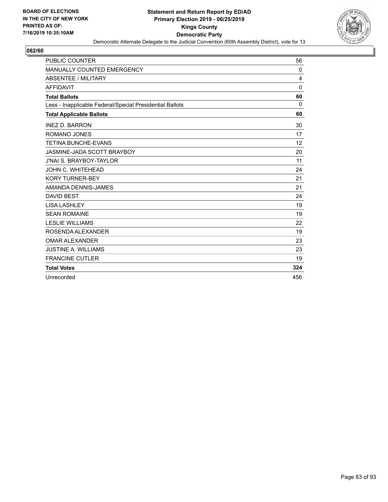

| <b>PUBLIC COUNTER</b>                                    | 56  |
|----------------------------------------------------------|-----|
| MANUALLY COUNTED EMERGENCY                               | 0   |
| <b>ABSENTEE / MILITARY</b>                               | 4   |
| <b>AFFIDAVIT</b>                                         | 0   |
| <b>Total Ballots</b>                                     | 60  |
| Less - Inapplicable Federal/Special Presidential Ballots | 0   |
| <b>Total Applicable Ballots</b>                          | 60  |
| <b>INEZ D. BARRON</b>                                    | 30  |
| ROMANO JONES                                             | 17  |
| <b>TETINA BUNCHE-EVANS</b>                               | 12  |
| JASMINE-JADA SCOTT BRAYBOY                               | 20  |
| <b>J'NAI S. BRAYBOY-TAYLOR</b>                           | 11  |
| JOHN C. WHITEHEAD                                        | 24  |
| <b>KORY TURNER-BEY</b>                                   | 21  |
| AMANDA DENNIS-JAMES                                      | 21  |
| <b>DAVID BEST</b>                                        | 24  |
| <b>LISA LASHLEY</b>                                      | 19  |
| <b>SEAN ROMAINE</b>                                      | 19  |
| <b>LESLIE WILLIAMS</b>                                   | 22  |
| ROSENDA ALEXANDER                                        | 19  |
| <b>OMAR ALEXANDER</b>                                    | 23  |
| <b>JUSTINE A. WILLIAMS</b>                               | 23  |
| <b>FRANCINE CUTLER</b>                                   | 19  |
| <b>Total Votes</b>                                       | 324 |
| Unrecorded                                               | 456 |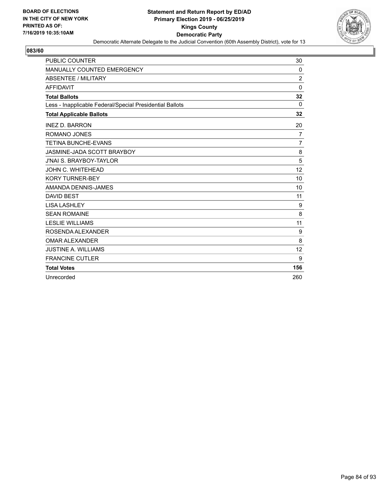

| <b>PUBLIC COUNTER</b>                                    | 30             |
|----------------------------------------------------------|----------------|
| <b>MANUALLY COUNTED EMERGENCY</b>                        | 0              |
| <b>ABSENTEE / MILITARY</b>                               | $\overline{2}$ |
| <b>AFFIDAVIT</b>                                         | $\mathbf 0$    |
| <b>Total Ballots</b>                                     | 32             |
| Less - Inapplicable Federal/Special Presidential Ballots | 0              |
| <b>Total Applicable Ballots</b>                          | 32             |
| <b>INEZ D. BARRON</b>                                    | 20             |
| <b>ROMANO JONES</b>                                      | 7              |
| <b>TETINA BUNCHE-EVANS</b>                               | $\overline{7}$ |
| JASMINE-JADA SCOTT BRAYBOY                               | 8              |
| <b>J'NAI S. BRAYBOY-TAYLOR</b>                           | 5              |
| JOHN C. WHITEHEAD                                        | 12             |
| <b>KORY TURNER-BEY</b>                                   | 10             |
| AMANDA DENNIS-JAMES                                      | 10             |
| <b>DAVID BEST</b>                                        | 11             |
| <b>LISA LASHLEY</b>                                      | 9              |
| <b>SEAN ROMAINE</b>                                      | 8              |
| <b>LESLIE WILLIAMS</b>                                   | 11             |
| ROSENDA ALEXANDER                                        | 9              |
| <b>OMAR ALEXANDER</b>                                    | 8              |
| <b>JUSTINE A. WILLIAMS</b>                               | 12             |
| <b>FRANCINE CUTLER</b>                                   | 9              |
| <b>Total Votes</b>                                       | 156            |
| Unrecorded                                               | 260            |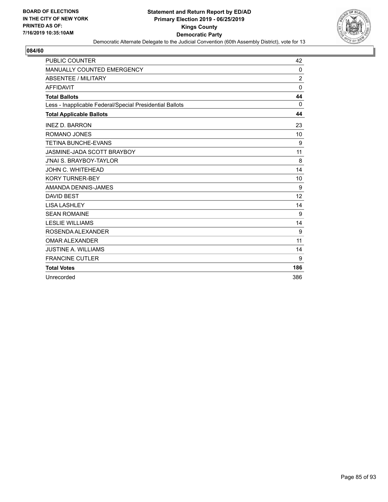

| <b>PUBLIC COUNTER</b>                                    | 42             |
|----------------------------------------------------------|----------------|
| <b>MANUALLY COUNTED EMERGENCY</b>                        | 0              |
| <b>ABSENTEE / MILITARY</b>                               | $\overline{2}$ |
| <b>AFFIDAVIT</b>                                         | $\Omega$       |
| <b>Total Ballots</b>                                     | 44             |
| Less - Inapplicable Federal/Special Presidential Ballots | $\Omega$       |
| <b>Total Applicable Ballots</b>                          | 44             |
| <b>INEZ D. BARRON</b>                                    | 23             |
| ROMANO JONES                                             | 10             |
| <b>TETINA BUNCHE-EVANS</b>                               | 9              |
| JASMINE-JADA SCOTT BRAYBOY                               | 11             |
| <b>J'NAI S. BRAYBOY-TAYLOR</b>                           | 8              |
| JOHN C. WHITEHEAD                                        | 14             |
| <b>KORY TURNER-BEY</b>                                   | 10             |
| AMANDA DENNIS-JAMES                                      | 9              |
| <b>DAVID BEST</b>                                        | 12             |
| <b>LISA LASHLEY</b>                                      | 14             |
| <b>SEAN ROMAINE</b>                                      | 9              |
| <b>LESLIE WILLIAMS</b>                                   | 14             |
| ROSENDA ALEXANDER                                        | 9              |
| <b>OMAR ALEXANDER</b>                                    | 11             |
| <b>JUSTINE A. WILLIAMS</b>                               | 14             |
| <b>FRANCINE CUTLER</b>                                   | 9              |
| <b>Total Votes</b>                                       | 186            |
| Unrecorded                                               | 386            |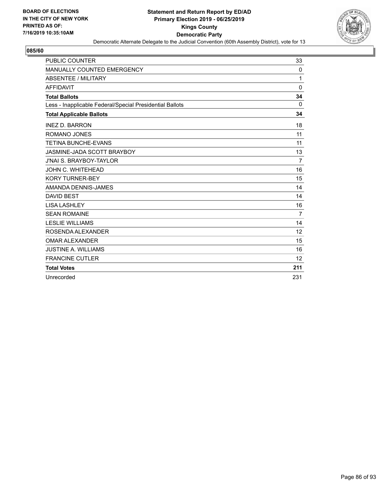

| <b>PUBLIC COUNTER</b>                                    | 33             |
|----------------------------------------------------------|----------------|
| <b>MANUALLY COUNTED EMERGENCY</b>                        | 0              |
| <b>ABSENTEE / MILITARY</b>                               | 1              |
| <b>AFFIDAVIT</b>                                         | $\Omega$       |
| <b>Total Ballots</b>                                     | 34             |
| Less - Inapplicable Federal/Special Presidential Ballots | 0              |
| <b>Total Applicable Ballots</b>                          | 34             |
| <b>INEZ D. BARRON</b>                                    | 18             |
| ROMANO JONES                                             | 11             |
| <b>TETINA BUNCHE-EVANS</b>                               | 11             |
| JASMINE-JADA SCOTT BRAYBOY                               | 13             |
| <b>J'NAI S. BRAYBOY-TAYLOR</b>                           | 7              |
| JOHN C. WHITEHEAD                                        | 16             |
| <b>KORY TURNER-BEY</b>                                   | 15             |
| AMANDA DENNIS-JAMES                                      | 14             |
| <b>DAVID BEST</b>                                        | 14             |
| <b>LISA LASHLEY</b>                                      | 16             |
| <b>SEAN ROMAINE</b>                                      | $\overline{7}$ |
| <b>LESLIE WILLIAMS</b>                                   | 14             |
| ROSENDA ALEXANDER                                        | 12             |
| <b>OMAR ALEXANDER</b>                                    | 15             |
| <b>JUSTINE A. WILLIAMS</b>                               | 16             |
| <b>FRANCINE CUTLER</b>                                   | 12             |
| <b>Total Votes</b>                                       | 211            |
| Unrecorded                                               | 231            |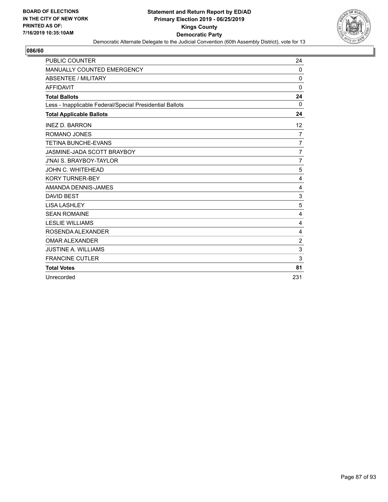

| <b>PUBLIC COUNTER</b>                                    | 24             |
|----------------------------------------------------------|----------------|
| <b>MANUALLY COUNTED EMERGENCY</b>                        | $\Omega$       |
| <b>ABSENTEE / MILITARY</b>                               | $\mathbf 0$    |
| <b>AFFIDAVIT</b>                                         | $\Omega$       |
| <b>Total Ballots</b>                                     | 24             |
| Less - Inapplicable Federal/Special Presidential Ballots | $\Omega$       |
| <b>Total Applicable Ballots</b>                          | 24             |
| <b>INEZ D. BARRON</b>                                    | 12             |
| <b>ROMANO JONES</b>                                      | 7              |
| <b>TETINA BUNCHE-EVANS</b>                               | 7              |
| JASMINE-JADA SCOTT BRAYBOY                               | $\overline{7}$ |
| <b>J'NAI S. BRAYBOY-TAYLOR</b>                           | $\overline{7}$ |
| <b>JOHN C. WHITEHEAD</b>                                 | 5              |
| <b>KORY TURNER-BEY</b>                                   | 4              |
| AMANDA DENNIS-JAMES                                      | $\overline{4}$ |
| <b>DAVID BEST</b>                                        | 3              |
| <b>LISA LASHLEY</b>                                      | 5              |
| <b>SEAN ROMAINE</b>                                      | $\overline{4}$ |
| <b>LESLIE WILLIAMS</b>                                   | $\overline{4}$ |
| ROSENDA ALEXANDER                                        | 4              |
| <b>OMAR ALEXANDER</b>                                    | $\overline{c}$ |
| <b>JUSTINE A. WILLIAMS</b>                               | 3              |
| <b>FRANCINE CUTLER</b>                                   | 3              |
| <b>Total Votes</b>                                       | 81             |
| Unrecorded                                               | 231            |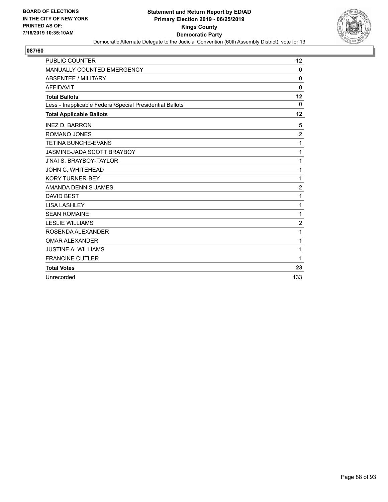

| <b>PUBLIC COUNTER</b>                                    | 12             |
|----------------------------------------------------------|----------------|
| <b>MANUALLY COUNTED EMERGENCY</b>                        | $\Omega$       |
| ABSENTEE / MILITARY                                      | $\mathbf 0$    |
| <b>AFFIDAVIT</b>                                         | $\Omega$       |
| <b>Total Ballots</b>                                     | 12             |
| Less - Inapplicable Federal/Special Presidential Ballots | 0              |
| <b>Total Applicable Ballots</b>                          | 12             |
| <b>INEZ D. BARRON</b>                                    | 5              |
| <b>ROMANO JONES</b>                                      | $\overline{c}$ |
| <b>TETINA BUNCHE-EVANS</b>                               | 1              |
| JASMINE-JADA SCOTT BRAYBOY                               | 1              |
| <b>J'NAI S. BRAYBOY-TAYLOR</b>                           | 1              |
| JOHN C. WHITEHEAD                                        | 1              |
| <b>KORY TURNER-BEY</b>                                   | 1              |
| AMANDA DENNIS-JAMES                                      | $\overline{2}$ |
| <b>DAVID BEST</b>                                        | 1              |
| <b>LISA LASHLEY</b>                                      | 1              |
| <b>SEAN ROMAINE</b>                                      | 1              |
| <b>LESLIE WILLIAMS</b>                                   | $\overline{c}$ |
| ROSENDA ALEXANDER                                        | 1              |
| <b>OMAR ALEXANDER</b>                                    | 1              |
| <b>JUSTINE A. WILLIAMS</b>                               | 1              |
| <b>FRANCINE CUTLER</b>                                   | 1              |
| <b>Total Votes</b>                                       | 23             |
| Unrecorded                                               | 133            |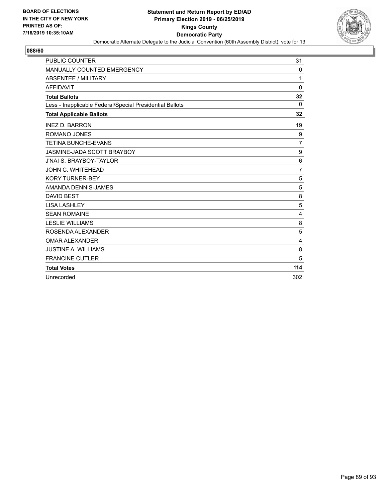

| <b>PUBLIC COUNTER</b>                                    | 31             |
|----------------------------------------------------------|----------------|
| MANUALLY COUNTED EMERGENCY                               | 0              |
| <b>ABSENTEE / MILITARY</b>                               | 1              |
| <b>AFFIDAVIT</b>                                         | $\Omega$       |
| <b>Total Ballots</b>                                     | 32             |
| Less - Inapplicable Federal/Special Presidential Ballots | 0              |
| <b>Total Applicable Ballots</b>                          | 32             |
| <b>INEZ D. BARRON</b>                                    | 19             |
| ROMANO JONES                                             | 9              |
| <b>TETINA BUNCHE-EVANS</b>                               | $\overline{7}$ |
| JASMINE-JADA SCOTT BRAYBOY                               | 9              |
| <b>J'NAI S. BRAYBOY-TAYLOR</b>                           | 6              |
| JOHN C. WHITEHEAD                                        | 7              |
| <b>KORY TURNER-BEY</b>                                   | 5              |
| AMANDA DENNIS-JAMES                                      | 5              |
| <b>DAVID BEST</b>                                        | 8              |
| <b>LISA LASHLEY</b>                                      | 5              |
| <b>SEAN ROMAINE</b>                                      | 4              |
| <b>LESLIE WILLIAMS</b>                                   | 8              |
| ROSENDA ALEXANDER                                        | 5              |
| <b>OMAR ALEXANDER</b>                                    | 4              |
| <b>JUSTINE A. WILLIAMS</b>                               | 8              |
| <b>FRANCINE CUTLER</b>                                   | 5              |
| <b>Total Votes</b>                                       | 114            |
| Unrecorded                                               | 302            |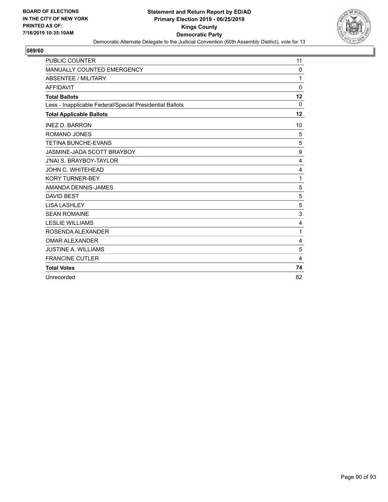

| <b>PUBLIC COUNTER</b>                                    | 11               |
|----------------------------------------------------------|------------------|
| MANUALLY COUNTED EMERGENCY                               | $\Omega$         |
| <b>ABSENTEE / MILITARY</b>                               | 1                |
| <b>AFFIDAVIT</b>                                         | $\Omega$         |
| <b>Total Ballots</b>                                     | 12               |
| Less - Inapplicable Federal/Special Presidential Ballots | 0                |
| <b>Total Applicable Ballots</b>                          | 12               |
| <b>INEZ D. BARRON</b>                                    | 10               |
| ROMANO JONES                                             | 5                |
| <b>TETINA BUNCHE-EVANS</b>                               | 5                |
| JASMINE-JADA SCOTT BRAYBOY                               | $\boldsymbol{9}$ |
| <b>J'NAI S. BRAYBOY-TAYLOR</b>                           | 4                |
| JOHN C. WHITEHEAD                                        | 4                |
| <b>KORY TURNER-BEY</b>                                   | 1                |
| AMANDA DENNIS-JAMES                                      | 5                |
| <b>DAVID BEST</b>                                        | 5                |
| <b>LISA LASHLEY</b>                                      | 5                |
| <b>SEAN ROMAINE</b>                                      | 3                |
| <b>LESLIE WILLIAMS</b>                                   | $\overline{4}$   |
| ROSENDA ALEXANDER                                        | 1                |
| <b>OMAR ALEXANDER</b>                                    | 4                |
| <b>JUSTINE A. WILLIAMS</b>                               | 5                |
| <b>FRANCINE CUTLER</b>                                   | 4                |
| <b>Total Votes</b>                                       | 74               |
| Unrecorded                                               | 82               |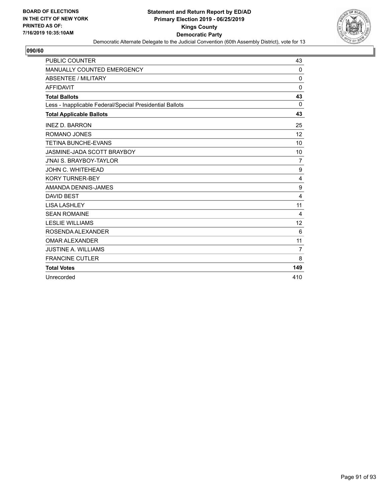

| <b>PUBLIC COUNTER</b>                                    | 43             |
|----------------------------------------------------------|----------------|
| <b>MANUALLY COUNTED EMERGENCY</b>                        | 0              |
| <b>ABSENTEE / MILITARY</b>                               | $\mathbf 0$    |
| <b>AFFIDAVIT</b>                                         | $\Omega$       |
| <b>Total Ballots</b>                                     | 43             |
| Less - Inapplicable Federal/Special Presidential Ballots | $\Omega$       |
| <b>Total Applicable Ballots</b>                          | 43             |
| <b>INEZ D. BARRON</b>                                    | 25             |
| <b>ROMANO JONES</b>                                      | 12             |
| <b>TETINA BUNCHE-EVANS</b>                               | 10             |
| JASMINE-JADA SCOTT BRAYBOY                               | 10             |
| <b>J'NAI S. BRAYBOY-TAYLOR</b>                           | 7              |
| JOHN C. WHITEHEAD                                        | 9              |
| <b>KORY TURNER-BEY</b>                                   | 4              |
| AMANDA DENNIS-JAMES                                      | 9              |
| <b>DAVID BEST</b>                                        | 4              |
| <b>LISA LASHLEY</b>                                      | 11             |
| <b>SEAN ROMAINE</b>                                      | 4              |
| <b>LESLIE WILLIAMS</b>                                   | 12             |
| ROSENDA ALEXANDER                                        | 6              |
| <b>OMAR ALEXANDER</b>                                    | 11             |
| <b>JUSTINE A. WILLIAMS</b>                               | $\overline{7}$ |
| <b>FRANCINE CUTLER</b>                                   | 8              |
| <b>Total Votes</b>                                       | 149            |
| Unrecorded                                               | 410            |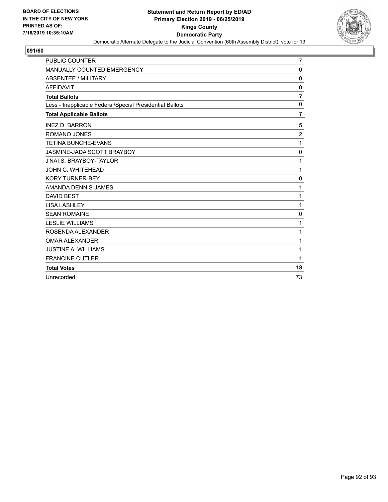

| <b>PUBLIC COUNTER</b>                                    | 7              |
|----------------------------------------------------------|----------------|
| MANUALLY COUNTED EMERGENCY                               | $\mathbf 0$    |
| <b>ABSENTEE / MILITARY</b>                               | $\Omega$       |
| <b>AFFIDAVIT</b>                                         | 0              |
| <b>Total Ballots</b>                                     | $\overline{7}$ |
| Less - Inapplicable Federal/Special Presidential Ballots | 0              |
| <b>Total Applicable Ballots</b>                          | $\overline{7}$ |
| <b>INEZ D. BARRON</b>                                    | 5              |
| <b>ROMANO JONES</b>                                      | $\overline{2}$ |
| <b>TETINA BUNCHE-EVANS</b>                               | 1              |
| JASMINE-JADA SCOTT BRAYBOY                               | $\mathbf 0$    |
| <b>J'NAI S. BRAYBOY-TAYLOR</b>                           | 1              |
| JOHN C. WHITEHEAD                                        | 1              |
| <b>KORY TURNER-BEY</b>                                   | $\mathbf 0$    |
| AMANDA DENNIS-JAMES                                      | 1              |
| <b>DAVID BEST</b>                                        | 1              |
| <b>LISA LASHLEY</b>                                      | 1              |
| <b>SEAN ROMAINE</b>                                      | 0              |
| <b>LESLIE WILLIAMS</b>                                   | 1              |
| ROSENDA ALEXANDER                                        | 1              |
| <b>OMAR ALEXANDER</b>                                    | 1              |
| <b>JUSTINE A. WILLIAMS</b>                               | 1              |
| <b>FRANCINE CUTLER</b>                                   | 1              |
| <b>Total Votes</b>                                       | 18             |
| Unrecorded                                               | 73             |